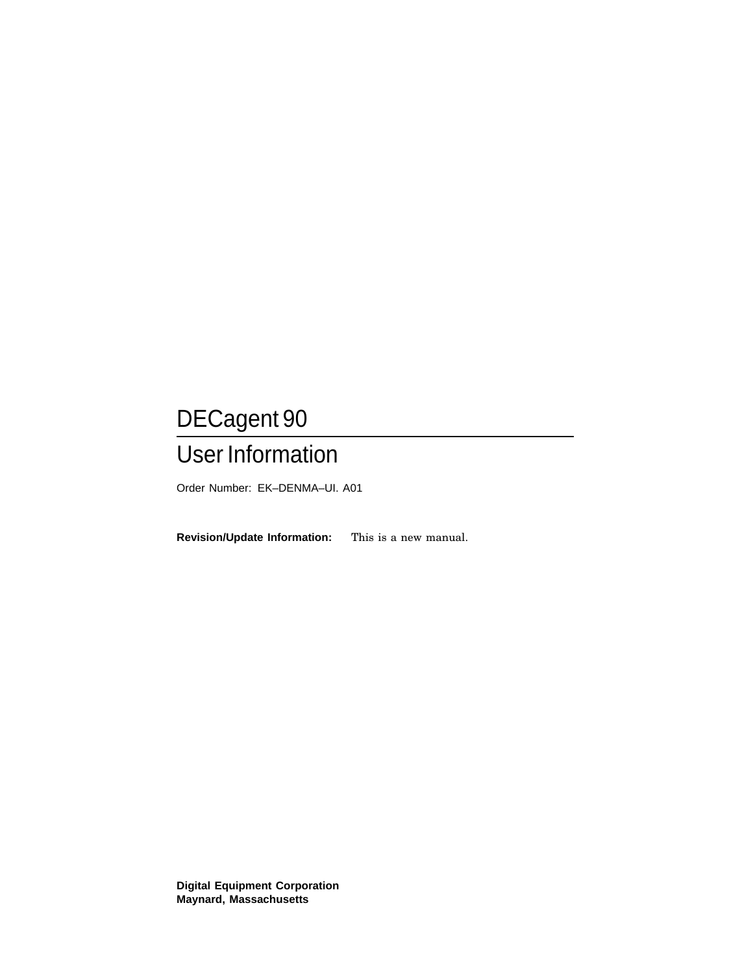## DECagent 90 User Information

Order Number: EK–DENMA–UI. A01

**Revision/Update Information:** This is a new manual.

**Digital Equipment Corporation Maynard, Massachusetts**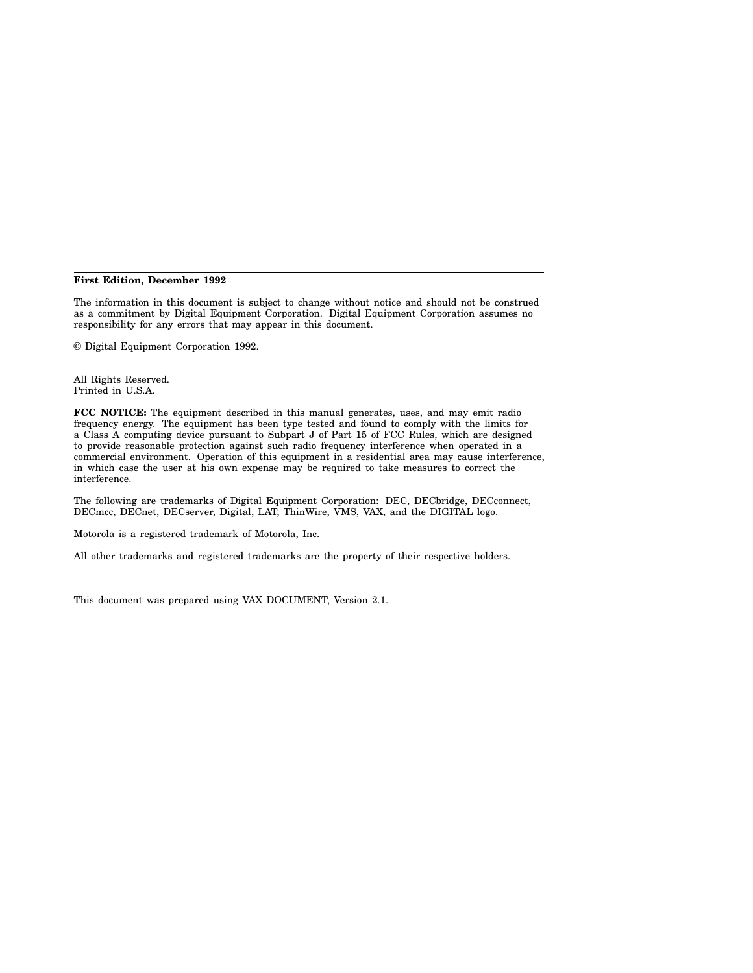#### **First Edition, December 1992**

The information in this document is subject to change without notice and should not be construed as a commitment by Digital Equipment Corporation. Digital Equipment Corporation assumes no responsibility for any errors that may appear in this document.

© Digital Equipment Corporation 1992.

All Rights Reserved. Printed in U.S.A.

**FCC NOTICE:** The equipment described in this manual generates, uses, and may emit radio frequency energy. The equipment has been type tested and found to comply with the limits for a Class A computing device pursuant to Subpart J of Part 15 of FCC Rules, which are designed to provide reasonable protection against such radio frequency interference when operated in a commercial environment. Operation of this equipment in a residential area may cause interference, in which case the user at his own expense may be required to take measures to correct the interference.

The following are trademarks of Digital Equipment Corporation: DEC, DECbridge, DECconnect, DECmcc, DECnet, DECserver, Digital, LAT, ThinWire, VMS, VAX, and the DIGITAL logo.

Motorola is a registered trademark of Motorola, Inc.

All other trademarks and registered trademarks are the property of their respective holders.

This document was prepared using VAX DOCUMENT, Version 2.1.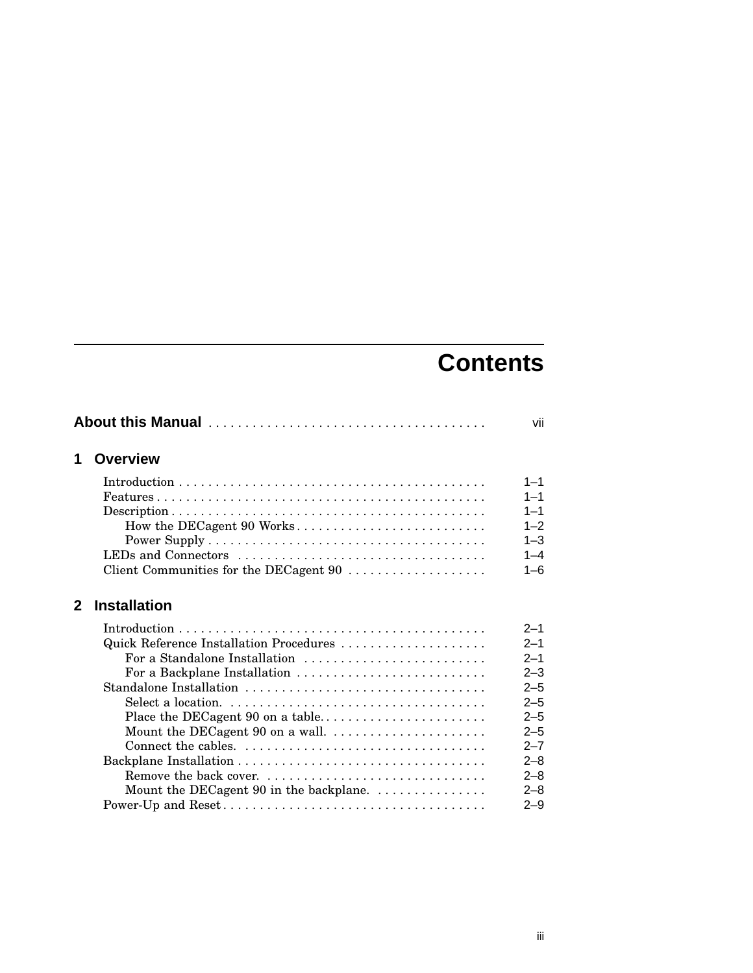## **Contents**

| 1            | <b>Overview</b>                                                        |         |
|--------------|------------------------------------------------------------------------|---------|
|              |                                                                        | $1 - 1$ |
|              |                                                                        | $1 - 1$ |
|              |                                                                        | $1 - 1$ |
|              |                                                                        | $1 - 2$ |
|              |                                                                        | $1 - 3$ |
|              | LEDs and Connectors                                                    | $1 - 4$ |
|              | Client Communities for the DECagent 90                                 | $1 - 6$ |
| $\mathbf{2}$ | <b>Installation</b>                                                    |         |
|              |                                                                        | $2 - 1$ |
|              | Quick Reference Installation Procedures                                | $2 - 1$ |
|              | For a Standalone Installation                                          | $2 - 1$ |
|              | For a Backplane Installation                                           | $2 - 3$ |
|              | Standalone Installation                                                | $2 - 5$ |
|              |                                                                        | $2 - 5$ |
|              |                                                                        | $2 - 5$ |
|              | Mount the DECagent 90 on a wall. $\dots \dots \dots \dots \dots \dots$ | $2 - 5$ |
|              |                                                                        | $2 - 7$ |
|              |                                                                        | $2 - 8$ |
|              |                                                                        | $2 - 8$ |
|              | Mount the DECagent 90 in the backplane.                                | $2 - 8$ |
|              |                                                                        | $2 - 9$ |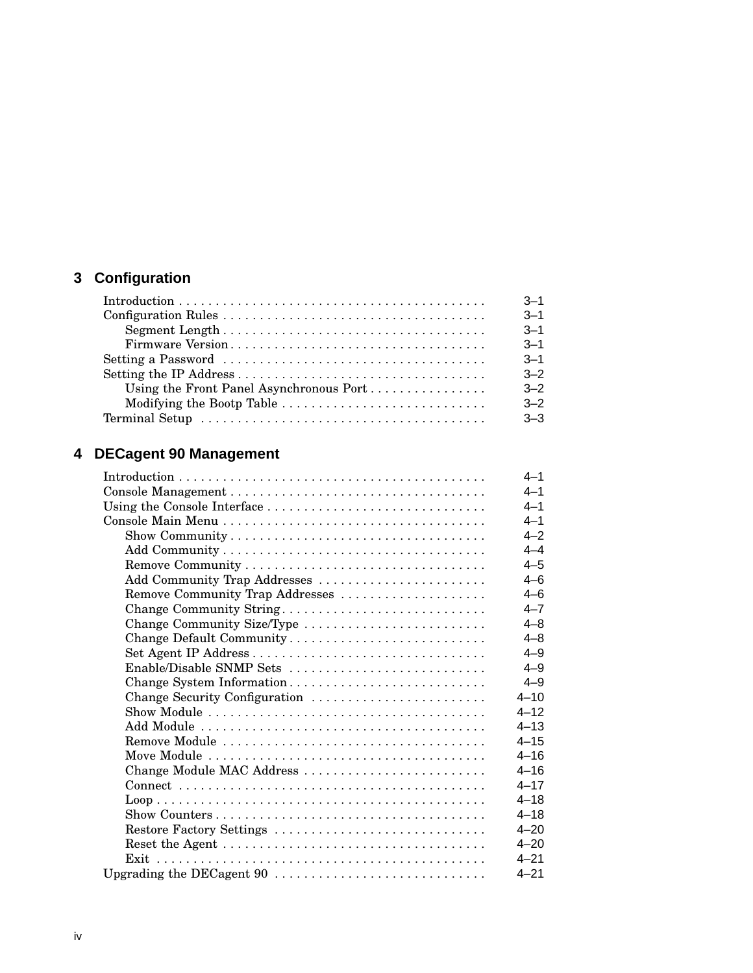## **3 Configuration**

| $Introduction \dots \dots \dots \dots \dots \dots \dots \dots \dots \dots \dots \dots \dots \dots \dots \dots \dots$ | $3 - 1$ |
|----------------------------------------------------------------------------------------------------------------------|---------|
|                                                                                                                      | $3 - 1$ |
|                                                                                                                      | $3 - 1$ |
|                                                                                                                      | $3 - 1$ |
|                                                                                                                      | $3 - 1$ |
|                                                                                                                      | $3 - 2$ |
| Using the Front Panel Asynchronous Port                                                                              | $3 - 2$ |
|                                                                                                                      | $3 - 2$ |
|                                                                                                                      | $3 - 3$ |

## **4 DECagent 90 Management**

|                                 | $4 - 1$  |
|---------------------------------|----------|
|                                 | $4 - 1$  |
| Using the Console Interface     | $4 - 1$  |
|                                 | $4 - 1$  |
|                                 | $4 - 2$  |
|                                 | $4 - 4$  |
|                                 | $4 - 5$  |
| Add Community Trap Addresses    | $4 - 6$  |
| Remove Community Trap Addresses | $4 - 6$  |
| Change Community String         | $4 - 7$  |
| Change Community Size/Type      | $4 - 8$  |
| Change Default Community        | $4 - 8$  |
|                                 | $4 - 9$  |
| Enable/Disable SNMP Sets        | $4 - 9$  |
| Change System Information       | $4 - 9$  |
| Change Security Configuration   | $4 - 10$ |
|                                 | $4 - 12$ |
|                                 | $4 - 13$ |
|                                 | $4 - 15$ |
|                                 | $4 - 16$ |
| Change Module MAC Address       | $4 - 16$ |
|                                 | $4 - 17$ |
|                                 | $4 - 18$ |
|                                 | $4 - 18$ |
| Restore Factory Settings        | $4 - 20$ |
|                                 | $4 - 20$ |
|                                 | $4 - 21$ |
|                                 | $4 - 21$ |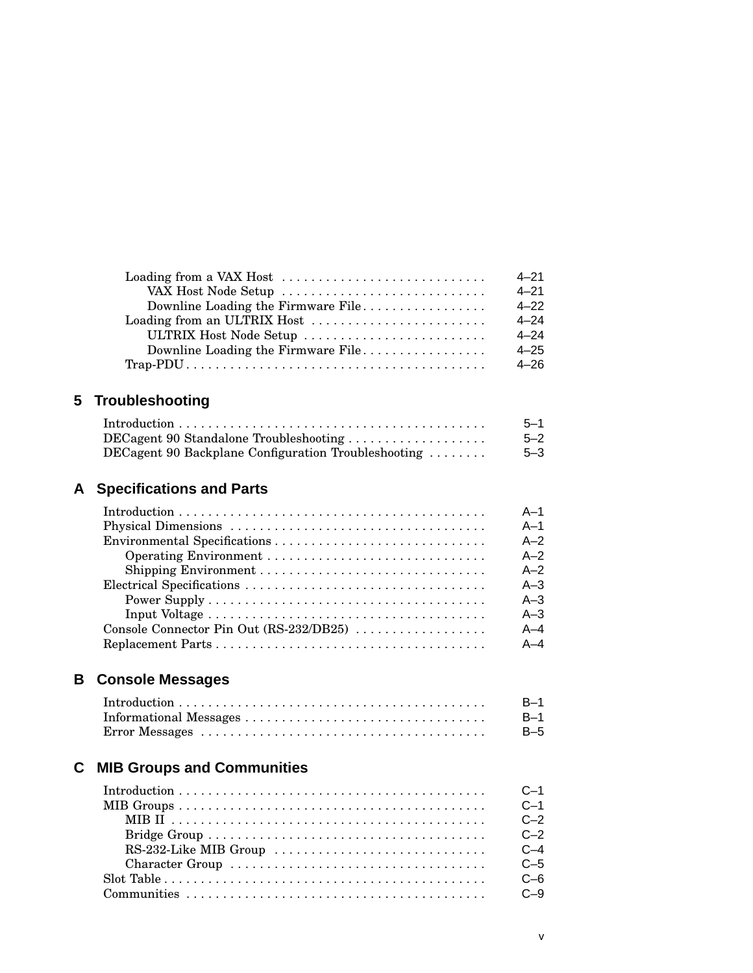|                                    | $4 - 21$ |
|------------------------------------|----------|
| VAX Host Node Setup                | $4 - 21$ |
| Downline Loading the Firmware File | $4 - 22$ |
|                                    | $4 - 24$ |
| ULTRIX Host Node Setup             | $4 - 24$ |
| Downline Loading the Firmware File | $4 - 25$ |
|                                    | $4 - 26$ |

## **5 Troubleshooting**

|                                                     | $5 - 1$ |
|-----------------------------------------------------|---------|
| $DEC$ agent 90 Standalone Troubleshooting           | $5 - 2$ |
| DECagent 90 Backplane Configuration Troubleshooting | $5 - 3$ |

## **A Specifications and Parts**

|                                         | $A-1$   |
|-----------------------------------------|---------|
|                                         | $A-1$   |
|                                         | $A-2$   |
|                                         | $A-2$   |
|                                         | $A-2$   |
|                                         | $A - 3$ |
|                                         | $A - 3$ |
|                                         | $A - 3$ |
| Console Connector Pin Out (RS-232/DB25) | $A - 4$ |
|                                         | $A - 4$ |

## **B Console Messages**

|                                                                                                               | B-1   |
|---------------------------------------------------------------------------------------------------------------|-------|
|                                                                                                               | – B–1 |
| $Error$ Messages $\ldots \ldots \ldots \ldots \ldots \ldots \ldots \ldots \ldots \ldots \ldots \ldots \ldots$ | B-5   |

## **C MIB Groups and Communities**

|                                                                                                         | $C-1$   |
|---------------------------------------------------------------------------------------------------------|---------|
|                                                                                                         | $C-1$   |
|                                                                                                         | $C - 2$ |
|                                                                                                         | $C - 2$ |
|                                                                                                         | $C-4$   |
|                                                                                                         | $C - 5$ |
| $Slot Table \ldots \ldots \ldots \ldots \ldots \ldots \ldots \ldots \ldots \ldots \ldots \ldots \ldots$ | C-6     |
|                                                                                                         |         |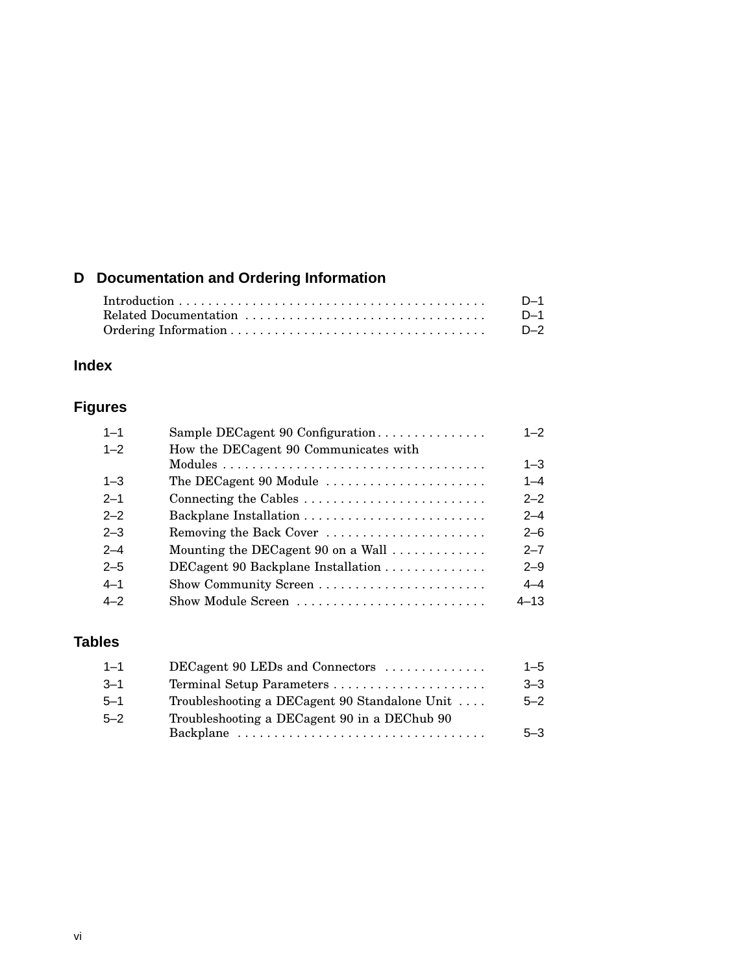## **D Documentation and Ordering Information**

| D-1   |
|-------|
| D-1   |
| $D-2$ |

## **Index**

## **Figures**

| $1 - 1$ | Sample DECagent 90 Configuration                          | $1 - 2$  |
|---------|-----------------------------------------------------------|----------|
| $1 - 2$ | How the DECagent 90 Communicates with                     |          |
|         |                                                           | $1 - 3$  |
| $1 - 3$ | The DECagent 90 Module                                    | $1 - 4$  |
| $2 - 1$ | Connecting the Cables                                     | $2 - 2$  |
| $2 - 2$ |                                                           | $2 - 4$  |
| $2 - 3$ | Removing the Back Cover                                   | $2 - 6$  |
| $2 - 4$ | Mounting the DECagent 90 on a Wall $\dots\dots\dots\dots$ | $2 - 7$  |
| $2 - 5$ | DECagent 90 Backplane Installation                        | $2 - 9$  |
| $4 - 1$ |                                                           | $4 - 4$  |
| $4 - 2$ | Show Module Screen                                        | $4 - 13$ |
|         |                                                           |          |

### **Tables**

| $1 - 1$  | $DECagent 90 LEDs$ and Connectors $\ldots \ldots \ldots$ | $1 - 5$ |
|----------|----------------------------------------------------------|---------|
| $-3-1$   |                                                          | $3 - 3$ |
| $-5 - 1$ | Troubleshooting a DECagent 90 Standalone Unit            | $5 - 2$ |
| $5 - 2$  | Troubleshooting a DECagent 90 in a DEChub 90             | $5 - 3$ |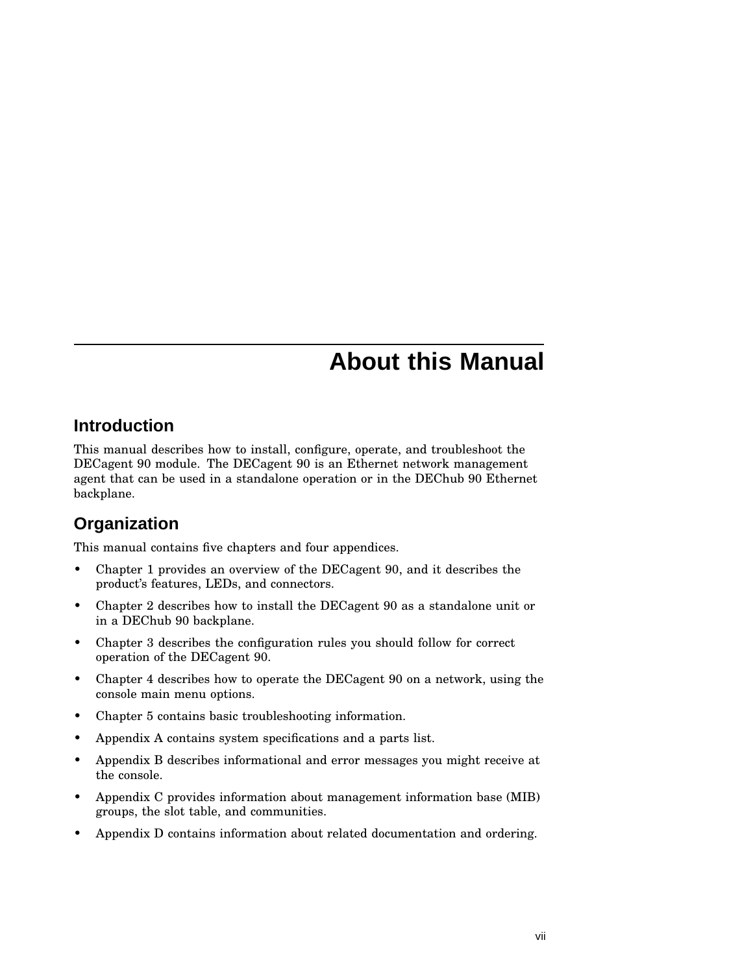## **About this Manual**

### **Introduction**

This manual describes how to install, configure, operate, and troubleshoot the DECagent 90 module. The DECagent 90 is an Ethernet network management agent that can be used in a standalone operation or in the DEChub 90 Ethernet backplane.

## **Organization**

This manual contains five chapters and four appendices.

- Chapter 1 provides an overview of the DECagent 90, and it describes the product's features, LEDs, and connectors.
- Chapter 2 describes how to install the DECagent 90 as a standalone unit or in a DEChub 90 backplane.
- Chapter 3 describes the configuration rules you should follow for correct operation of the DECagent 90.
- Chapter 4 describes how to operate the DECagent 90 on a network, using the console main menu options.
- Chapter 5 contains basic troubleshooting information.
- Appendix A contains system specifications and a parts list.
- Appendix B describes informational and error messages you might receive at the console.
- Appendix C provides information about management information base (MIB) groups, the slot table, and communities.
- Appendix D contains information about related documentation and ordering.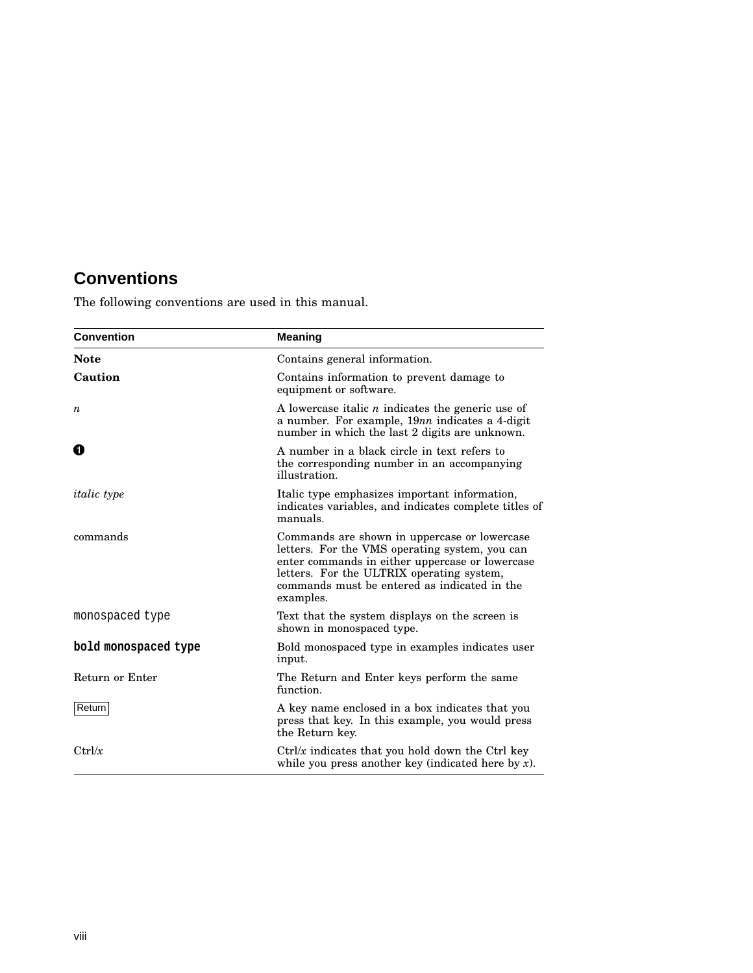## **Conventions**

The following conventions are used in this manual.

| <b>Convention</b>    | <b>Meaning</b>                                                                                                                                                                                                                                              |  |
|----------------------|-------------------------------------------------------------------------------------------------------------------------------------------------------------------------------------------------------------------------------------------------------------|--|
| <b>Note</b>          | Contains general information.                                                                                                                                                                                                                               |  |
| Caution              | Contains information to prevent damage to<br>equipment or software.                                                                                                                                                                                         |  |
| $\boldsymbol{n}$     | A lowercase italic $n$ indicates the generic use of<br>a number. For example, 19nn indicates a 4-digit<br>number in which the last 2 digits are unknown.                                                                                                    |  |
| O                    | A number in a black circle in text refers to<br>the corresponding number in an accompanying<br>illustration.                                                                                                                                                |  |
| <i>italic</i> type   | Italic type emphasizes important information,<br>indicates variables, and indicates complete titles of<br>manuals.                                                                                                                                          |  |
| commands             | Commands are shown in uppercase or lowercase<br>letters. For the VMS operating system, you can<br>enter commands in either uppercase or lowercase<br>letters. For the ULTRIX operating system,<br>commands must be entered as indicated in the<br>examples. |  |
| monospaced type      | Text that the system displays on the screen is<br>shown in monospaced type.                                                                                                                                                                                 |  |
| bold monospaced type | Bold monospaced type in examples indicates user<br>input.                                                                                                                                                                                                   |  |
| Return or Enter      | The Return and Enter keys perform the same<br>function.                                                                                                                                                                                                     |  |
| Return               | A key name enclosed in a box indicates that you<br>press that key. In this example, you would press<br>the Return key.                                                                                                                                      |  |
| Ctrl/x               | $Ctrl/x$ indicates that you hold down the Ctrl key<br>while you press another key (indicated here by $x$ ).                                                                                                                                                 |  |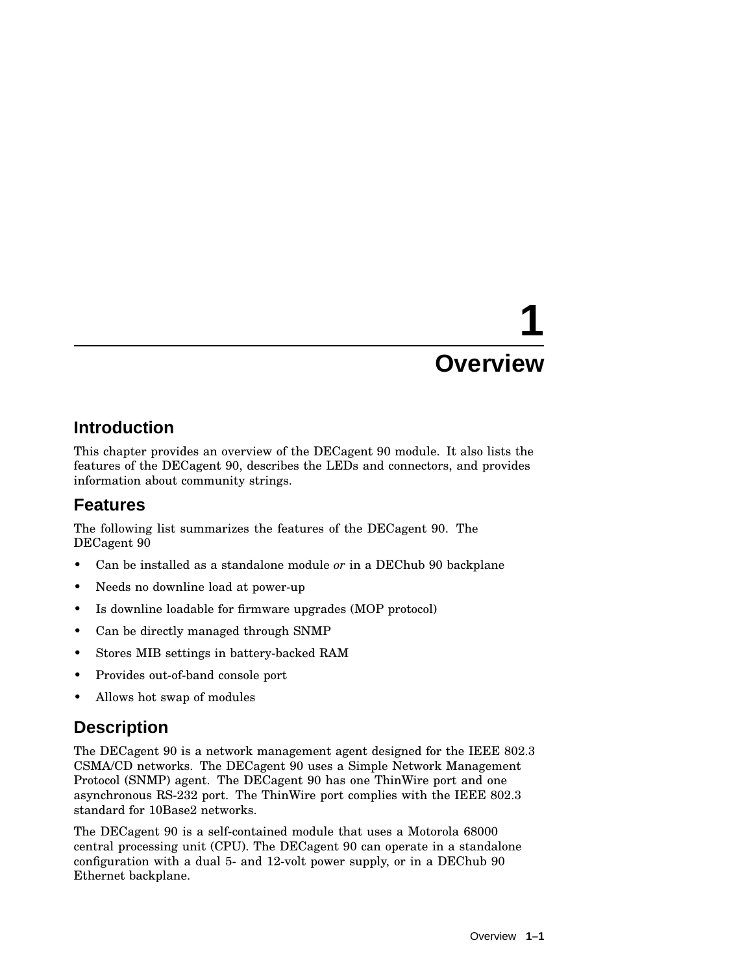# **1 Overview**

## **Introduction**

This chapter provides an overview of the DECagent 90 module. It also lists the features of the DECagent 90, describes the LEDs and connectors, and provides information about community strings.

## **Features**

The following list summarizes the features of the DECagent 90. The DECagent 90

- Can be installed as a standalone module *or* in a DEChub 90 backplane
- Needs no downline load at power-up
- Is downline loadable for firmware upgrades (MOP protocol)
- Can be directly managed through SNMP
- Stores MIB settings in battery-backed RAM
- Provides out-of-band console port
- Allows hot swap of modules

## **Description**

The DECagent 90 is a network management agent designed for the IEEE 802.3 CSMA/CD networks. The DECagent 90 uses a Simple Network Management Protocol (SNMP) agent. The DECagent 90 has one ThinWire port and one asynchronous RS-232 port. The ThinWire port complies with the IEEE 802.3 standard for 10Base2 networks.

The DECagent 90 is a self-contained module that uses a Motorola 68000 central processing unit (CPU). The DECagent 90 can operate in a standalone configuration with a dual 5- and 12-volt power supply, or in a DEChub 90 Ethernet backplane.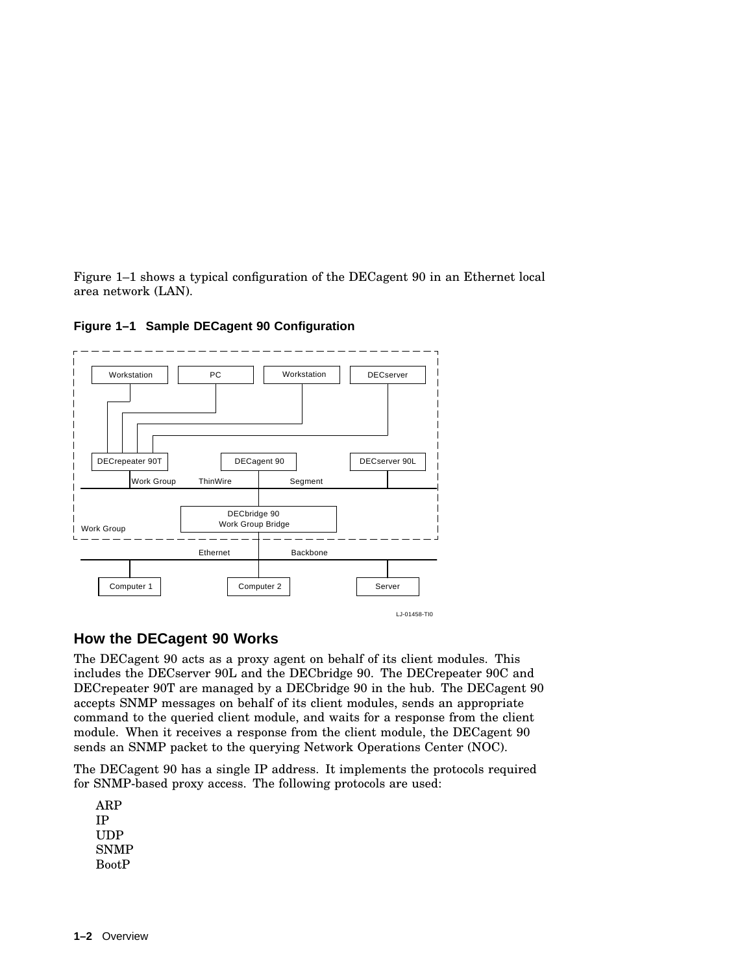Figure 1–1 shows a typical configuration of the DECagent 90 in an Ethernet local area network (LAN).



**Figure 1–1 Sample DECagent 90 Configuration**

#### **How the DECagent 90 Works**

The DECagent 90 acts as a proxy agent on behalf of its client modules. This includes the DECserver 90L and the DECbridge 90. The DECrepeater 90C and DECrepeater 90T are managed by a DECbridge 90 in the hub. The DECagent 90 accepts SNMP messages on behalf of its client modules, sends an appropriate command to the queried client module, and waits for a response from the client module. When it receives a response from the client module, the DECagent 90 sends an SNMP packet to the querying Network Operations Center (NOC).

The DECagent 90 has a single IP address. It implements the protocols required for SNMP-based proxy access. The following protocols are used:

ARP IP UDP SNMP BootP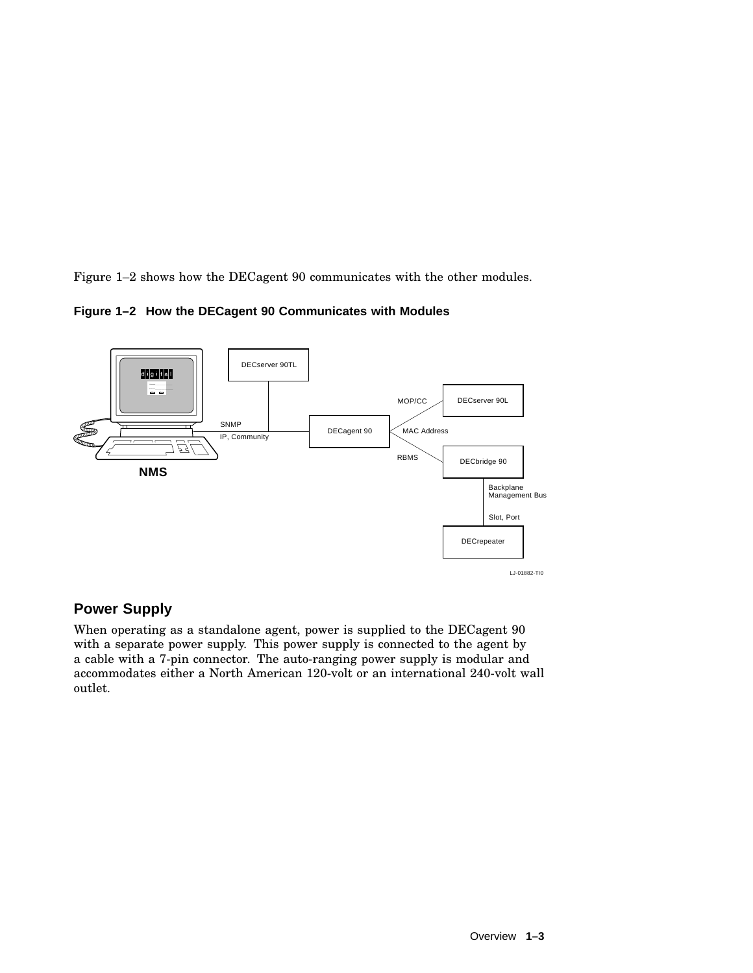Figure 1–2 shows how the DECagent 90 communicates with the other modules.





#### **Power Supply**

When operating as a standalone agent, power is supplied to the DECagent 90 with a separate power supply. This power supply is connected to the agent by a cable with a 7-pin connector. The auto-ranging power supply is modular and accommodates either a North American 120-volt or an international 240-volt wall outlet.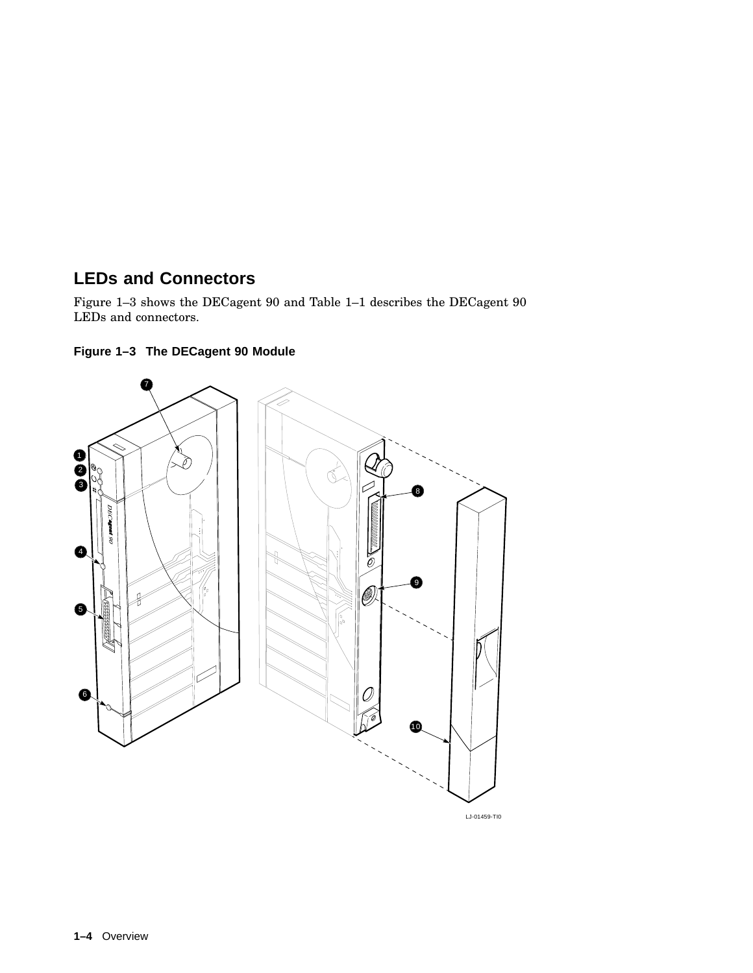## **LEDs and Connectors**

Figure 1–3 shows the DECagent 90 and Table 1–1 describes the DECagent 90 LEDs and connectors.





LJ-01459-TI0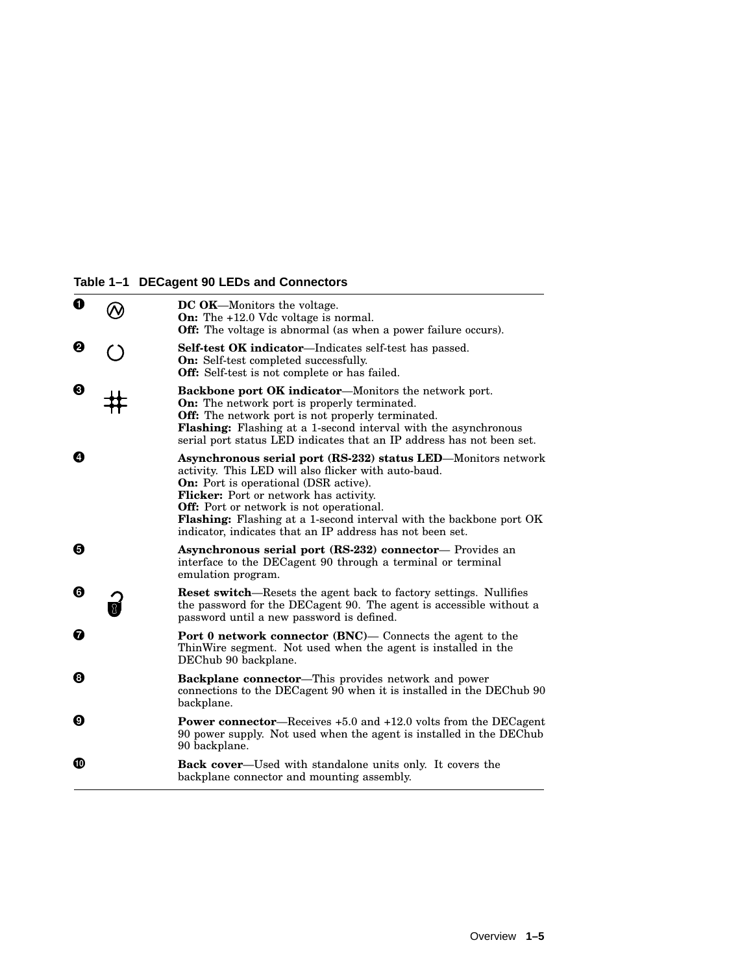#### **Table 1–1 DECagent 90 LEDs and Connectors**

| ➊ |                      | DC OK-Monitors the voltage.<br><b>On:</b> The $+12.0$ Vdc voltage is normal.<br><b>Off:</b> The voltage is abnormal (as when a power failure occurs).                                                                                                                                                                                                                                                         |
|---|----------------------|---------------------------------------------------------------------------------------------------------------------------------------------------------------------------------------------------------------------------------------------------------------------------------------------------------------------------------------------------------------------------------------------------------------|
| ❷ | $\ddot{\phantom{0}}$ | <b>Self-test OK indicator—Indicates self-test has passed.</b><br><b>On:</b> Self-test completed successfully.<br><b>Off:</b> Self-test is not complete or has failed.                                                                                                                                                                                                                                         |
| ❸ |                      | Backbone port OK indicator-Monitors the network port.<br><b>On:</b> The network port is properly terminated.<br><b>Off:</b> The network port is not properly terminated.<br>Flashing: Flashing at a 1-second interval with the asynchronous<br>serial port status LED indicates that an IP address has not been set.                                                                                          |
| Ø |                      | Asynchronous serial port (RS-232) status LED-Monitors network<br>activity. This LED will also flicker with auto-baud.<br><b>On:</b> Port is operational (DSR active).<br><b>Flicker:</b> Port or network has activity.<br><b>Off:</b> Port or network is not operational.<br>Flashing: Flashing at a 1-second interval with the backbone port OK<br>indicator, indicates that an IP address has not been set. |
| 0 |                      | <b>Asynchronous serial port (RS-232) connector</b> — Provides an<br>interface to the DECagent 90 through a terminal or terminal<br>emulation program.                                                                                                                                                                                                                                                         |
| 0 |                      | <b>Reset switch—Resets</b> the agent back to factory settings. Nullifies<br>the password for the DECagent 90. The agent is accessible without a<br>password until a new password is defined.                                                                                                                                                                                                                  |
| ⋒ |                      | <b>Port 0 network connector (BNC)— Connects the agent to the</b><br>ThinWire segment. Not used when the agent is installed in the<br>DEChub 90 backplane.                                                                                                                                                                                                                                                     |
| ❸ |                      | <b>Backplane connector</b> —This provides network and power<br>connections to the DECagent 90 when it is installed in the DEChub 90<br>backplane.                                                                                                                                                                                                                                                             |
| Ø |                      | <b>Power connector</b> —Receives +5.0 and +12.0 volts from the DECagent<br>90 power supply. Not used when the agent is installed in the DEC hub<br>90 backplane.                                                                                                                                                                                                                                              |
| ⊕ |                      | <b>Back cover—Used</b> with standalone units only. It covers the<br>backplane connector and mounting assembly.                                                                                                                                                                                                                                                                                                |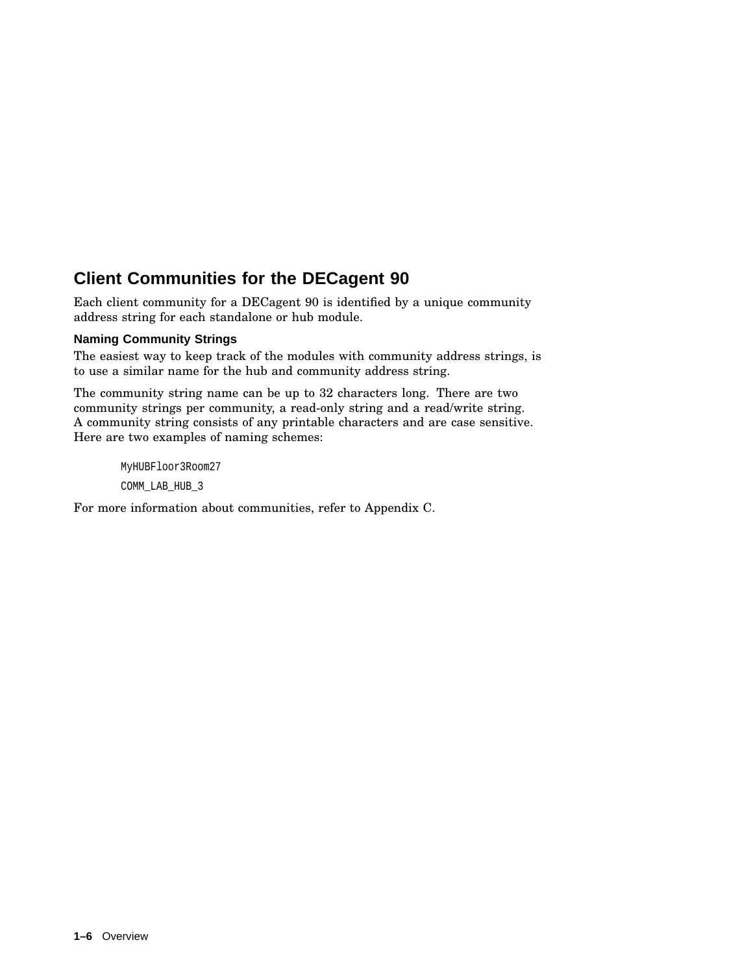## **Client Communities for the DECagent 90**

Each client community for a DECagent 90 is identified by a unique community address string for each standalone or hub module.

#### **Naming Community Strings**

The easiest way to keep track of the modules with community address strings, is to use a similar name for the hub and community address string.

The community string name can be up to 32 characters long. There are two community strings per community, a read-only string and a read/write string. A community string consists of any printable characters and are case sensitive. Here are two examples of naming schemes:

MyHUBFloor3Room27 COMM\_LAB\_HUB\_3

For more information about communities, refer to Appendix C.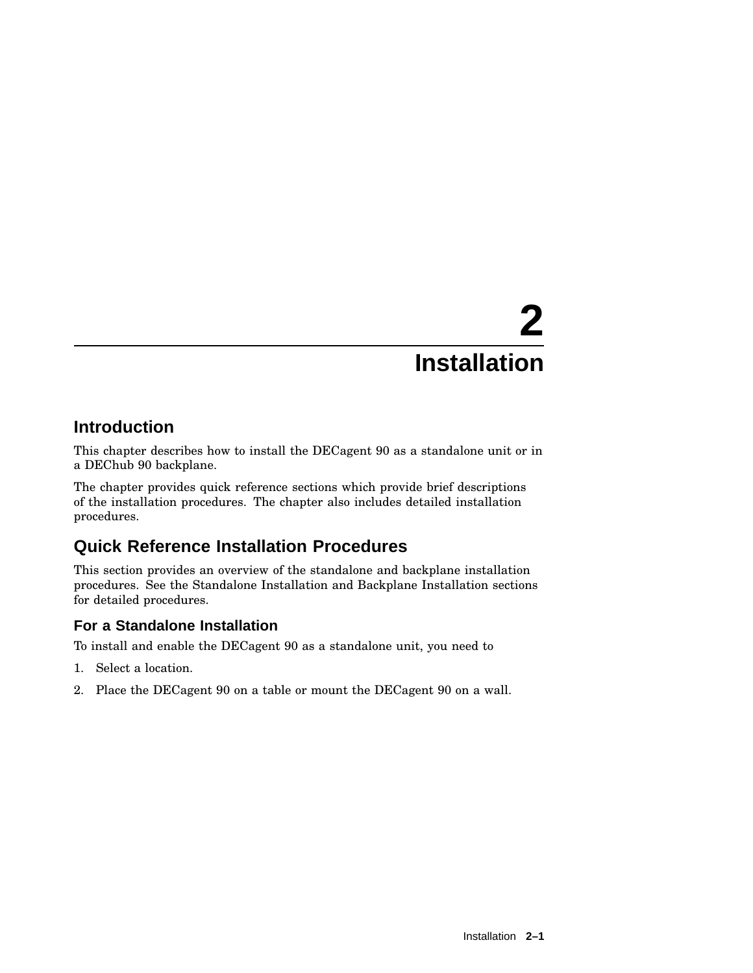# **2 Installation**

## **Introduction**

This chapter describes how to install the DECagent 90 as a standalone unit or in a DEChub 90 backplane.

The chapter provides quick reference sections which provide brief descriptions of the installation procedures. The chapter also includes detailed installation procedures.

## **Quick Reference Installation Procedures**

This section provides an overview of the standalone and backplane installation procedures. See the Standalone Installation and Backplane Installation sections for detailed procedures.

#### **For a Standalone Installation**

To install and enable the DECagent 90 as a standalone unit, you need to

- 1. Select a location.
- 2. Place the DECagent 90 on a table or mount the DECagent 90 on a wall.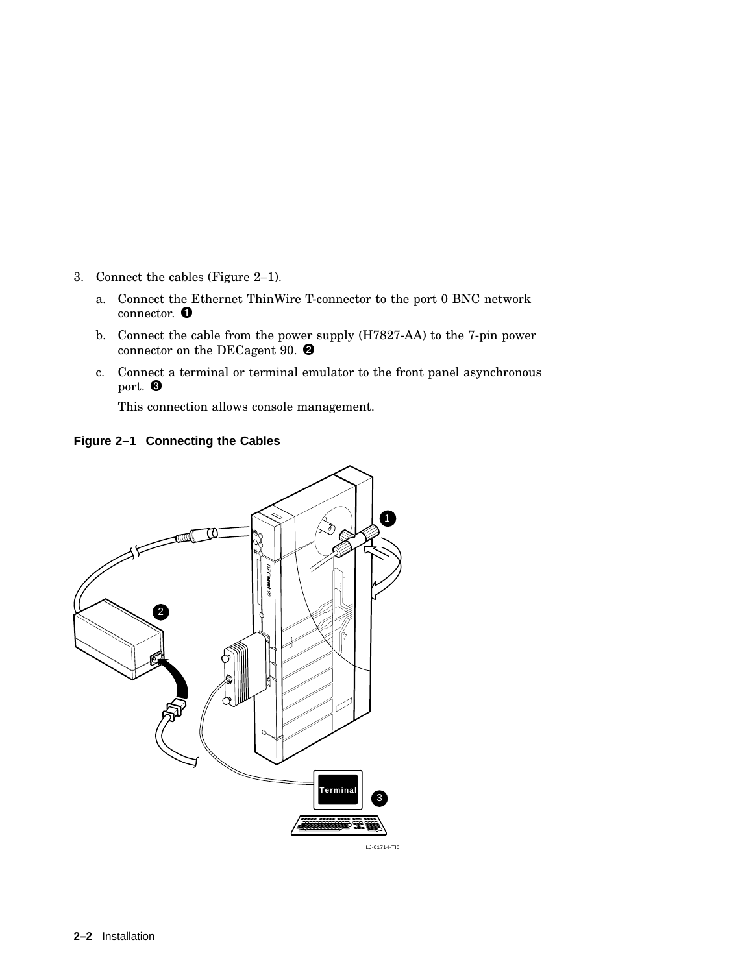- 3. Connect the cables (Figure 2–1).
	- a. Connect the Ethernet ThinWire T-connector to the port 0 BNC network connector.  $\bullet$
	- b. Connect the cable from the power supply (H7827-AA) to the 7-pin power connector on the DECagent 90.  $\bullet$
	- c. Connect a terminal or terminal emulator to the front panel asynchronous port.  $\bullet$

This connection allows console management.



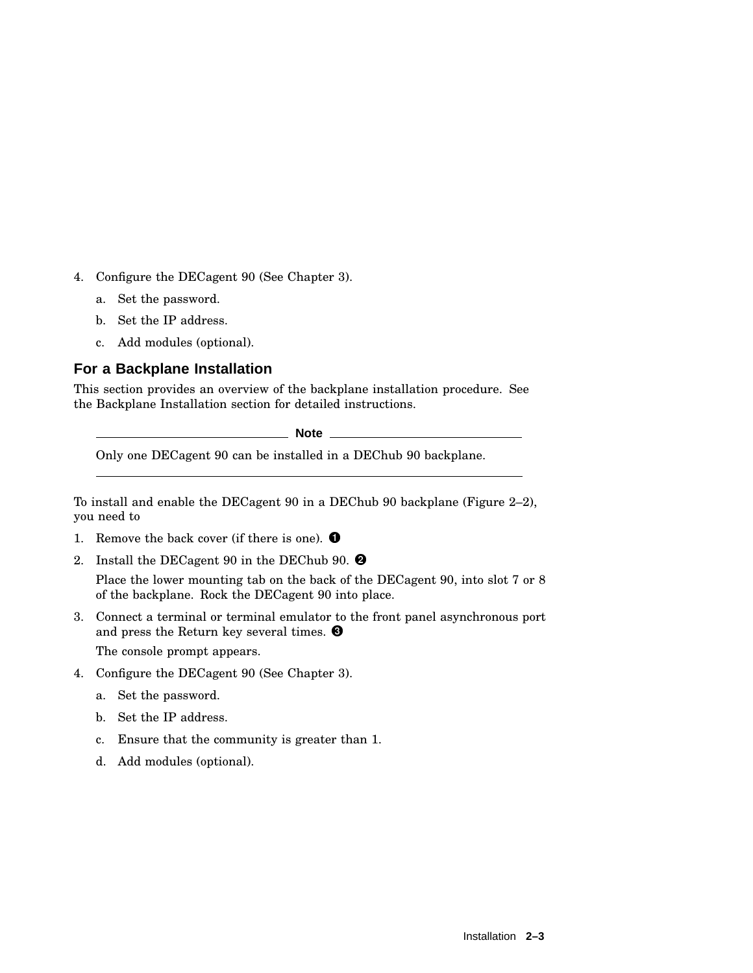- 4. Configure the DECagent 90 (See Chapter 3).
	- a. Set the password.
	- b. Set the IP address.
	- c. Add modules (optional).

#### **For a Backplane Installation**

This section provides an overview of the backplane installation procedure. See the Backplane Installation section for detailed instructions.

**Note** \_

Only one DECagent 90 can be installed in a DEChub 90 backplane.

To install and enable the DECagent 90 in a DEChub 90 backplane (Figure 2–2), you need to

- 1. Remove the back cover (if there is one).  $\bullet$
- 2. Install the DECagent 90 in the DEChub 90.  $\bullet$

Place the lower mounting tab on the back of the DECagent 90, into slot 7 or 8 of the backplane. Rock the DECagent 90 into place.

- 3. Connect a terminal or terminal emulator to the front panel asynchronous port and press the Return key several times. The console prompt appears.
- 4. Configure the DECagent 90 (See Chapter 3).
	- a. Set the password.
	- b. Set the IP address.
	- c. Ensure that the community is greater than 1.
	- d. Add modules (optional).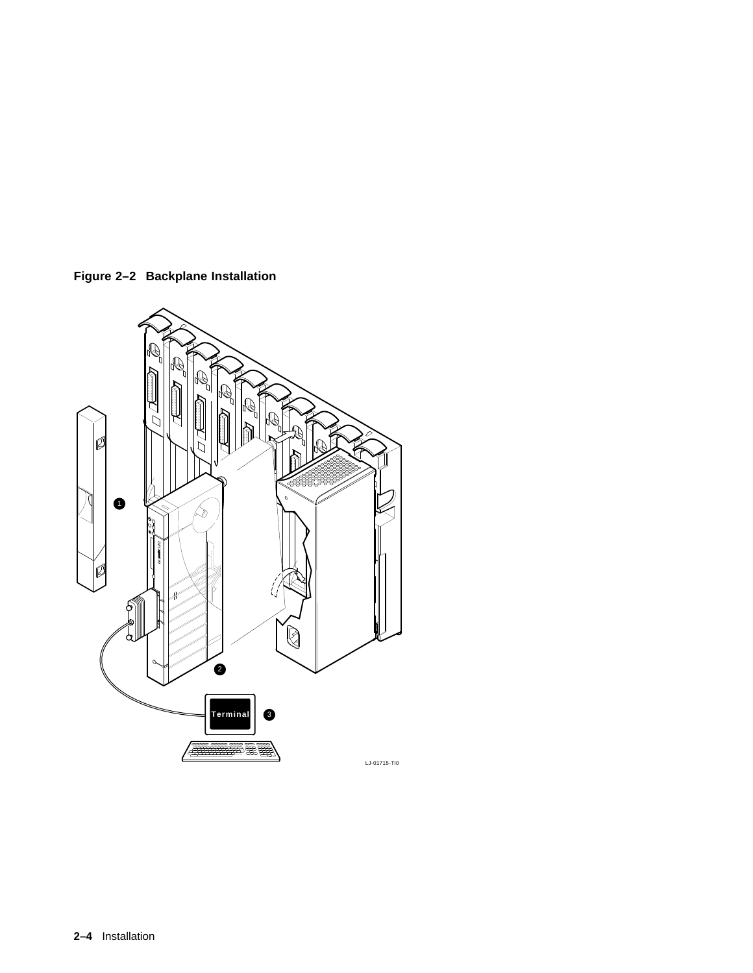

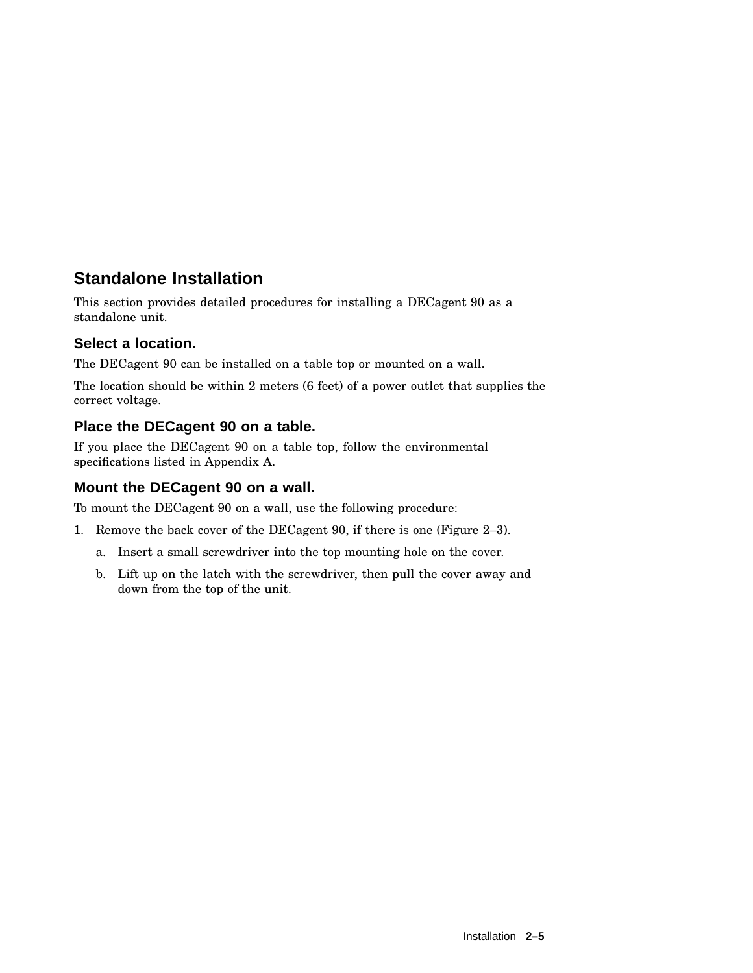## **Standalone Installation**

This section provides detailed procedures for installing a DECagent 90 as a standalone unit.

#### **Select a location.**

The DECagent 90 can be installed on a table top or mounted on a wall.

The location should be within 2 meters (6 feet) of a power outlet that supplies the correct voltage.

#### **Place the DECagent 90 on a table.**

If you place the DECagent 90 on a table top, follow the environmental specifications listed in Appendix A.

#### **Mount the DECagent 90 on a wall.**

To mount the DECagent 90 on a wall, use the following procedure:

- 1. Remove the back cover of the DECagent 90, if there is one (Figure 2–3).
	- a. Insert a small screwdriver into the top mounting hole on the cover.
	- b. Lift up on the latch with the screwdriver, then pull the cover away and down from the top of the unit.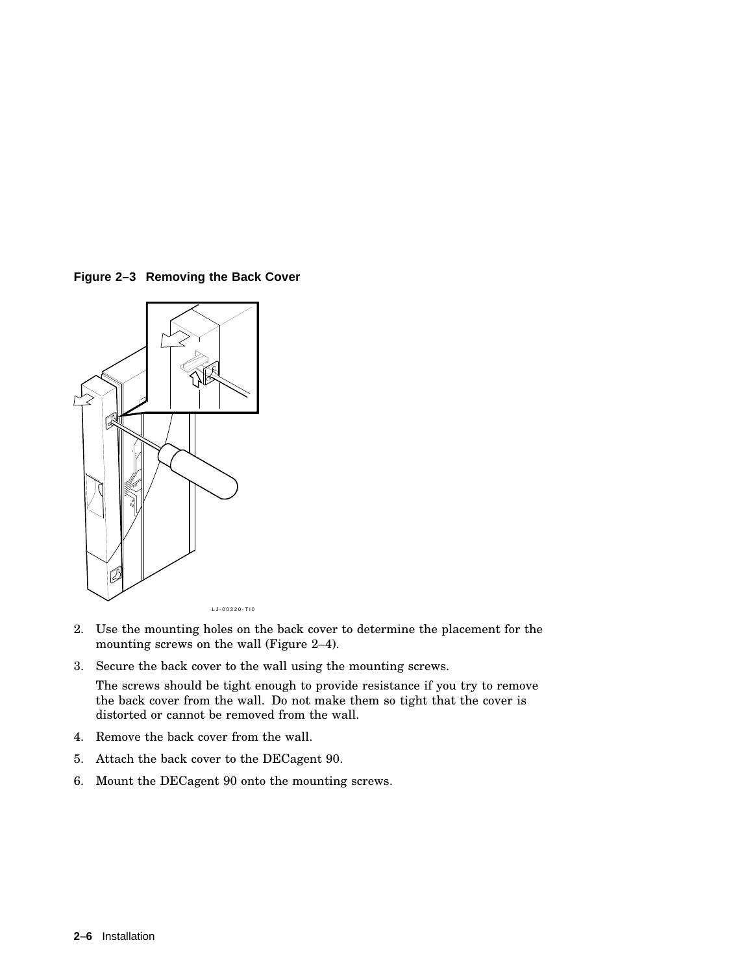**Figure 2–3 Removing the Back Cover**



- 2. Use the mounting holes on the back cover to determine the placement for the mounting screws on the wall (Figure 2–4).
- 3. Secure the back cover to the wall using the mounting screws.

The screws should be tight enough to provide resistance if you try to remove the back cover from the wall. Do not make them so tight that the cover is distorted or cannot be removed from the wall.

- 4. Remove the back cover from the wall.
- 5. Attach the back cover to the DECagent 90.
- 6. Mount the DECagent 90 onto the mounting screws.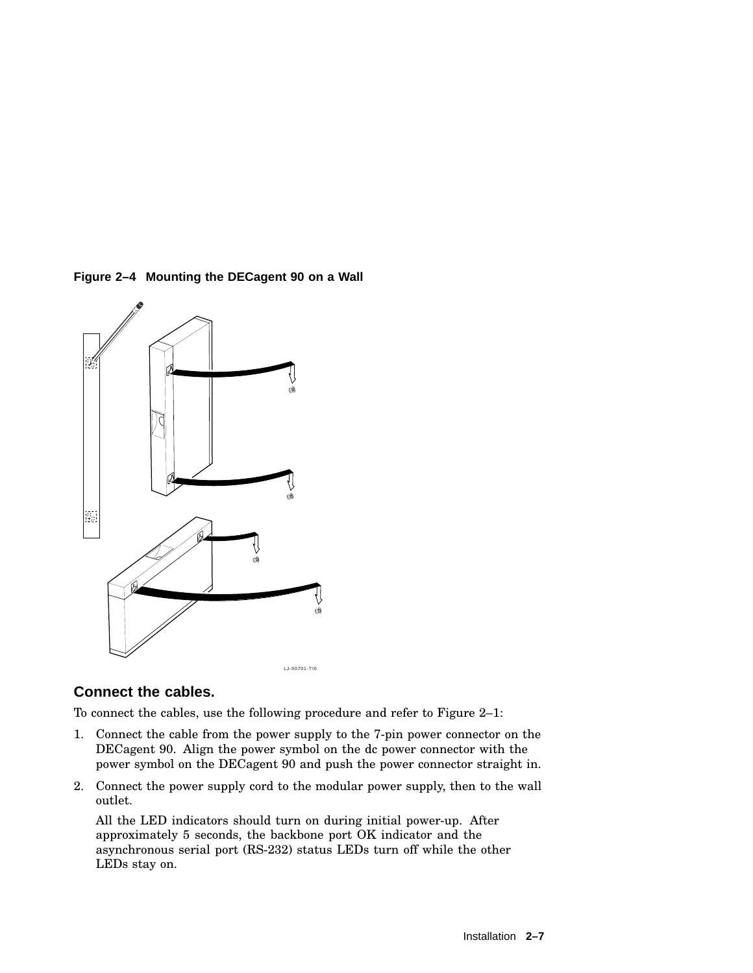**Figure 2–4 Mounting the DECagent 90 on a Wall**



#### **Connect the cables.**

To connect the cables, use the following procedure and refer to Figure 2–1:

- 1. Connect the cable from the power supply to the 7-pin power connector on the DECagent 90. Align the power symbol on the dc power connector with the power symbol on the DECagent 90 and push the power connector straight in.
- 2. Connect the power supply cord to the modular power supply, then to the wall outlet.

All the LED indicators should turn on during initial power-up. After approximately 5 seconds, the backbone port OK indicator and the asynchronous serial port (RS-232) status LEDs turn off while the other LEDs stay on.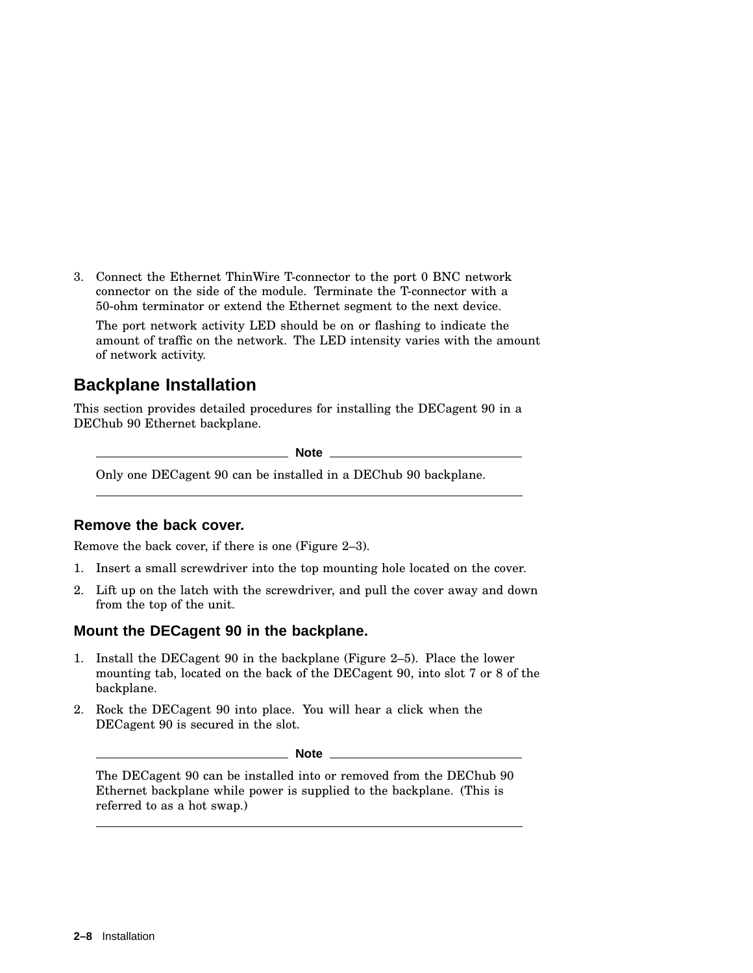3. Connect the Ethernet ThinWire T-connector to the port 0 BNC network connector on the side of the module. Terminate the T-connector with a 50-ohm terminator or extend the Ethernet segment to the next device.

The port network activity LED should be on or flashing to indicate the amount of traffic on the network. The LED intensity varies with the amount of network activity.

## **Backplane Installation**

This section provides detailed procedures for installing the DECagent 90 in a DEChub 90 Ethernet backplane.

**Note** \_\_\_

Only one DECagent 90 can be installed in a DEChub 90 backplane.

#### **Remove the back cover.**

Remove the back cover, if there is one (Figure 2–3).

- 1. Insert a small screwdriver into the top mounting hole located on the cover.
- 2. Lift up on the latch with the screwdriver, and pull the cover away and down from the top of the unit.

#### **Mount the DECagent 90 in the backplane.**

- 1. Install the DECagent 90 in the backplane (Figure 2–5). Place the lower mounting tab, located on the back of the DECagent 90, into slot 7 or 8 of the backplane.
- 2. Rock the DECagent 90 into place. You will hear a click when the DECagent 90 is secured in the slot.

\_ Note \_\_\_\_\_\_\_

The DECagent 90 can be installed into or removed from the DEChub 90 Ethernet backplane while power is supplied to the backplane. (This is referred to as a hot swap.)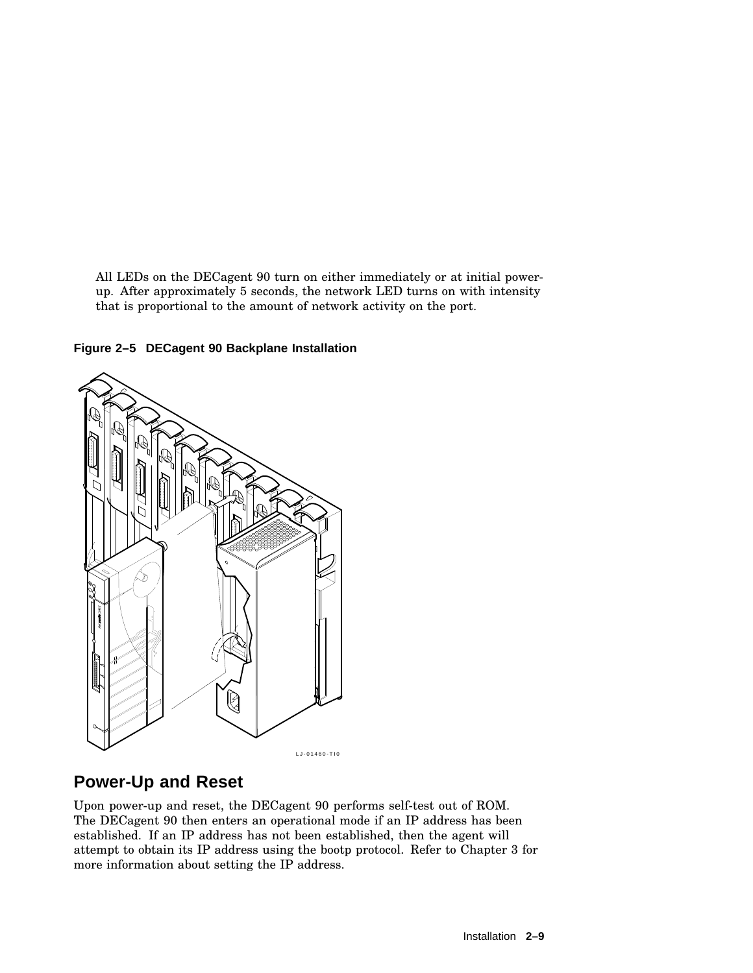All LEDs on the DECagent 90 turn on either immediately or at initial powerup. After approximately 5 seconds, the network LED turns on with intensity that is proportional to the amount of network activity on the port.

**Figure 2–5 DECagent 90 Backplane Installation**



## **Power-Up and Reset**

Upon power-up and reset, the DECagent 90 performs self-test out of ROM. The DECagent 90 then enters an operational mode if an IP address has been established. If an IP address has not been established, then the agent will attempt to obtain its IP address using the bootp protocol. Refer to Chapter 3 for more information about setting the IP address.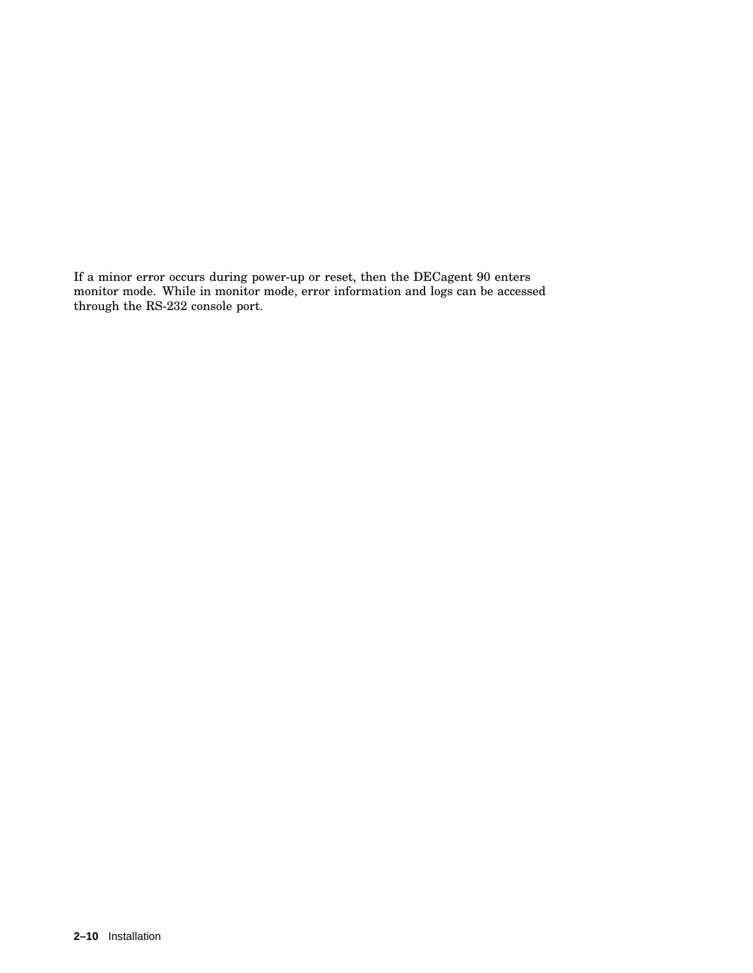If a minor error occurs during power-up or reset, then the DECagent 90 enters monitor mode. While in monitor mode, error information and logs can be accessed through the RS-232 console port.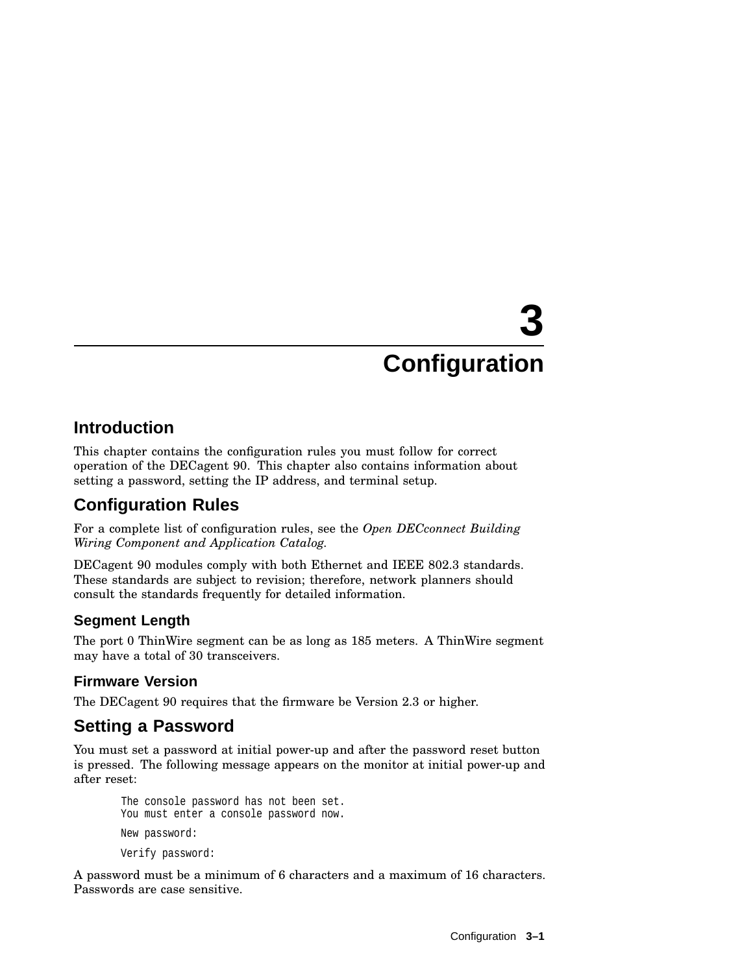# **3 Configuration**

## **Introduction**

This chapter contains the configuration rules you must follow for correct operation of the DECagent 90. This chapter also contains information about setting a password, setting the IP address, and terminal setup.

## **Configuration Rules**

For a complete list of configuration rules, see the *Open DECconnect Building Wiring Component and Application Catalog.*

DECagent 90 modules comply with both Ethernet and IEEE 802.3 standards. These standards are subject to revision; therefore, network planners should consult the standards frequently for detailed information.

## **Segment Length**

The port 0 ThinWire segment can be as long as 185 meters. A ThinWire segment may have a total of 30 transceivers.

## **Firmware Version**

The DECagent 90 requires that the firmware be Version 2.3 or higher.

## **Setting a Password**

You must set a password at initial power-up and after the password reset button is pressed. The following message appears on the monitor at initial power-up and after reset:

The console password has not been set. You must enter a console password now. New password: Verify password:

A password must be a minimum of 6 characters and a maximum of 16 characters. Passwords are case sensitive.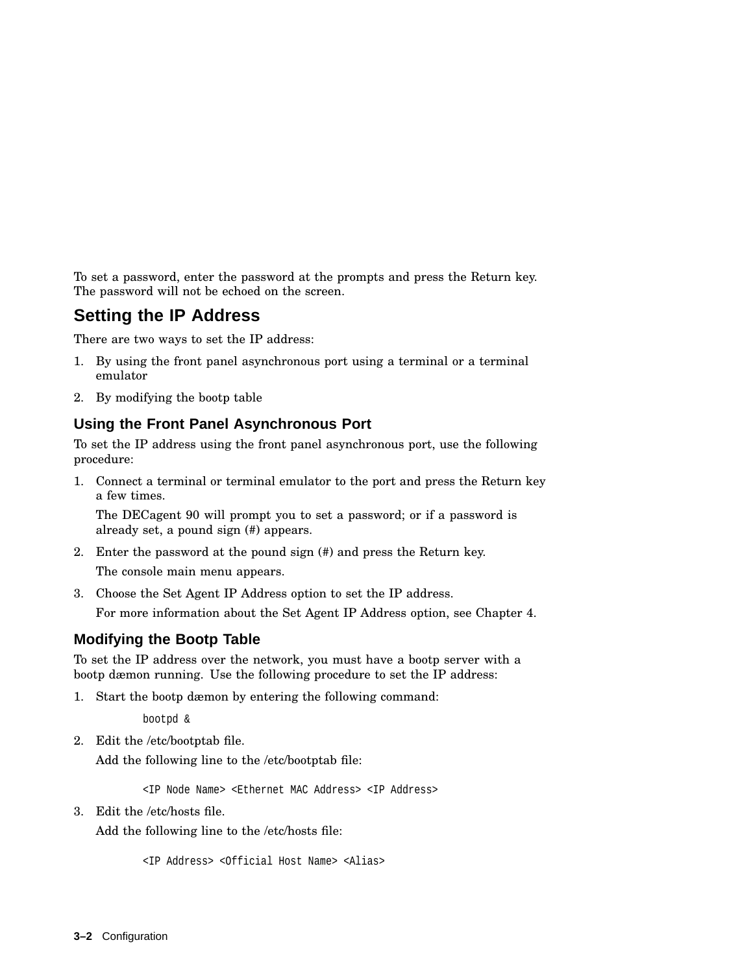To set a password, enter the password at the prompts and press the Return key. The password will not be echoed on the screen.

## **Setting the IP Address**

There are two ways to set the IP address:

- 1. By using the front panel asynchronous port using a terminal or a terminal emulator
- 2. By modifying the bootp table

#### **Using the Front Panel Asynchronous Port**

To set the IP address using the front panel asynchronous port, use the following procedure:

1. Connect a terminal or terminal emulator to the port and press the Return key a few times.

The DECagent 90 will prompt you to set a password; or if a password is already set, a pound sign (#) appears.

2. Enter the password at the pound sign (#) and press the Return key.

The console main menu appears.

3. Choose the Set Agent IP Address option to set the IP address.

For more information about the Set Agent IP Address option, see Chapter 4.

#### **Modifying the Bootp Table**

To set the IP address over the network, you must have a bootp server with a bootp dæmon running. Use the following procedure to set the IP address:

1. Start the bootp dæmon by entering the following command:

bootpd &

2. Edit the /etc/bootptab file.

Add the following line to the /etc/bootptab file:

<IP Node Name> <Ethernet MAC Address> <IP Address>

3. Edit the /etc/hosts file.

Add the following line to the /etc/hosts file:

<IP Address> <Official Host Name> <Alias>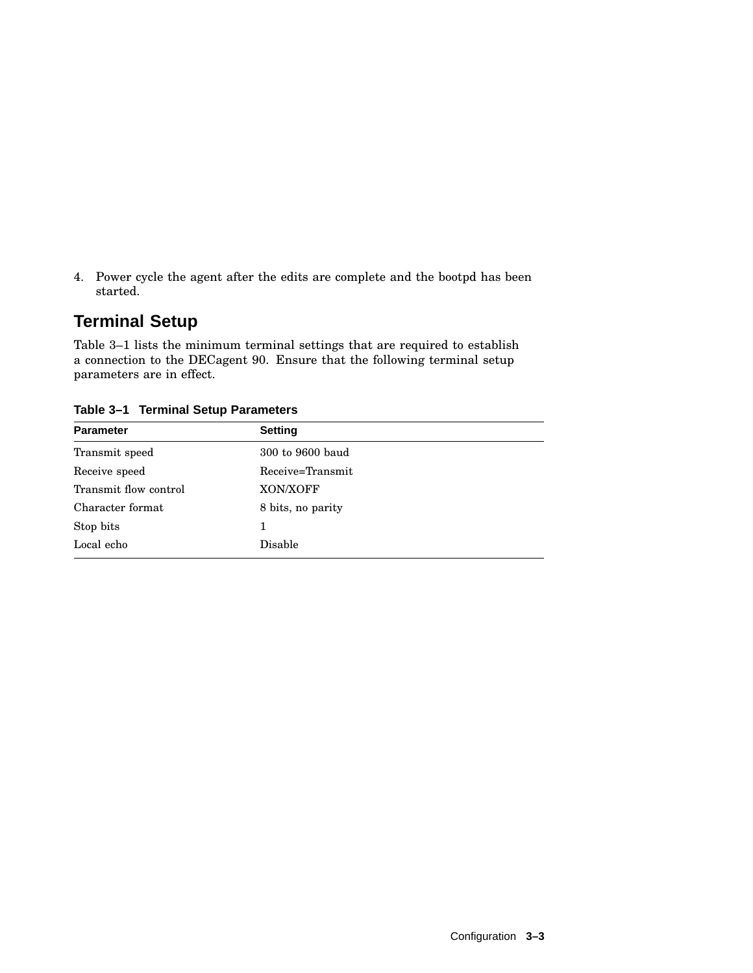4. Power cycle the agent after the edits are complete and the bootpd has been started.

## **Terminal Setup**

Table 3–1 lists the minimum terminal settings that are required to establish a connection to the DECagent 90. Ensure that the following terminal setup parameters are in effect.

| rapic o i romanica octup i aramctero |  |  |  |  |
|--------------------------------------|--|--|--|--|
| <b>Setting</b>                       |  |  |  |  |
| 300 to 9600 baud                     |  |  |  |  |
| Receive=Transmit                     |  |  |  |  |
| XON/XOFF                             |  |  |  |  |
| 8 bits, no parity                    |  |  |  |  |
| 1                                    |  |  |  |  |
| Disable                              |  |  |  |  |
|                                      |  |  |  |  |

**Table 3–1 Terminal Setup Parameters**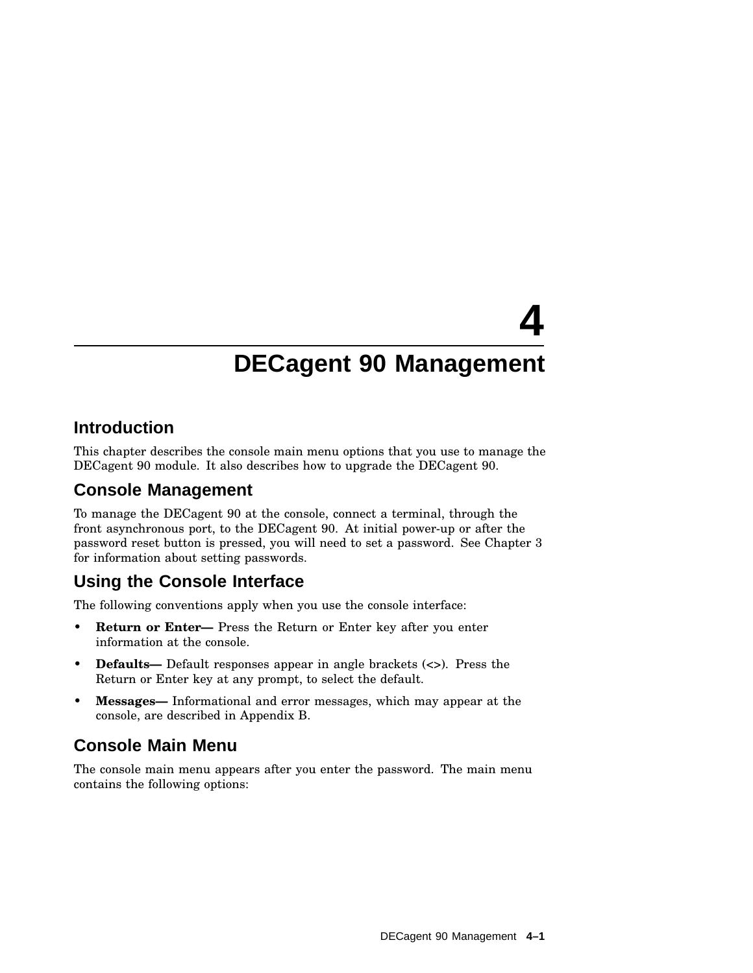# **4 DECagent 90 Management**

## **Introduction**

This chapter describes the console main menu options that you use to manage the DECagent 90 module. It also describes how to upgrade the DECagent 90.

## **Console Management**

To manage the DECagent 90 at the console, connect a terminal, through the front asynchronous port, to the DECagent 90. At initial power-up or after the password reset button is pressed, you will need to set a password. See Chapter 3 for information about setting passwords.

## **Using the Console Interface**

The following conventions apply when you use the console interface:

- **Return or Enter—** Press the Return or Enter key after you enter information at the console.
- **Defaults—** Default responses appear in angle brackets (<>). Press the Return or Enter key at any prompt, to select the default.
- **Messages—** Informational and error messages, which may appear at the console, are described in Appendix B.

## **Console Main Menu**

The console main menu appears after you enter the password. The main menu contains the following options: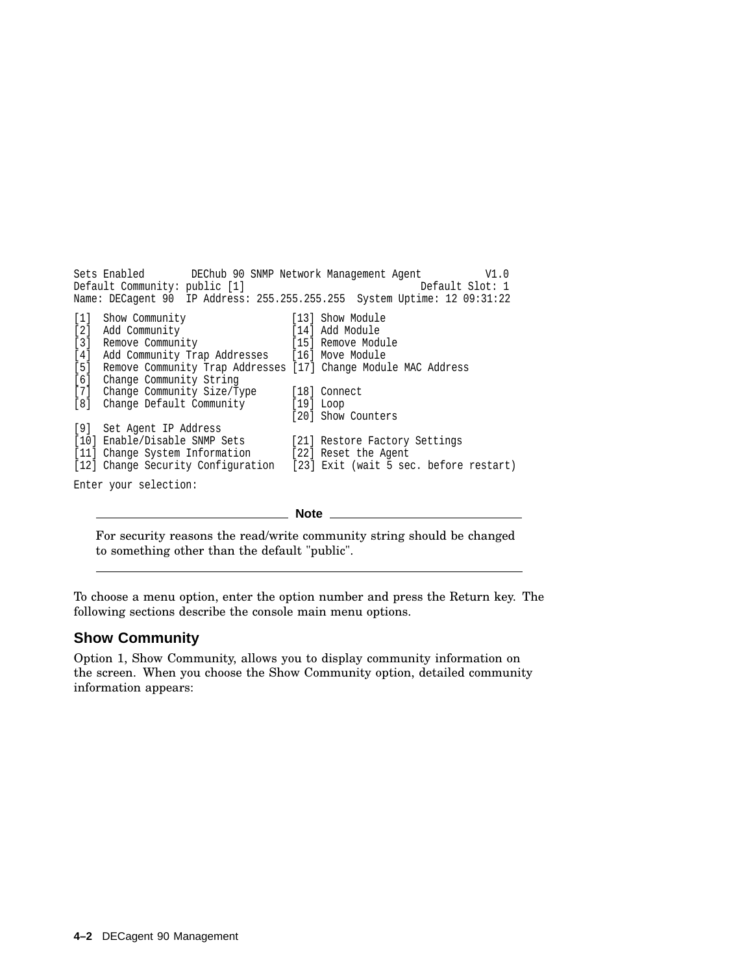Sets Enabled DEChub 90 SNMP Network Management Agent V1.0 Default Community: public [1] Name: DECagent 90 IP Address: 255.255.255.255 System Uptime: 12 09:31:22 [1] Show Community [13] Show Module [2] Add Community [14] Add Module [2] Add Community [14] Add Module [3] Remove Community [15] Remove Module [4] Add Community Trap Addresses [16] Move Module [5] Remove Community Trap Addresses [17] Change Module MAC Address [6] Change Community String [7] Change Community Size/Type [18] Connect [8] Change Default Community [19] Loop [20] Show Counters [9] Set Agent IP Address [10] Enable/Disable SNMP Sets [21] Restore Factory Settings [11] Change System Information [22] Reset the Agent [11] Change System Information [12] Change Security Configuration [23] Exit (wait 5 sec. before restart)

Enter your selection:

**Note**

For security reasons the read/write community string should be changed to something other than the default "public".

To choose a menu option, enter the option number and press the Return key. The following sections describe the console main menu options.

#### **Show Community**

Option 1, Show Community, allows you to display community information on the screen. When you choose the Show Community option, detailed community information appears: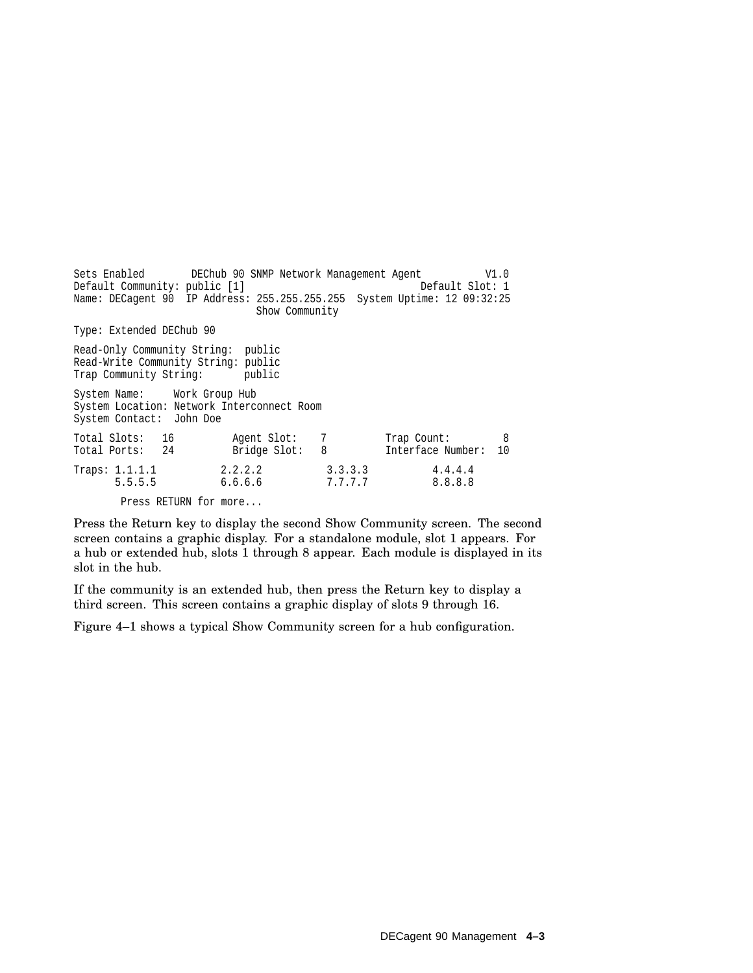Sets Enabled DEChub 90 SNMP Network Management Agent V1.0 Default Community: public [1] Name: DECagent 90 IP Address: 255.255.255.255 System Uptime: 12 09:32:25 Show Community Type: Extended DEChub 90 Read-Only Community String: public Read-Write Community String: public Trap Community String: public System Name: Work Group Hub System Location: Network Interconnect Room System Contact: John Doe Total Slots: 16 Agent Slot: 7 Trap Count: 8 Total Ports: 24 Bridge Slot: 8 Interface Number: 10 Traps: 1.1.1.1 2.2.2.2 3.3.3.3 4.4.4.4 5.5.5.5 6.6.6.6 7.7.7.7 8.8.8.8 Press RETURN for more...

Press the Return key to display the second Show Community screen. The second screen contains a graphic display. For a standalone module, slot 1 appears. For a hub or extended hub, slots 1 through 8 appear. Each module is displayed in its slot in the hub.

If the community is an extended hub, then press the Return key to display a third screen. This screen contains a graphic display of slots 9 through 16.

Figure 4–1 shows a typical Show Community screen for a hub configuration.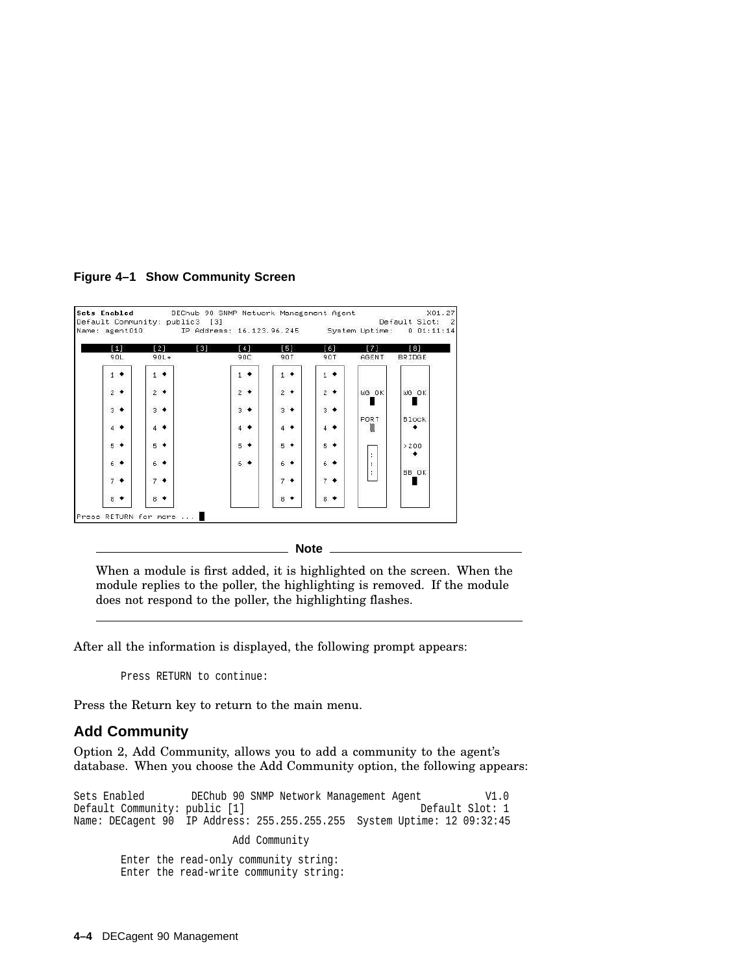**Figure 4–1 Show Community Screen**

|               |               | Name: agent010. IP Address: 16.123.96.245 System Uptime: 0.01:11:14 |               |                |           |              |
|---------------|---------------|---------------------------------------------------------------------|---------------|----------------|-----------|--------------|
| [1]           | [2]<br>[3]    | [4]                                                                 | [5]           | [6]            | [7]       | [8]          |
| 90L           | $90L +$       | 90C.                                                                | 90T           | 90T            | AGENT     | BRIDGE       |
| $1 +$         | $1 +$         | $1 +$                                                               | $1 +$         | $1 +$          |           |              |
| $2 +$         | $2$ $\bullet$ | $2 +$                                                               | $2 +$         | $2 +$          | WG OK     | WG OK        |
| $3 +$         | $3 +$         | $3 +$                                                               | $3 +$         | $3 +$          |           |              |
| $4$ $\bullet$ | $4$ $\bullet$ | $4$ $\bullet$                                                       | $4$ $\bullet$ | $4$ $\bullet$  | PORT<br>▓ | <b>Block</b> |
| $5^{\bullet}$ | $5 +$         | $5 +$                                                               | $5 +$         | $5 +$          |           | >200<br>≁    |
| $6 +$         | $6 +$         | $6 +$                                                               | $6 +$         | $6 +$          | ÷.<br>÷.  |              |
| $7 +$         | $7 +$         |                                                                     | $7 +$         | $7 +$          | ÷.        | BB OK        |
| $8^{\circ}$   | $8.$ *        |                                                                     | $8$ $\bullet$ | 8 <sup>4</sup> |           |              |

**Note**

When a module is first added, it is highlighted on the screen. When the module replies to the poller, the highlighting is removed. If the module does not respond to the poller, the highlighting flashes.

After all the information is displayed, the following prompt appears:

Press RETURN to continue:

Press the Return key to return to the main menu.

#### **Add Community**

Option 2, Add Community, allows you to add a community to the agent's database. When you choose the Add Community option, the following appears:

Sets Enabled DEChub 90 SNMP Network Management Agent V1.0 Default Community: public [1] Default Slot: 1 Name: DECagent 90 IP Address: 255.255.255.255 System Uptime: 12 09:32:45 Add Community Enter the read-only community string: Enter the read-write community string: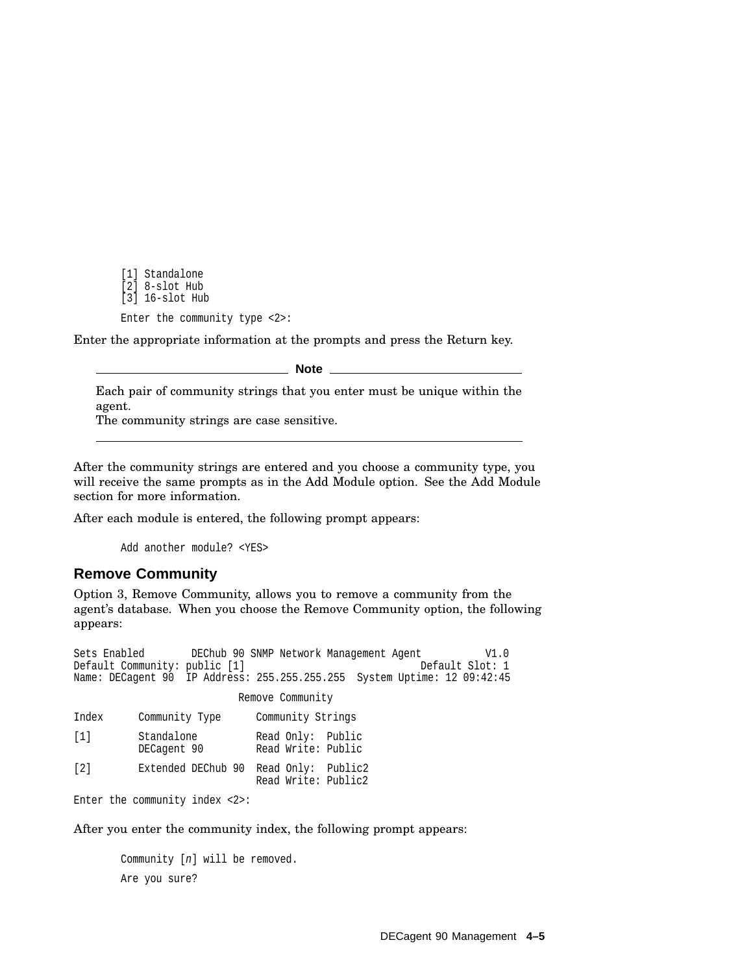[1] Standalone [2] 8-slot Hub [3] 16-slot Hub Enter the community type <2>:

Enter the appropriate information at the prompts and press the Return key.

**Note**

Each pair of community strings that you enter must be unique within the agent.

The community strings are case sensitive.

After the community strings are entered and you choose a community type, you will receive the same prompts as in the Add Module option. See the Add Module section for more information.

After each module is entered, the following prompt appears:

Add another module? <YES>

#### **Remove Community**

Option 3, Remove Community, allows you to remove a community from the agent's database. When you choose the Remove Community option, the following appears:

```
Sets Enabled DEChub 90 SNMP Network Management Agent V1.0
Default Community: public [1] Default Slot: 1
Name: DECagent 90 IP Address: 255.255.255.255 System Uptime: 12 09:42:45
                      Remove Community
Index Community Type Community Strings
[1] Standalone Read Only: Public
                         Read Write: Public
[2] Extended DEChub 90 Read Only: Public2
                         Read Write: Public2
Enter the community index <2>:
```
After you enter the community index, the following prompt appears:

```
Community [n] will be removed.
Are you sure?
```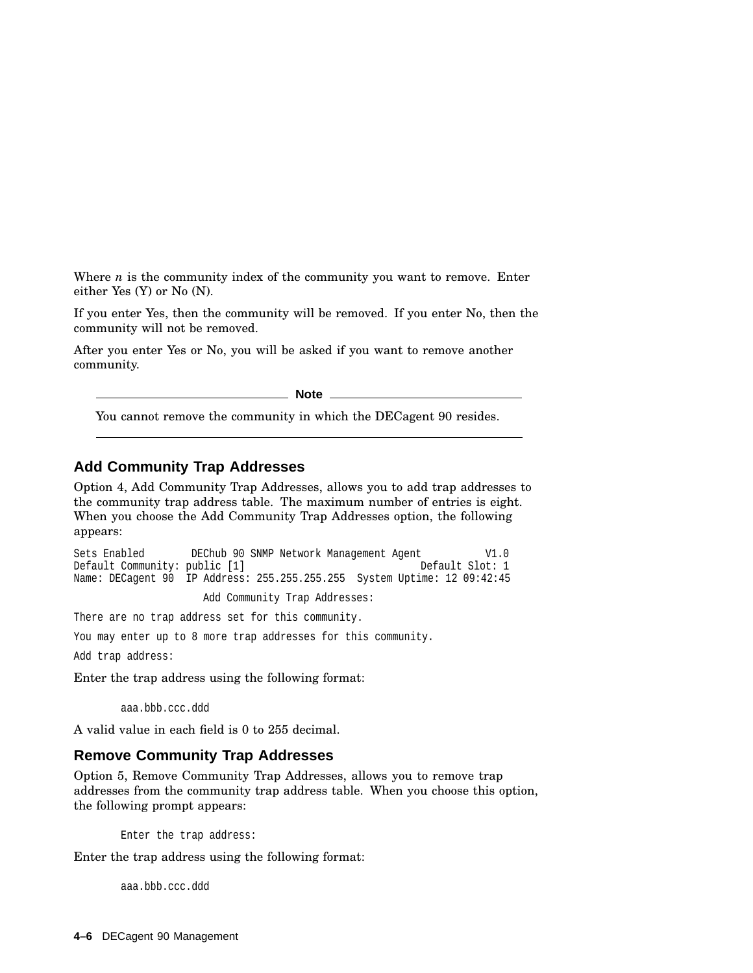Where *n* is the community index of the community you want to remove. Enter either Yes (Y) or No (N).

If you enter Yes, then the community will be removed. If you enter No, then the community will not be removed.

After you enter Yes or No, you will be asked if you want to remove another community.

**Note**

You cannot remove the community in which the DECagent 90 resides.

#### **Add Community Trap Addresses**

Option 4, Add Community Trap Addresses, allows you to add trap addresses to the community trap address table. The maximum number of entries is eight. When you choose the Add Community Trap Addresses option, the following appears:

```
Sets Enabled DEChub 90 SNMP Network Management Agent V1.0<br>Default Community: public [1] Default Slot: 1
Default Community: public [1]
Name: DECagent 90 IP Address: 255.255.255.255 System Uptime: 12 09:42:45
```
Add Community Trap Addresses:

There are no trap address set for this community.

You may enter up to 8 more trap addresses for this community.

Add trap address:

Enter the trap address using the following format:

aaa.bbb.ccc.ddd

A valid value in each field is 0 to 255 decimal.

#### **Remove Community Trap Addresses**

Option 5, Remove Community Trap Addresses, allows you to remove trap addresses from the community trap address table. When you choose this option, the following prompt appears:

Enter the trap address:

Enter the trap address using the following format:

aaa.bbb.ccc.ddd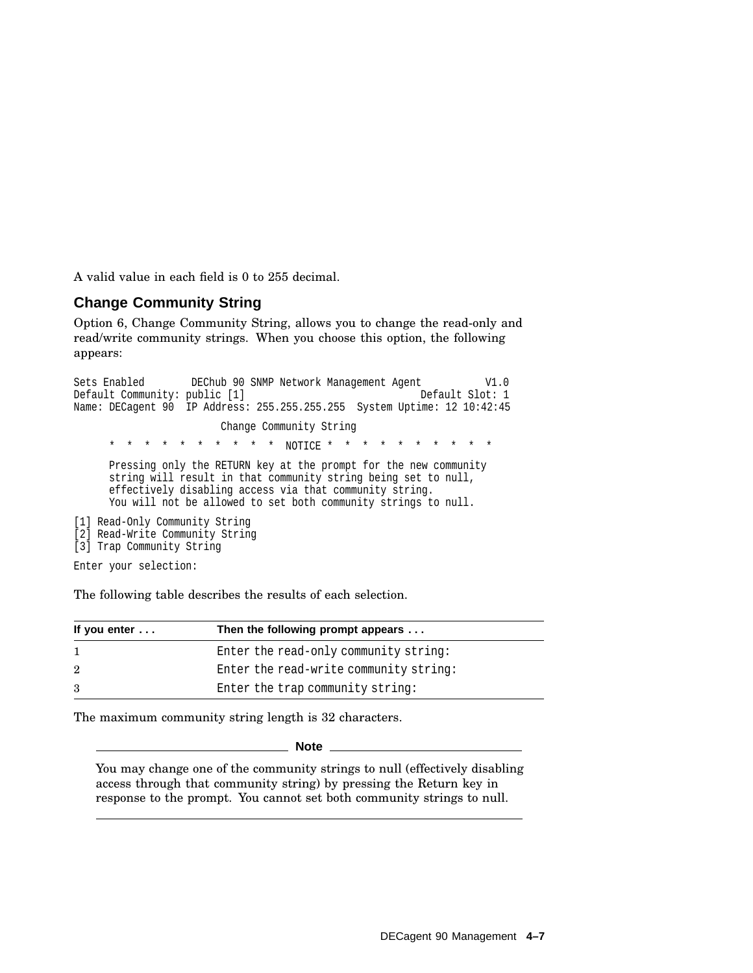A valid value in each field is 0 to 255 decimal.

#### **Change Community String**

Option 6, Change Community String, allows you to change the read-only and read/write community strings. When you choose this option, the following appears:

```
Sets Enabled DEChub 90 SNMP Network Management Agent V1.0<br>Default Community: public [1] Default Slot: 1
Default Community: public [1]
Name: DECagent 90 IP Address: 255.255.255.255 System Uptime: 12 10:42:45
                         Change Community String
               * * * * * * * * * * NOTICE * * * * * * * * * *
      Pressing only the RETURN key at the prompt for the new community
      string will result in that community string being set to null,
      effectively disabling access via that community string.
      You will not be allowed to set both community strings to null.
[1] Read-Only Community String
[2] Read-Write Community String
[3] Trap Community String
Enter your selection:
```
The following table describes the results of each selection.

| If you enter $\dots$ | Then the following prompt appears      |  |  |  |
|----------------------|----------------------------------------|--|--|--|
|                      | Enter the read-only community string:  |  |  |  |
| $\overline{2}$       | Enter the read-write community string: |  |  |  |
| 3                    | Enter the trap community string:       |  |  |  |

The maximum community string length is 32 characters.

**Note**

You may change one of the community strings to null (effectively disabling access through that community string) by pressing the Return key in response to the prompt. You cannot set both community strings to null.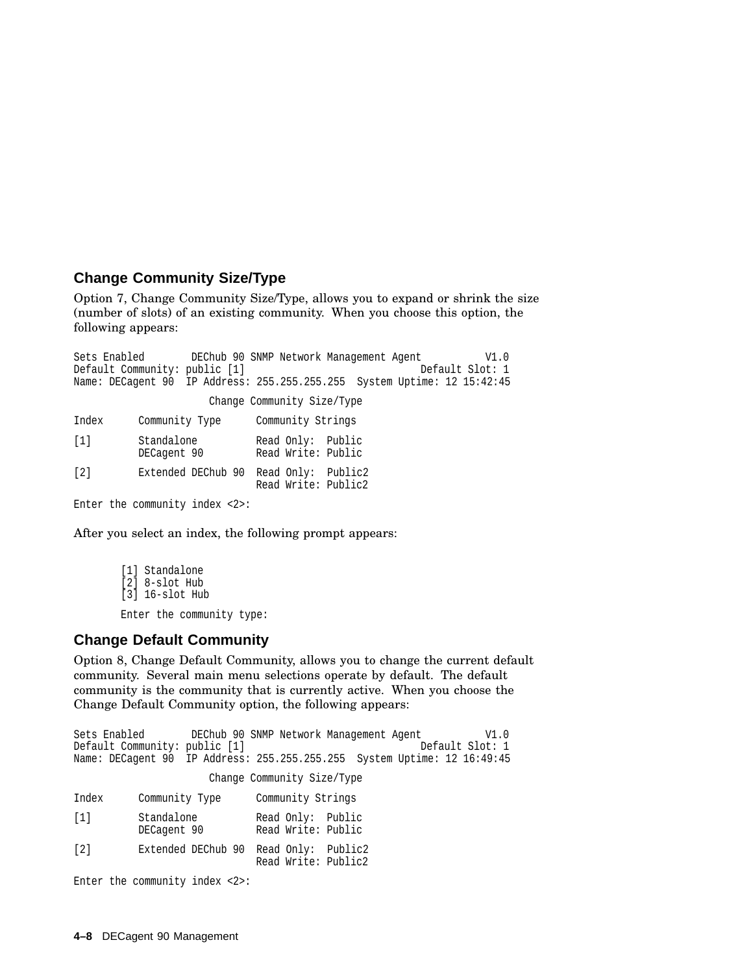#### **Change Community Size/Type**

Option 7, Change Community Size/Type, allows you to expand or shrink the size (number of slots) of an existing community. When you choose this option, the following appears:

Sets Enabled DEChub 90 SNMP Network Management Agent V1.0 Default Community: public [1] Default Slot: 1 Name: DECagent 90 IP Address: 255.255.255.255 System Uptime: 12 15:42:45 Change Community Size/Type Index Community Type Community Strings [1] Standalone Read Only: Public DECagent 90 Read Write: Public [2] Extended DEChub 90 Read Only: Public2 Read Write: Public2 Enter the community index <2>:

After you select an index, the following prompt appears:

```
[1] Standalone
[2] 8-slot Hub
[3] 16-slot Hub
Enter the community type:
```
#### **Change Default Community**

Option 8, Change Default Community, allows you to change the current default community. Several main menu selections operate by default. The default community is the community that is currently active. When you choose the Change Default Community option, the following appears:

Sets Enabled DEChub 90 SNMP Network Management Agent V1.0<br>Default Community: public [1] Default Slot: 1 Default Community: public [1] Name: DECagent 90 IP Address: 255.255.255.255 System Uptime: 12 16:49:45 Change Community Size/Type Index Community Type Community Strings [1] Standalone Read Only: Public Read Write: Public [2] Extended DEChub 90 Read Only: Public2 Read Write: Public2 Enter the community index <2>: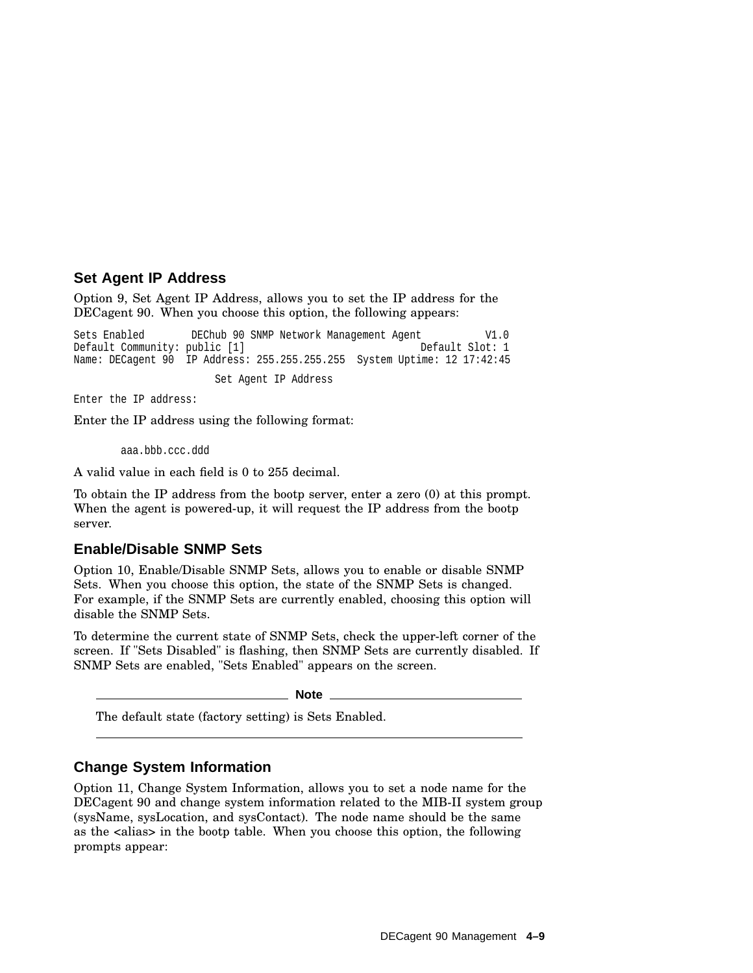#### **Set Agent IP Address**

Option 9, Set Agent IP Address, allows you to set the IP address for the DECagent 90. When you choose this option, the following appears:

Sets Enabled DEChub 90 SNMP Network Management Agent V1.0<br>Default Community: public [1] Default Slot: 1 Default Community: public [1] Name: DECagent 90 IP Address: 255.255.255.255 System Uptime: 12 17:42:45 Set Agent IP Address

Enter the IP address:

Enter the IP address using the following format:

aaa.bbb.ccc.ddd

A valid value in each field is 0 to 255 decimal.

To obtain the IP address from the bootp server, enter a zero (0) at this prompt. When the agent is powered-up, it will request the IP address from the bootp server.

#### **Enable/Disable SNMP Sets**

Option 10, Enable/Disable SNMP Sets, allows you to enable or disable SNMP Sets. When you choose this option, the state of the SNMP Sets is changed. For example, if the SNMP Sets are currently enabled, choosing this option will disable the SNMP Sets.

To determine the current state of SNMP Sets, check the upper-left corner of the screen. If "Sets Disabled" is flashing, then SNMP Sets are currently disabled. If SNMP Sets are enabled, "Sets Enabled" appears on the screen.

**Note**

The default state (factory setting) is Sets Enabled.

#### **Change System Information**

Option 11, Change System Information, allows you to set a node name for the DECagent 90 and change system information related to the MIB-II system group (sysName, sysLocation, and sysContact). The node name should be the same as the <alias> in the bootp table. When you choose this option, the following prompts appear: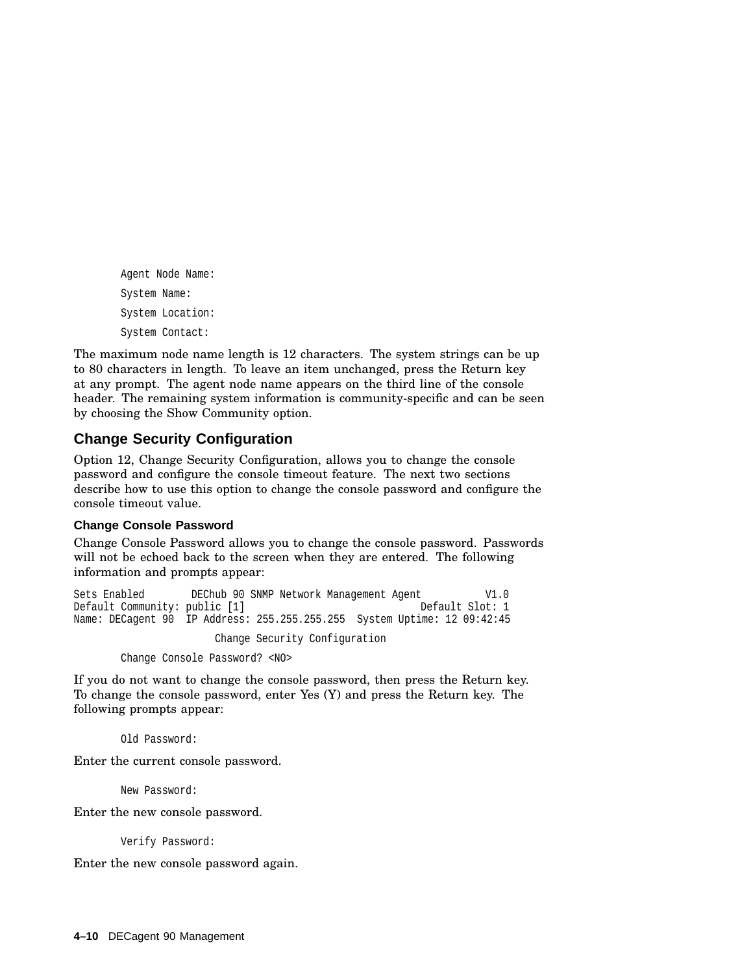Agent Node Name: System Name: System Location: System Contact:

The maximum node name length is 12 characters. The system strings can be up to 80 characters in length. To leave an item unchanged, press the Return key at any prompt. The agent node name appears on the third line of the console header. The remaining system information is community-specific and can be seen by choosing the Show Community option.

#### **Change Security Configuration**

Option 12, Change Security Configuration, allows you to change the console password and configure the console timeout feature. The next two sections describe how to use this option to change the console password and configure the console timeout value.

#### **Change Console Password**

Change Console Password allows you to change the console password. Passwords will not be echoed back to the screen when they are entered. The following information and prompts appear:

Sets Enabled DEChub 90 SNMP Network Management Agent V1.0 Default Community: public [1] Name: DECagent 90 IP Address: 255.255.255.255 System Uptime: 12 09:42:45 Change Security Configuration

Change Console Password? <NO>

If you do not want to change the console password, then press the Return key. To change the console password, enter Yes (Y) and press the Return key. The following prompts appear:

Old Password:

Enter the current console password.

New Password:

Enter the new console password.

Verify Password:

Enter the new console password again.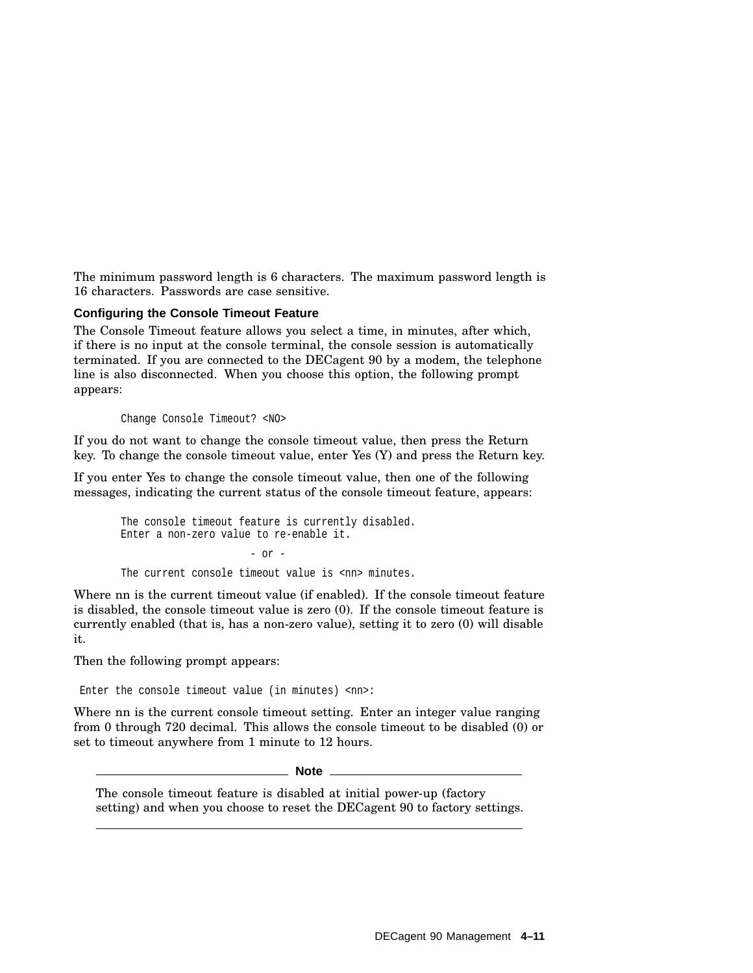The minimum password length is 6 characters. The maximum password length is 16 characters. Passwords are case sensitive.

#### **Configuring the Console Timeout Feature**

The Console Timeout feature allows you select a time, in minutes, after which, if there is no input at the console terminal, the console session is automatically terminated. If you are connected to the DECagent 90 by a modem, the telephone line is also disconnected. When you choose this option, the following prompt appears:

Change Console Timeout? <NO>

If you do not want to change the console timeout value, then press the Return key. To change the console timeout value, enter Yes (Y) and press the Return key.

If you enter Yes to change the console timeout value, then one of the following messages, indicating the current status of the console timeout feature, appears:

The console timeout feature is currently disabled. Enter a non-zero value to re-enable it.  $-$  or  $-$ The current console timeout value is <nn> minutes.

Where nn is the current timeout value (if enabled). If the console timeout feature is disabled, the console timeout value is zero (0). If the console timeout feature is currently enabled (that is, has a non-zero value), setting it to zero (0) will disable it.

Then the following prompt appears:

Enter the console timeout value (in minutes) <nn>:

Where nn is the current console timeout setting. Enter an integer value ranging from 0 through 720 decimal. This allows the console timeout to be disabled (0) or set to timeout anywhere from 1 minute to 12 hours.

**Note**

The console timeout feature is disabled at initial power-up (factory setting) and when you choose to reset the DECagent 90 to factory settings.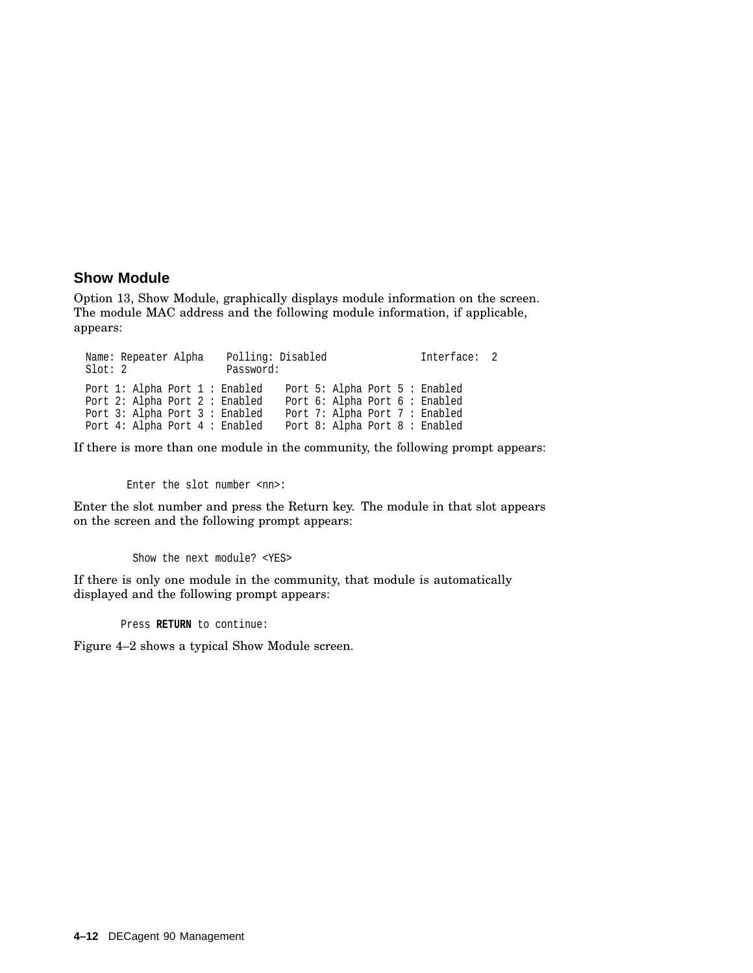#### **Show Module**

Option 13, Show Module, graphically displays module information on the screen. The module MAC address and the following module information, if applicable, appears:

Name: Repeater Alpha Polling: Disabled Interface: 2 Slot: 2 Password: Port 1: Alpha Port 1 : Enabled Port 5: Alpha Port 5 : Enabled<br>Port 2: Alpha Port 2 : Enabled Port 6: Alpha Port 6 : Enabled Port 6: Alpha Port 6: Enabled<br>Port 7: Alpha Port 7: Enabled Port 3: Alpha Port 3 : Enabled Port 7: Alpha Port 7 : Enabled<br>Port 4: Alpha Port 4 : Enabled Port 8: Alpha Port 8 : Enabled Port 4: Alpha Port 4: Enabled

If there is more than one module in the community, the following prompt appears:

Enter the slot number <nn>:

Enter the slot number and press the Return key. The module in that slot appears on the screen and the following prompt appears:

Show the next module? <YES>

If there is only one module in the community, that module is automatically displayed and the following prompt appears:

Press **RETURN** to continue:

Figure 4–2 shows a typical Show Module screen.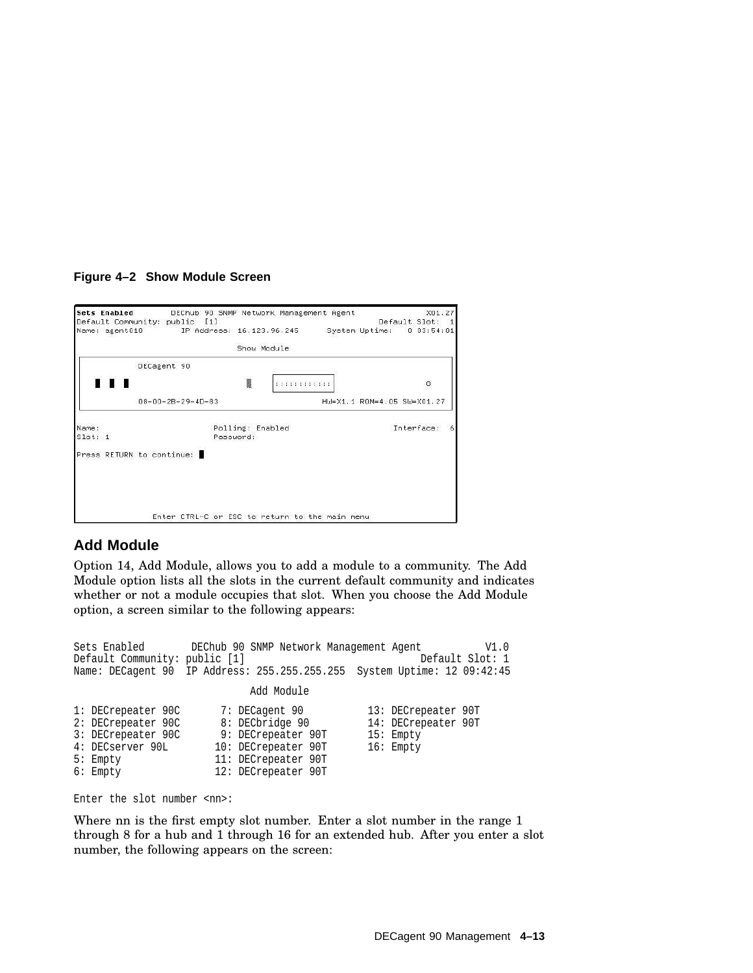#### **Figure 4–2 Show Module Screen**

|                  |                           | Sets Enabled DEChub 90 SNMP Network Management Agent<br>Default Community: public [1] |           |                  |              |                            | X01.27<br>Default Slot: 1 |   |
|------------------|---------------------------|---------------------------------------------------------------------------------------|-----------|------------------|--------------|----------------------------|---------------------------|---|
|                  |                           | Name: agent010 [P Address: 16.123.96.245   System Uptime: 0 03:54:01                  |           |                  |              |                            |                           |   |
|                  |                           |                                                                                       |           | Show Module      |              |                            |                           |   |
|                  | DECagent 90               |                                                                                       |           |                  |              |                            |                           |   |
|                  |                           |                                                                                       |           |                  | :::::::::::: |                            | $\circ$                   |   |
|                  |                           | $08 - 00 - 2B - 29 - 4D - 83$                                                         |           |                  |              | HW=X1.1 ROM=4.05 SW=X01.27 |                           |   |
|                  |                           |                                                                                       |           |                  |              |                            |                           |   |
| Name:<br>Slot: 1 |                           |                                                                                       | Password: | Polling: Enabled |              |                            | Interface:                | 6 |
|                  | Press RETURN to continue: |                                                                                       |           |                  |              |                            |                           |   |
|                  |                           |                                                                                       |           |                  |              |                            |                           |   |
|                  |                           |                                                                                       |           |                  |              |                            |                           |   |
|                  |                           |                                                                                       |           |                  |              |                            |                           |   |
|                  |                           | Enter CTRL-C or ESC to return to the main menu                                        |           |                  |              |                            |                           |   |

#### **Add Module**

Option 14, Add Module, allows you to add a module to a community. The Add Module option lists all the slots in the current default community and indicates whether or not a module occupies that slot. When you choose the Add Module option, a screen similar to the following appears:

```
Sets Enabled DEChub 90 SNMP Network Management Agent V1.0<br>Default Community: public [1] Default Slot: 1
Default Community: public [1]
Name: DECagent 90 IP Address: 255.255.255.255 System Uptime: 12 09:42:45
                                   Add Module
1: DECrepeater 90C 7: DECagent 90 13: DECrepeater 90T
2: DECrepeater 90C 8: DECbridge 90 14: DECrepeater 90T<br>3: DECrepeater 90C 9: DECrepeater 90T 15: Empty
3: DECrepeater 90C 9: DECrepeater 90T<br>4: DECserver 90L 10: DECrepeater 90T
4: DECserver 90L 10: DECrepeater 90T 16: Empty<br>5: Empty 11: DECrepeater 90T
                           11: DECrepeater 90T
6: Empty 12: DECrepeater 90T
```
Enter the slot number <nn>:

Where nn is the first empty slot number. Enter a slot number in the range 1 through 8 for a hub and 1 through 16 for an extended hub. After you enter a slot number, the following appears on the screen: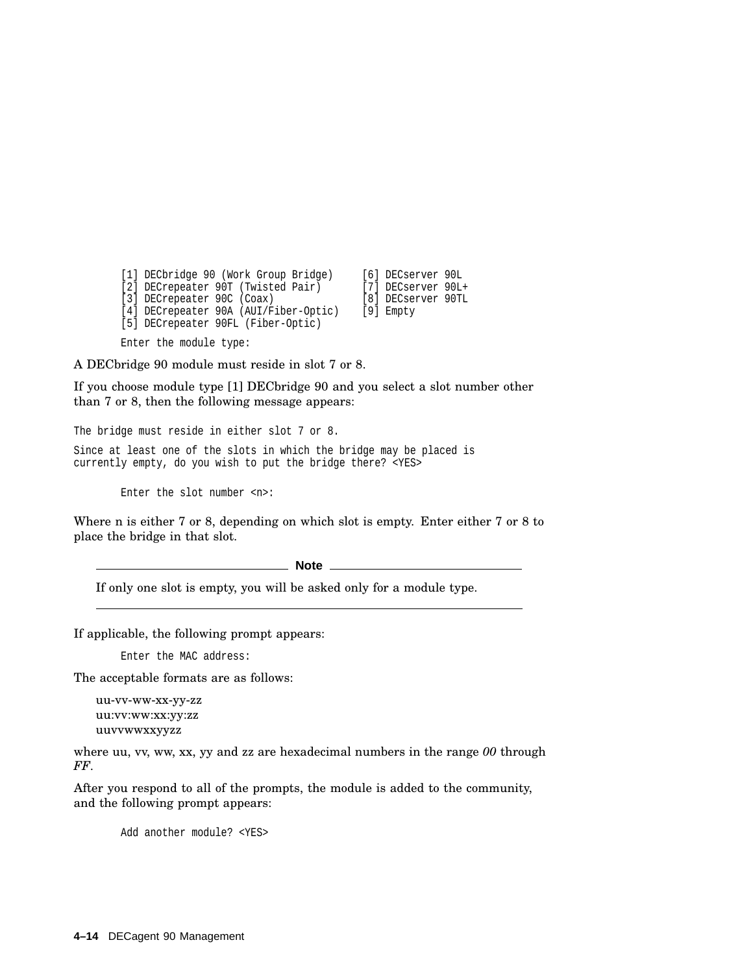[1] DECbridge 90 (Work Group Bridge) [6] DECserver 90L [2] DECrepeater 90T (Twisted Pair) [7] DECserver 90L+<br>[3] DECrepeater 90C (Coax) [8] DECserver 90TL [3] DECrepeater 90C (Coax) [4] DECrepeater 90A (AUI/Fiber-Optic) [9] Empty [5] DECrepeater 90FL (Fiber-Optic)

Enter the module type:

A DECbridge 90 module must reside in slot 7 or 8.

If you choose module type [1] DECbridge 90 and you select a slot number other than 7 or 8, then the following message appears:

The bridge must reside in either slot 7 or 8.

Since at least one of the slots in which the bridge may be placed is currently empty, do you wish to put the bridge there? <YES>

Enter the slot number <n>:

Where n is either 7 or 8, depending on which slot is empty. Enter either 7 or 8 to place the bridge in that slot.

**Note** \_\_\_

If only one slot is empty, you will be asked only for a module type.

If applicable, the following prompt appears:

Enter the MAC address:

The acceptable formats are as follows:

uu-vv-ww-xx-yy-zz uu:vv:ww:xx:yy:zz uuvvwwxxyyzz

where uu, vv, ww, xx, yy and zz are hexadecimal numbers in the range 00 through *FF*.

After you respond to all of the prompts, the module is added to the community, and the following prompt appears:

Add another module? <YES>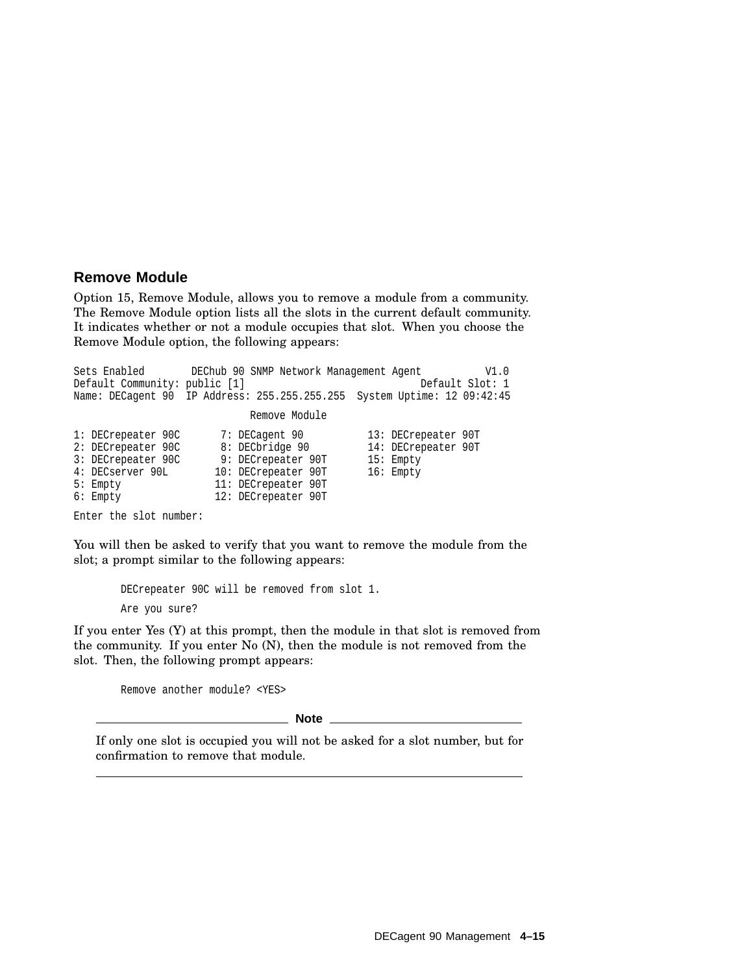#### **Remove Module**

Option 15, Remove Module, allows you to remove a module from a community. The Remove Module option lists all the slots in the current default community. It indicates whether or not a module occupies that slot. When you choose the Remove Module option, the following appears:

Sets Enabled DEChub 90 SNMP Network Management Agent V1.0 Default Community: public [1] Name: DECagent 90 IP Address: 255.255.255.255 System Uptime: 12 09:42:45 Remove Module 1: DECrepeater 90C 7: DECagent 90 13: DECrepeater 90T<br>2: DECrepeater 90C 8: DECbridge 90 14: DECrepeater 90T 2: DECrepeater 90C 8: DECbridge 90 14: DECrepeater 90T<br>3: DECrepeater 90C 9: DECrepeater 90T 15: Empty 3: DECrepeater 90C 9: DECrepeater 90T 15: Empty<br>4: DECserver 90L 10: DECrepeater 90T 16: Empty 10: DECrepeater 90T 5: Empty 11: DECrepeater 90T 6: Empty 12: DECrepeater 90T

Enter the slot number:

You will then be asked to verify that you want to remove the module from the slot; a prompt similar to the following appears:

> DECrepeater 90C will be removed from slot 1. Are you sure?

If you enter Yes (Y) at this prompt, then the module in that slot is removed from the community. If you enter No (N), then the module is not removed from the slot. Then, the following prompt appears:

Remove another module? <YES>

**Note**

If only one slot is occupied you will not be asked for a slot number, but for confirmation to remove that module.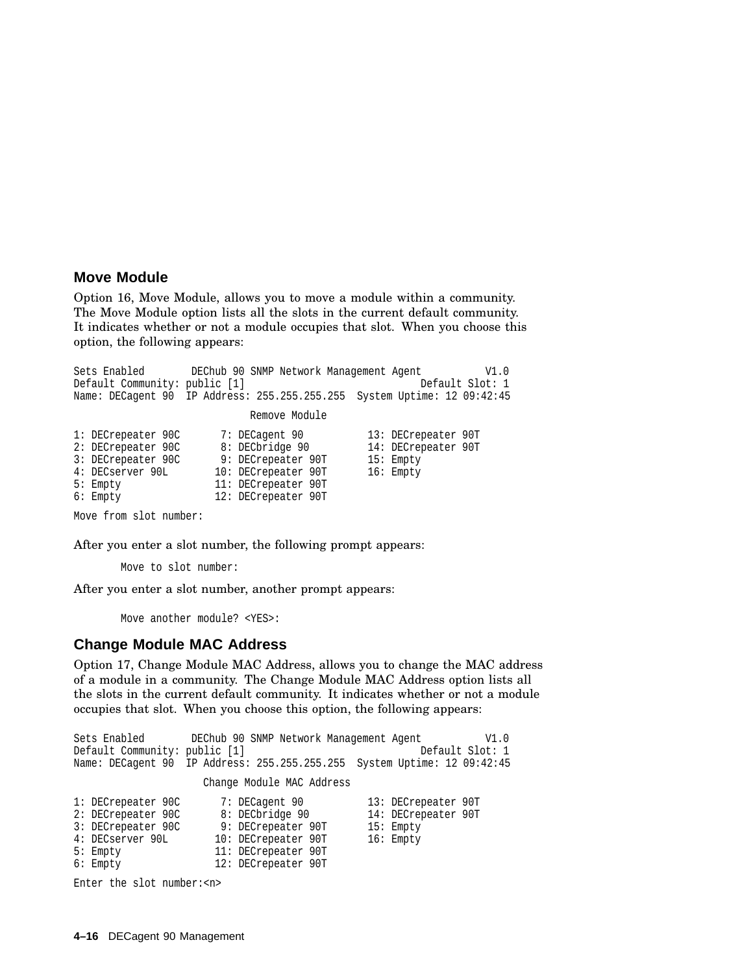#### **Move Module**

Option 16, Move Module, allows you to move a module within a community. The Move Module option lists all the slots in the current default community. It indicates whether or not a module occupies that slot. When you choose this option, the following appears:

Sets Enabled DEChub 90 SNMP Network Management Agent V1.0 Default Community: public [1] Default Slot: 1 Name: DECagent 90 IP Address: 255.255.255.255 System Uptime: 12 09:42:45 Remove Module 1: DECrepeater 90C 7: DECagent 90 13: DECrepeater 90T<br>2: DECrepeater 90C 8: DECbridge 90 14: DECrepeater 90T 14: DECrepeater 90T 3: DECrepeater 90C 9: DECrepeater 90T 15: Empty 10: DECrepeater 90T 5: Empty 11: DECrepeater 90T 6: Empty 12: DECrepeater 90T

Move from slot number:

After you enter a slot number, the following prompt appears:

Move to slot number:

After you enter a slot number, another prompt appears:

Move another module? <YES>:

#### **Change Module MAC Address**

Option 17, Change Module MAC Address, allows you to change the MAC address of a module in a community. The Change Module MAC Address option lists all the slots in the current default community. It indicates whether or not a module occupies that slot. When you choose this option, the following appears:

Sets Enabled DEChub 90 SNMP Network Management Agent V1.0 Default Community: public [1] Name: DECagent 90 IP Address: 255.255.255.255 System Uptime: 12 09:42:45 Change Module MAC Address 1: DECrepeater 90C 7: DECagent 90 13: DECrepeater 90T 2: DECrepeater 90C 8: DECbridge 90 14: DECrepeater 90T 3: DECrepeater 90C 9: DECrepeater 90T 15: Empty 4: DECserver 90L 10: DECrepeater 90T 16: Empty 5: Empty 11: DECrepeater 90T<br>6: Empty 12: DECrepeater 90T 12: DECrepeater 90T

Enter the slot number:<n>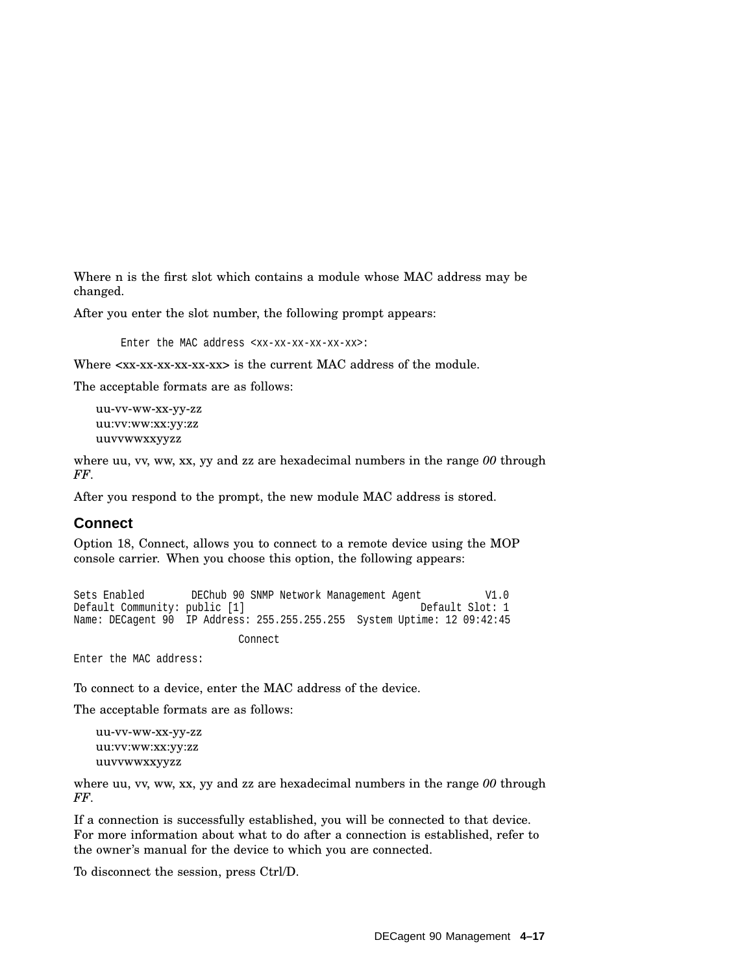Where n is the first slot which contains a module whose MAC address may be changed.

After you enter the slot number, the following prompt appears:

Enter the MAC address <xx-xx-xx-xx-xx-xx>:

Where  $\langle xx-xx-xx-xx-xx\rangle$  is the current MAC address of the module.

The acceptable formats are as follows:

```
uu-vv-ww-xx-yy-zz
uu:vv:ww:xx:yy:zz
uuvvwwxxyyzz
```
where uu, vv, ww, xx, yy and zz are hexadecimal numbers in the range *00* through *FF*.

After you respond to the prompt, the new module MAC address is stored.

#### **Connect**

Option 18, Connect, allows you to connect to a remote device using the MOP console carrier. When you choose this option, the following appears:

Sets Enabled DEChub 90 SNMP Network Management Agent V1.0<br>Default Community: public [1] Default Slot: 1 Default Community: public [1] Name: DECagent 90 IP Address: 255.255.255.255 System Uptime: 12 09:42:45 Connect

Enter the MAC address:

To connect to a device, enter the MAC address of the device.

The acceptable formats are as follows:

```
uu-vv-ww-xx-yy-zz
uu:vv:ww:xx:yy:zz
uuvvwwxxyyzz
```
where uu, vv, ww, xx, yy and zz are hexadecimal numbers in the range *00* through *FF*.

If a connection is successfully established, you will be connected to that device. For more information about what to do after a connection is established, refer to the owner's manual for the device to which you are connected.

To disconnect the session, press Ctrl/D.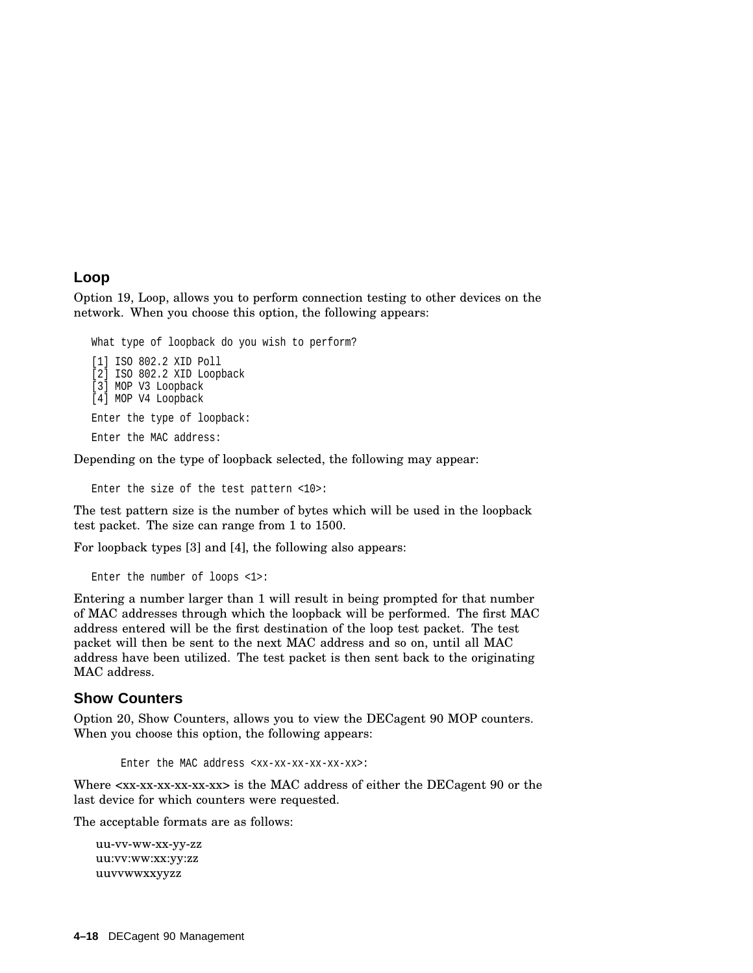#### **Loop**

Option 19, Loop, allows you to perform connection testing to other devices on the network. When you choose this option, the following appears:

```
What type of loopback do you wish to perform?
[1] ISO 802.2 XID Poll
```
[2] ISO 802.2 XID Loopback [3] MOP V3 Loopback [4] MOP V4 Loopback Enter the type of loopback: Enter the MAC address:

Depending on the type of loopback selected, the following may appear:

Enter the size of the test pattern <10>:

The test pattern size is the number of bytes which will be used in the loopback test packet. The size can range from 1 to 1500.

For loopback types [3] and [4], the following also appears:

```
Enter the number of loops <1>:
```
Entering a number larger than 1 will result in being prompted for that number of MAC addresses through which the loopback will be performed. The first MAC address entered will be the first destination of the loop test packet. The test packet will then be sent to the next MAC address and so on, until all MAC address have been utilized. The test packet is then sent back to the originating MAC address.

#### **Show Counters**

Option 20, Show Counters, allows you to view the DECagent 90 MOP counters. When you choose this option, the following appears:

```
Enter the MAC address <xx-xx-xx-xx-xx-xx>:
```
Where  $\langle$ xx-xx-xx-xx-xx> is the MAC address of either the DECagent 90 or the last device for which counters were requested.

The acceptable formats are as follows:

uu-vv-ww-xx-yy-zz uu:vv:ww:xx:yy:zz uuvvwwxxyyzz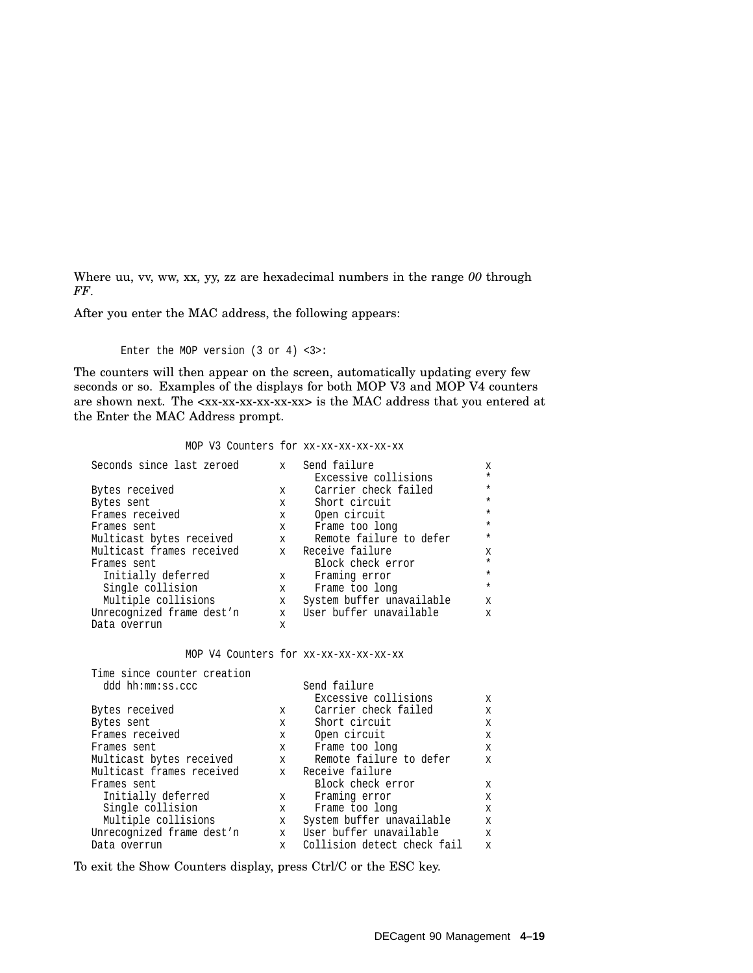Where uu, vv, ww, xx, yy, zz are hexadecimal numbers in the range *00* through *FF*.

After you enter the MAC address, the following appears:

Enter the MOP version (3 or 4) <3>:

The counters will then appear on the screen, automatically updating every few seconds or so. Examples of the displays for both MOP V3 and MOP V4 counters are shown next. The <xx-xx-xx-xx-xx-xx> is the MAC address that you entered at the Enter the MAC Address prompt.

#### MOP V3 Counters for xx-xx-xx-xx-xx-xx

| Seconds since last zeroed | $\mathbf x$  | Send failure              | $\mathbf x$  |
|---------------------------|--------------|---------------------------|--------------|
|                           |              | Excessive collisions      | $\star$      |
| Bytes received            | X            | Carrier check failed      | $\star$      |
| Bytes sent                | $\mathbf{x}$ | Short circuit             | $\star$      |
| Frames received           | $\mathbf x$  | Open circuit              | $^\star$     |
| Frames sent               | X            | Frame too long            | $\star$      |
| Multicast bytes received  | $\mathbf{x}$ | Remote failure to defer   | $\star$      |
| Multicast frames received |              | x Receive failure         | X            |
| Frames sent               |              | Block check error         | $\star$      |
| Initially deferred        | X            | Framing error             | $\star$      |
| Single collision          | X            | Frame too long            | $\star$      |
| Multiple collisions       | X            | System buffer unavailable | X            |
| Unrecognized frame dest'n |              | x User buffer unavailable | $\mathbf{x}$ |
| Data overrun              | X            |                           |              |

MOP V4 Counters for xx-xx-xx-xx-xx-xx

| Time since counter creation |                             |                             |              |
|-----------------------------|-----------------------------|-----------------------------|--------------|
| ddd hh:mm:ss.ccc            |                             | Send failure                |              |
|                             |                             | Excessive collisions        | $\mathbf{x}$ |
| Bytes received              | $\mathbf{x}$                | Carrier check failed        | X            |
| Bytes sent                  | $\mathbf x$                 | Short circuit               | X            |
| Frames received             | $\mathbf x$ and $\mathbf x$ | Open circuit                | X            |
| Frames sent                 | $\mathbf x$                 | Frame too long              | X            |
| Multicast bytes received    | $\mathbf{x}$                | Remote failure to defer     | X            |
| Multicast frames received   |                             | x Receive failure           |              |
| Frames sent                 |                             | Block check error           | X            |
| Initially deferred          | $\mathbf{x}$                | Framing error               | X            |
| Single collision            | X                           | Frame too long              | X            |
| Multiple collisions         | $\mathbf{x}$                | System buffer unavailable   | X            |
| Unrecognized frame dest'n   |                             | x User buffer unavailable   | $\mathbf{x}$ |
| Data overrun                | $\mathbf{x}$                | Collision detect check fail | X            |

To exit the Show Counters display, press Ctrl/C or the ESC key.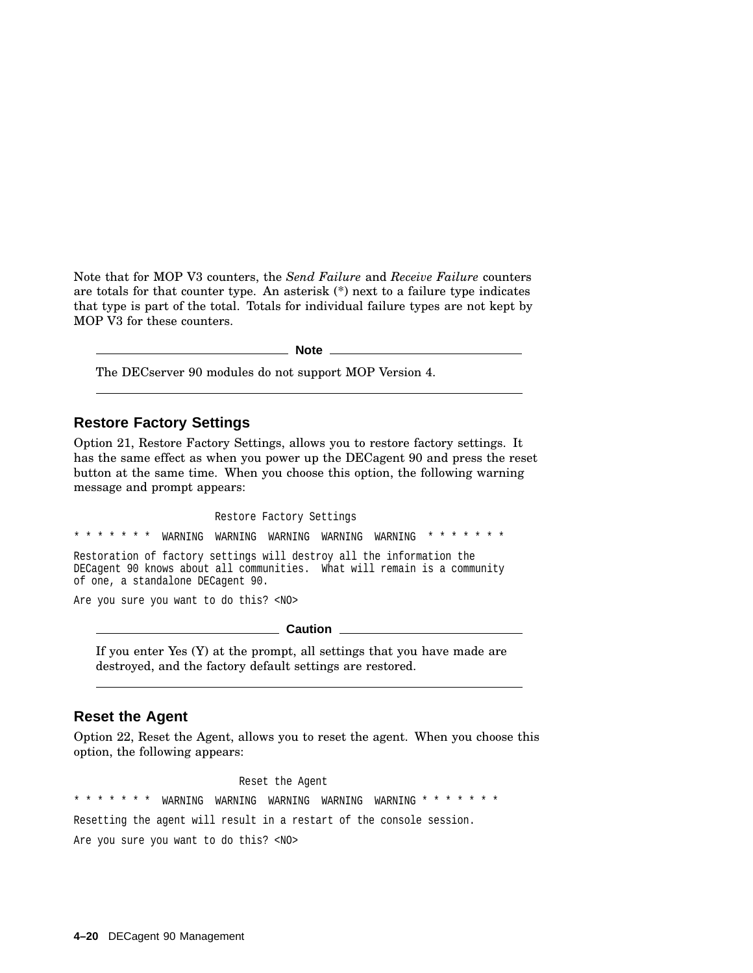Note that for MOP V3 counters, the *Send Failure* and *Receive Failure* counters are totals for that counter type. An asterisk (\*) next to a failure type indicates that type is part of the total. Totals for individual failure types are not kept by MOP V3 for these counters.

**Note**

The DECserver 90 modules do not support MOP Version 4.

#### **Restore Factory Settings**

Option 21, Restore Factory Settings, allows you to restore factory settings. It has the same effect as when you power up the DECagent 90 and press the reset button at the same time. When you choose this option, the following warning message and prompt appears:

Restore Factory Settings  $*$  \*  $*$  warning warning warning warning  $*$  \* \* \* \* \* \* \* Restoration of factory settings will destroy all the information the DECagent 90 knows about all communities. What will remain is a community of one, a standalone DECagent 90. Are you sure you want to do this? <NO>

**Caution**

If you enter Yes (Y) at the prompt, all settings that you have made are destroyed, and the factory default settings are restored.

#### **Reset the Agent**

Option 22, Reset the Agent, allows you to reset the agent. When you choose this option, the following appears:

Reset the Agent \* \* \* \* \* \* \* WARNING WARNING WARNING WARNING WARNING \* \* \* \* \* \* \* Resetting the agent will result in a restart of the console session. Are you sure you want to do this? <NO>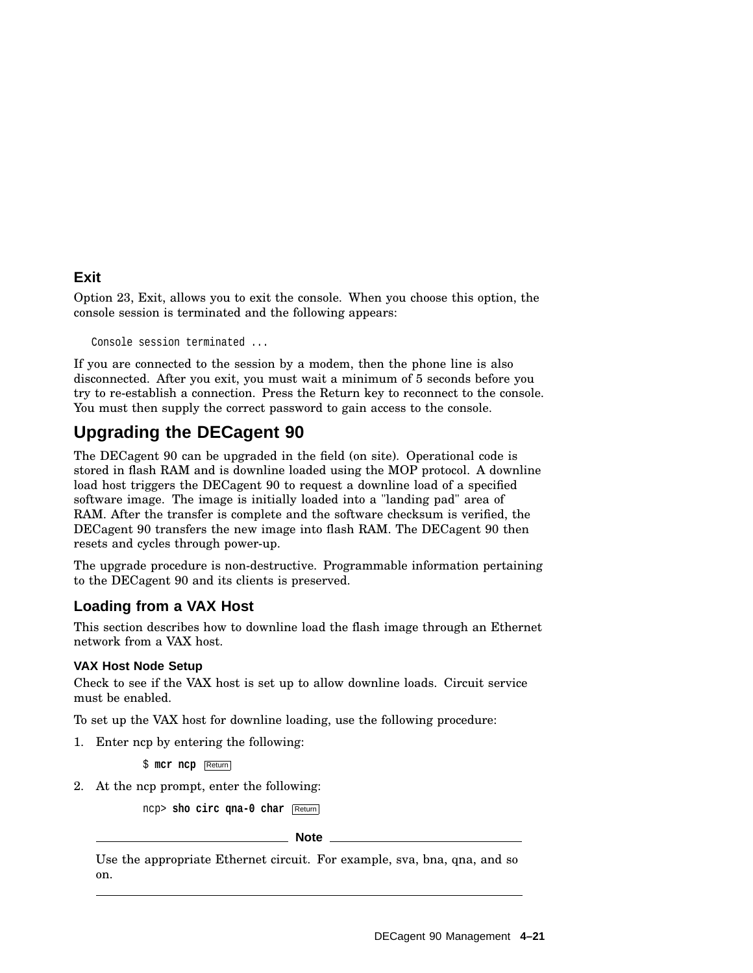#### **Exit**

Option 23, Exit, allows you to exit the console. When you choose this option, the console session is terminated and the following appears:

Console session terminated ...

If you are connected to the session by a modem, then the phone line is also disconnected. After you exit, you must wait a minimum of 5 seconds before you try to re-establish a connection. Press the Return key to reconnect to the console. You must then supply the correct password to gain access to the console.

# **Upgrading the DECagent 90**

The DECagent 90 can be upgraded in the field (on site). Operational code is stored in flash RAM and is downline loaded using the MOP protocol. A downline load host triggers the DECagent 90 to request a downline load of a specified software image. The image is initially loaded into a "landing pad" area of RAM. After the transfer is complete and the software checksum is verified, the DECagent 90 transfers the new image into flash RAM. The DECagent 90 then resets and cycles through power-up.

The upgrade procedure is non-destructive. Programmable information pertaining to the DECagent 90 and its clients is preserved.

#### **Loading from a VAX Host**

This section describes how to downline load the flash image through an Ethernet network from a VAX host.

#### **VAX Host Node Setup**

Check to see if the VAX host is set up to allow downline loads. Circuit service must be enabled.

To set up the VAX host for downline loading, use the following procedure:

1. Enter ncp by entering the following:

\$ **mcr ncp** Return

2. At the ncp prompt, enter the following:

ncp> **sho circ qna-0 char** Return

**Note**

Use the appropriate Ethernet circuit. For example, sva, bna, qna, and so on.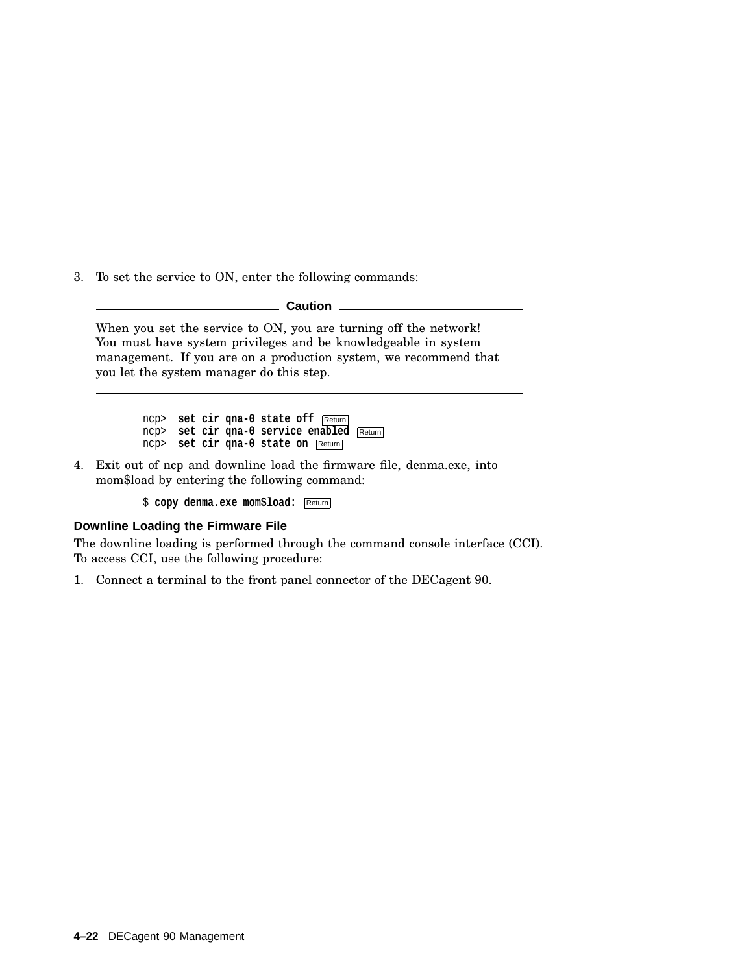3. To set the service to ON, enter the following commands:

**Caution**

When you set the service to ON, you are turning off the network! You must have system privileges and be knowledgeable in system management. If you are on a production system, we recommend that you let the system manager do this step.

> ncp> **set cir qna-0 state off** Return ncp> **set cir qna-0 service enabled** Return ncp> **set cir qna-0 state on** Return

4. Exit out of ncp and downline load the firmware file, denma.exe, into mom\$load by entering the following command:

\$ **copy denma.exe mom\$load:** Return

#### **Downline Loading the Firmware File**

The downline loading is performed through the command console interface (CCI). To access CCI, use the following procedure:

1. Connect a terminal to the front panel connector of the DECagent 90.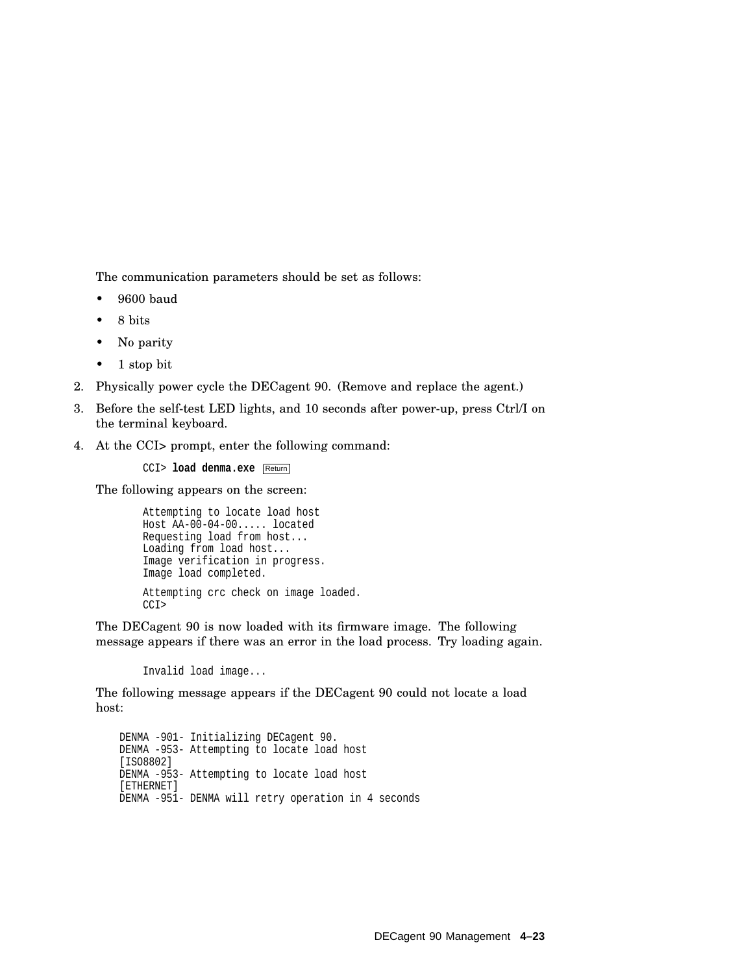The communication parameters should be set as follows:

- 9600 baud
- 8 bits
- No parity
- 1 stop bit
- 2. Physically power cycle the DECagent 90. (Remove and replace the agent.)
- 3. Before the self-test LED lights, and 10 seconds after power-up, press Ctrl/I on the terminal keyboard.
- 4. At the CCI> prompt, enter the following command:

CCI> **load denma.exe** Return

The following appears on the screen:

```
Attempting to locate load host
Host AA-00-04-00..... located
Requesting load from host...
Loading from load host...
Image verification in progress.
Image load completed.
Attempting crc check on image loaded.
CCI>
```
The DECagent 90 is now loaded with its firmware image. The following message appears if there was an error in the load process. Try loading again.

Invalid load image...

The following message appears if the DECagent 90 could not locate a load host:

DENMA -901- Initializing DECagent 90. DENMA -953- Attempting to locate load host [ISO8802] DENMA -953- Attempting to locate load host [ETHERNET] DENMA -951- DENMA will retry operation in 4 seconds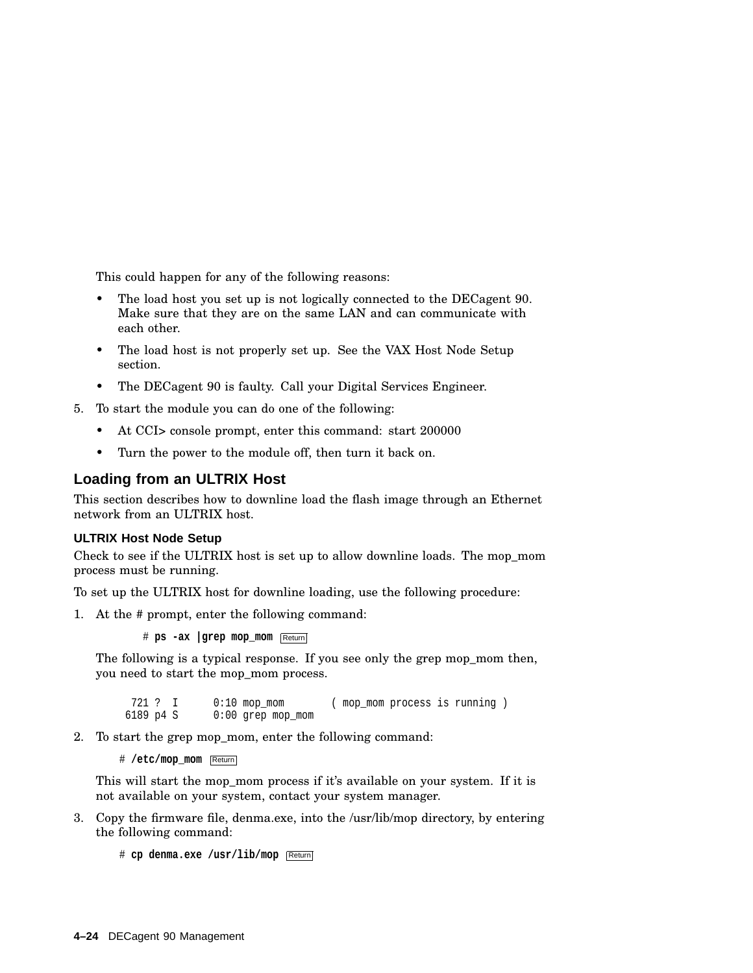This could happen for any of the following reasons:

- The load host you set up is not logically connected to the DECagent 90. Make sure that they are on the same LAN and can communicate with each other.
- The load host is not properly set up. See the VAX Host Node Setup section.
- The DECagent 90 is faulty. Call your Digital Services Engineer.
- 5. To start the module you can do one of the following:
	- At CCI> console prompt, enter this command: start 200000
	- Turn the power to the module off, then turn it back on.

#### **Loading from an ULTRIX Host**

This section describes how to downline load the flash image through an Ethernet network from an ULTRIX host.

#### **ULTRIX Host Node Setup**

Check to see if the ULTRIX host is set up to allow downline loads. The mop\_mom process must be running.

To set up the ULTRIX host for downline loading, use the following procedure:

1. At the # prompt, enter the following command:

# **ps -ax |grep mop\_mom** Return

The following is a typical response. If you see only the grep mop mom then, you need to start the mop\_mom process.

721 ? I 0:10 mop\_mom (mop\_mom process is running )<br>6189 p4 S 0:00 grep mop mom  $0:00$  grep mop\_mom

2. To start the grep mop\_mom, enter the following command:

# **/etc/mop\_mom** Return

This will start the mop mom process if it's available on your system. If it is not available on your system, contact your system manager.

3. Copy the firmware file, denma.exe, into the /usr/lib/mop directory, by entering the following command:

# **cp denma.exe /usr/lib/mop** Return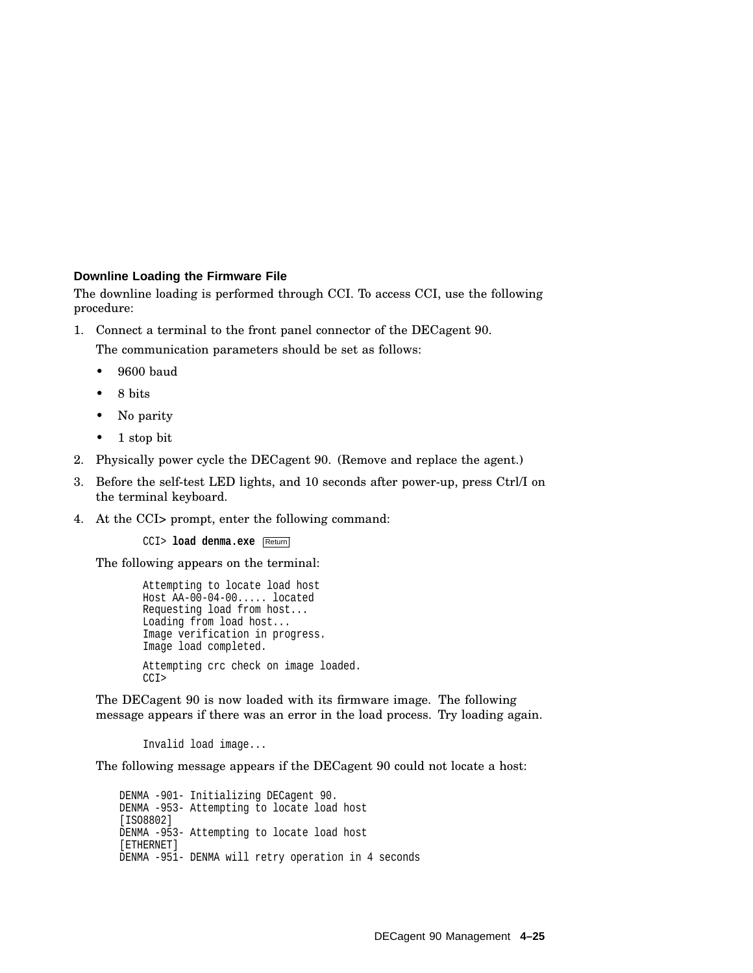#### **Downline Loading the Firmware File**

The downline loading is performed through CCI. To access CCI, use the following procedure:

1. Connect a terminal to the front panel connector of the DECagent 90.

The communication parameters should be set as follows:

- 9600 baud
- 8 bits
- No parity
- 1 stop bit
- 2. Physically power cycle the DECagent 90. (Remove and replace the agent.)
- 3. Before the self-test LED lights, and 10 seconds after power-up, press Ctrl/I on the terminal keyboard.
- 4. At the CCI> prompt, enter the following command:

CCI> **load denma.exe** Return

The following appears on the terminal:

```
Attempting to locate load host
Host AA-00-04-00..... located
Requesting load from host...
Loading from load host...
Image verification in progress.
Image load completed.
Attempting crc check on image loaded.
CCI>
```
The DECagent 90 is now loaded with its firmware image. The following message appears if there was an error in the load process. Try loading again.

Invalid load image...

The following message appears if the DECagent 90 could not locate a host:

DENMA -901- Initializing DECagent 90. DENMA -953- Attempting to locate load host [ISO8802] DENMA -953- Attempting to locate load host [ETHERNET] DENMA -951- DENMA will retry operation in 4 seconds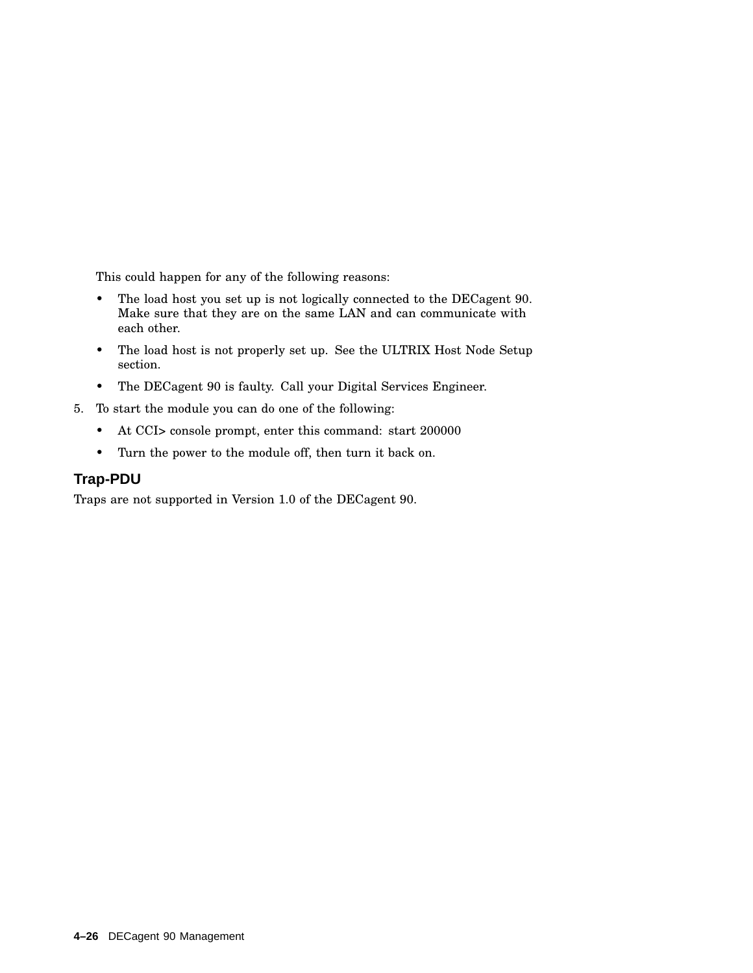This could happen for any of the following reasons:

- The load host you set up is not logically connected to the DECagent 90. Make sure that they are on the same LAN and can communicate with each other.
- The load host is not properly set up. See the ULTRIX Host Node Setup section.
- The DECagent 90 is faulty. Call your Digital Services Engineer.
- 5. To start the module you can do one of the following:
	- At CCI> console prompt, enter this command: start 200000
	- Turn the power to the module off, then turn it back on.

#### **Trap-PDU**

Traps are not supported in Version 1.0 of the DECagent 90.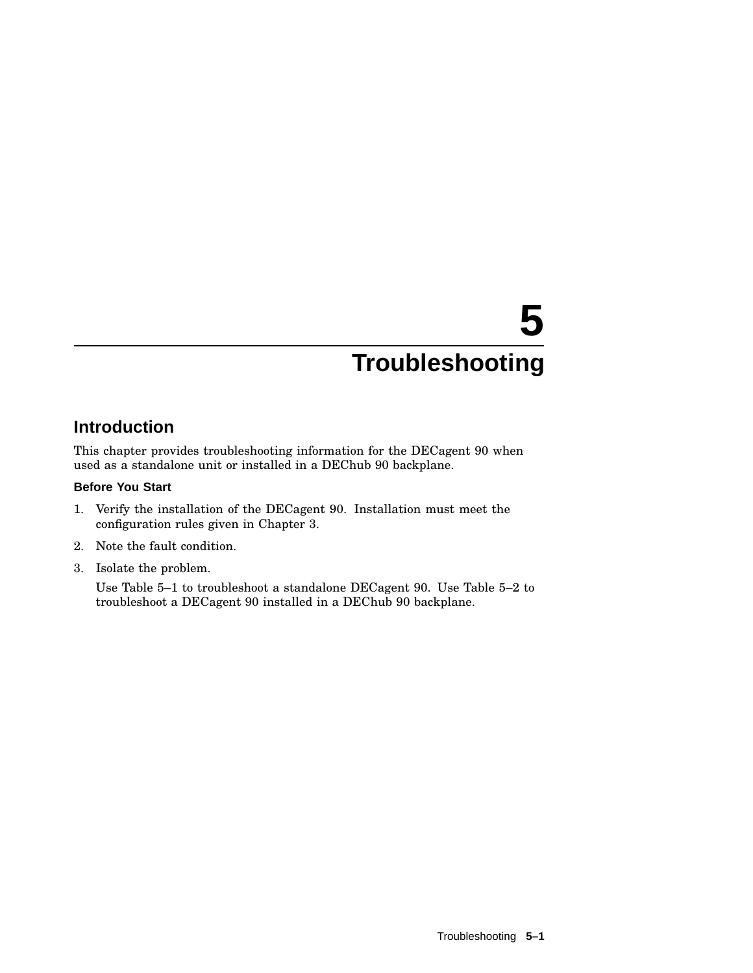# **5 Troubleshooting**

# **Introduction**

This chapter provides troubleshooting information for the DECagent 90 when used as a standalone unit or installed in a DEChub 90 backplane.

#### **Before You Start**

- 1. Verify the installation of the DECagent 90. Installation must meet the configuration rules given in Chapter 3.
- 2. Note the fault condition.
- 3. Isolate the problem.

Use Table 5–1 to troubleshoot a standalone DECagent 90. Use Table 5–2 to troubleshoot a DECagent 90 installed in a DEChub 90 backplane.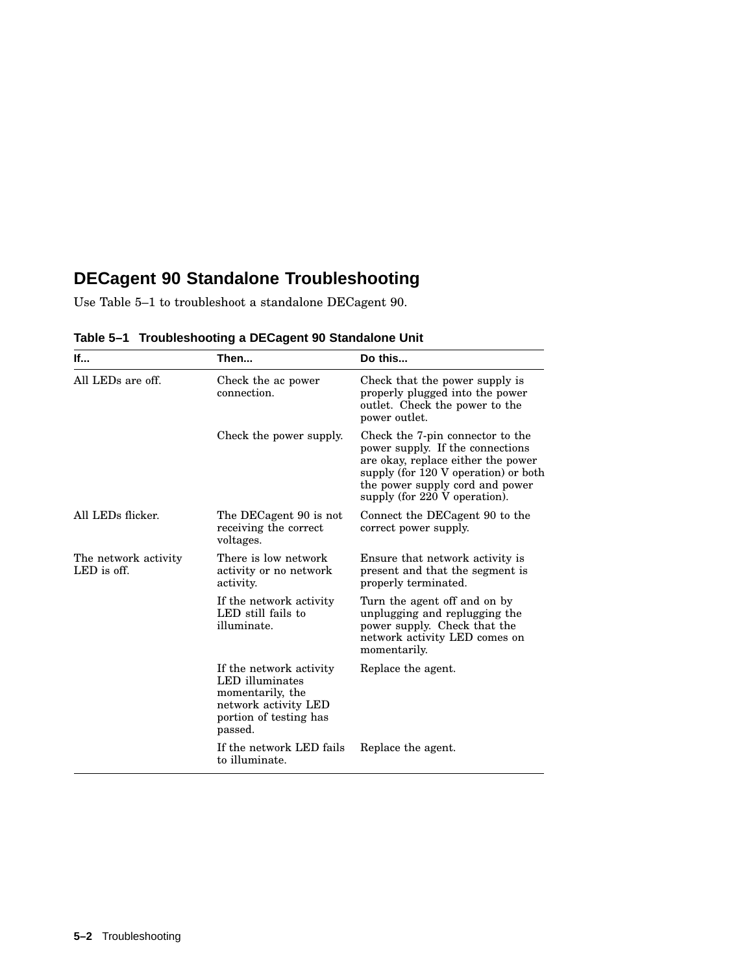# **DECagent 90 Standalone Troubleshooting**

Use Table 5–1 to troubleshoot a standalone DECagent 90.

| lf                                  | Then                                                                                                                        | Do this                                                                                                                                                                                                                |
|-------------------------------------|-----------------------------------------------------------------------------------------------------------------------------|------------------------------------------------------------------------------------------------------------------------------------------------------------------------------------------------------------------------|
| All LEDs are off.                   | Check the ac power<br>connection.                                                                                           | Check that the power supply is<br>properly plugged into the power<br>outlet. Check the power to the<br>power outlet.                                                                                                   |
|                                     | Check the power supply.                                                                                                     | Check the 7-pin connector to the<br>power supply. If the connections<br>are okay, replace either the power<br>supply (for 120 V operation) or both<br>the power supply cord and power<br>supply (for 220 V operation). |
| All LEDs flicker.                   | The DECagent 90 is not<br>receiving the correct<br>voltages.                                                                | Connect the DECagent 90 to the<br>correct power supply.                                                                                                                                                                |
| The network activity<br>LED is off. | There is low network<br>activity or no network<br>activity.                                                                 | Ensure that network activity is<br>present and that the segment is<br>properly terminated.                                                                                                                             |
|                                     | If the network activity<br>LED still fails to<br>illuminate.                                                                | Turn the agent off and on by<br>unplugging and replugging the<br>power supply. Check that the<br>network activity LED comes on<br>momentarily.                                                                         |
|                                     | If the network activity<br>LED illuminates<br>momentarily, the<br>network activity LED<br>portion of testing has<br>passed. | Replace the agent.                                                                                                                                                                                                     |
|                                     | If the network LED fails<br>to illuminate.                                                                                  | Replace the agent.                                                                                                                                                                                                     |

**Table 5–1 Troubleshooting a DECagent 90 Standalone Unit**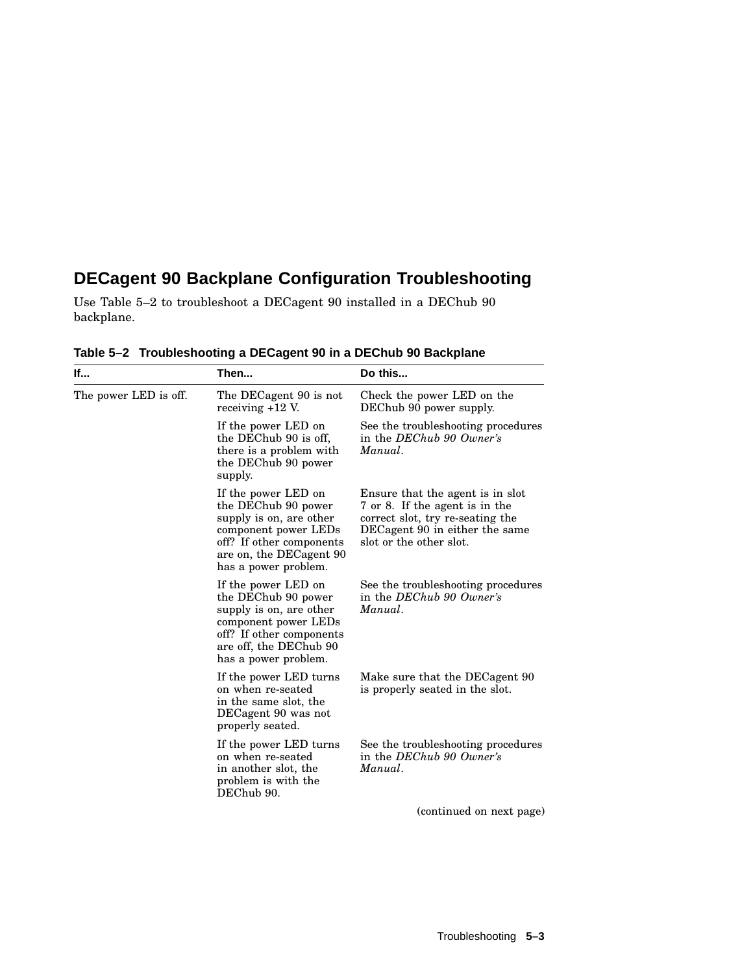# **DECagent 90 Backplane Configuration Troubleshooting**

Use Table 5–2 to troubleshoot a DECagent 90 installed in a DEChub 90 backplane.

| lf                    | Then                                                                                                                                                                         | Do this                                                                                                                                                             |
|-----------------------|------------------------------------------------------------------------------------------------------------------------------------------------------------------------------|---------------------------------------------------------------------------------------------------------------------------------------------------------------------|
| The power LED is off. | The DECagent 90 is not<br>receiving $+12$ V.                                                                                                                                 | Check the power LED on the<br>DEChub 90 power supply.                                                                                                               |
|                       | If the power LED on<br>the DEChub 90 is off,<br>there is a problem with<br>the DEChub 90 power<br>supply.                                                                    | See the troubleshooting procedures<br>in the DEChub 90 Owner's<br>Manual.                                                                                           |
|                       | If the power LED on<br>the DEChub 90 power<br>supply is on, are other<br>component power LEDs<br>off? If other components<br>are on, the DECagent 90<br>has a power problem. | Ensure that the agent is in slot<br>7 or 8. If the agent is in the<br>correct slot, try re-seating the<br>DECagent 90 in either the same<br>slot or the other slot. |
|                       | If the power LED on<br>the DEChub 90 power<br>supply is on, are other<br>component power LEDs<br>off? If other components<br>are off, the DEChub 90<br>has a power problem.  | See the troubleshooting procedures<br>in the DEChub 90 Owner's<br>Manual.                                                                                           |
|                       | If the power LED turns<br>on when re-seated<br>in the same slot, the<br>DECagent 90 was not<br>properly seated.                                                              | Make sure that the DECagent 90<br>is properly seated in the slot.                                                                                                   |
|                       | If the power LED turns<br>on when re-seated<br>in another slot, the<br>problem is with the<br>DEChub 90.                                                                     | See the troubleshooting procedures<br>in the DEChub 90 Owner's<br>Manual.                                                                                           |
|                       |                                                                                                                                                                              | (continued on next page)                                                                                                                                            |

**Table 5–2 Troubleshooting a DECagent 90 in a DEChub 90 Backplane**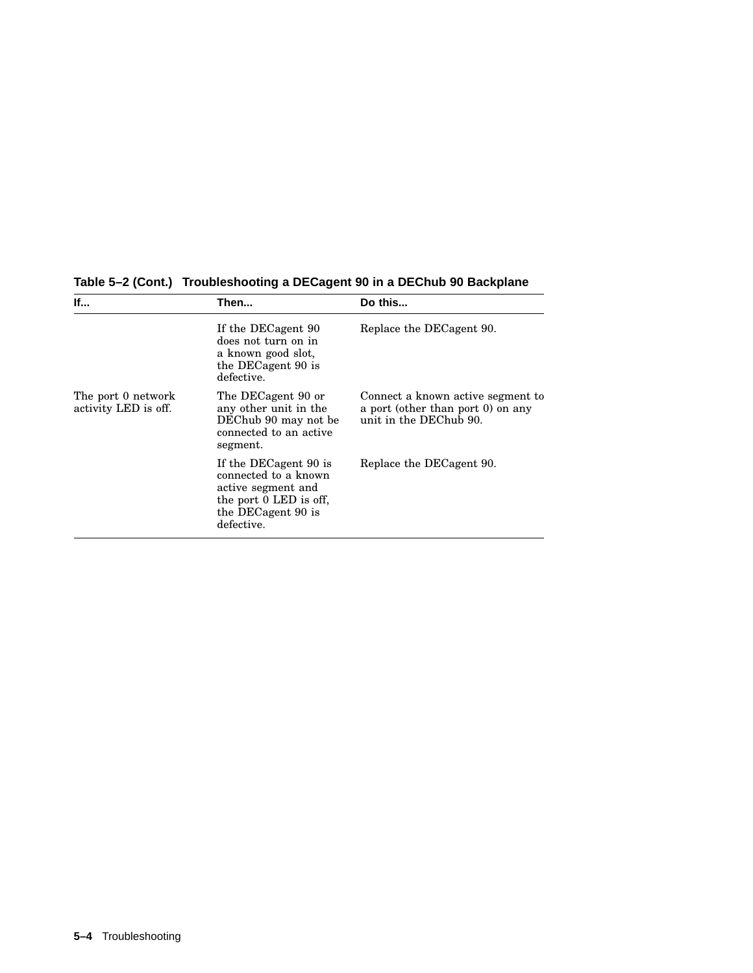| If                                         | Then                                                                                                                              | Do this                                                                                          |
|--------------------------------------------|-----------------------------------------------------------------------------------------------------------------------------------|--------------------------------------------------------------------------------------------------|
|                                            | If the DECagent 90<br>does not turn on in<br>a known good slot,<br>the DECagent 90 is<br>defective.                               | Replace the DECagent 90.                                                                         |
| The port 0 network<br>activity LED is off. | The DECagent 90 or<br>any other unit in the<br>DEChub 90 may not be<br>connected to an active<br>segment.                         | Connect a known active segment to<br>a port (other than port 0) on any<br>unit in the DEChub 90. |
|                                            | If the DECagent 90 is<br>connected to a known<br>active segment and<br>the port 0 LED is off.<br>the DECagent 90 is<br>defective. | Replace the DECagent 90.                                                                         |

**Table 5–2 (Cont.) Troubleshooting a DECagent 90 in a DEChub 90 Backplane**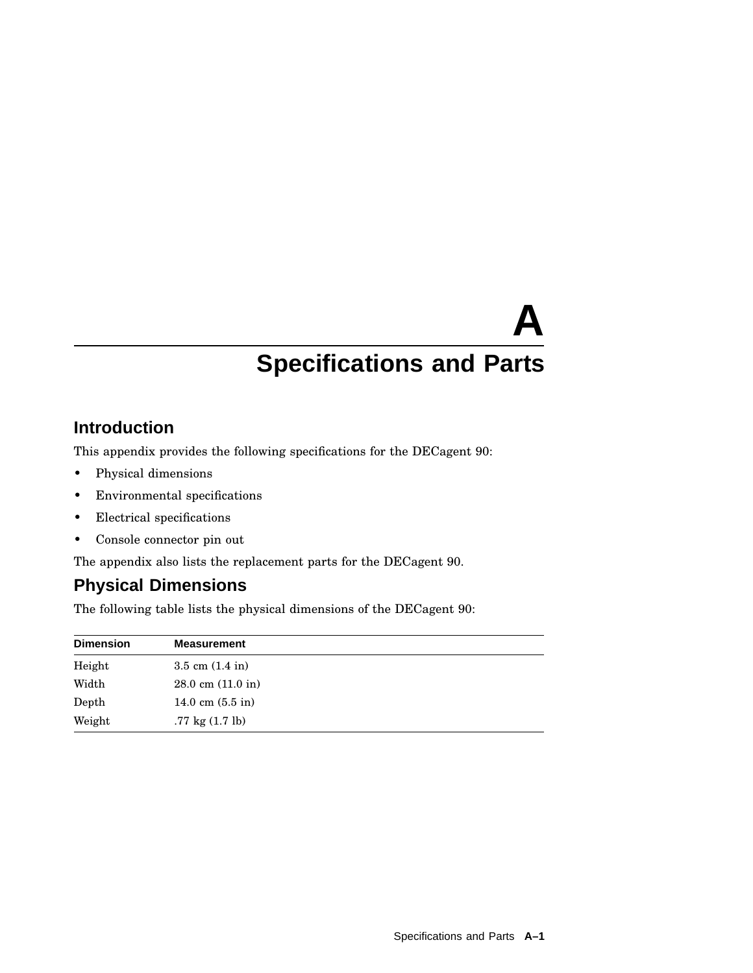# **A Specifications and Parts**

# **Introduction**

This appendix provides the following specifications for the DECagent 90:

- Physical dimensions
- Environmental specifications
- Electrical specifications
- Console connector pin out

The appendix also lists the replacement parts for the DECagent 90.

# **Physical Dimensions**

The following table lists the physical dimensions of the DECagent 90:

| <b>Dimension</b> | <b>Measurement</b>                   |
|------------------|--------------------------------------|
| Height           | $3.5 \text{ cm } (1.4 \text{ in})$   |
| Width            | $28.0 \text{ cm } (11.0 \text{ in})$ |
| Depth            | 14.0 cm $(5.5 \text{ in})$           |
| Weight           | $.77 \text{ kg} (1.7 \text{ lb})$    |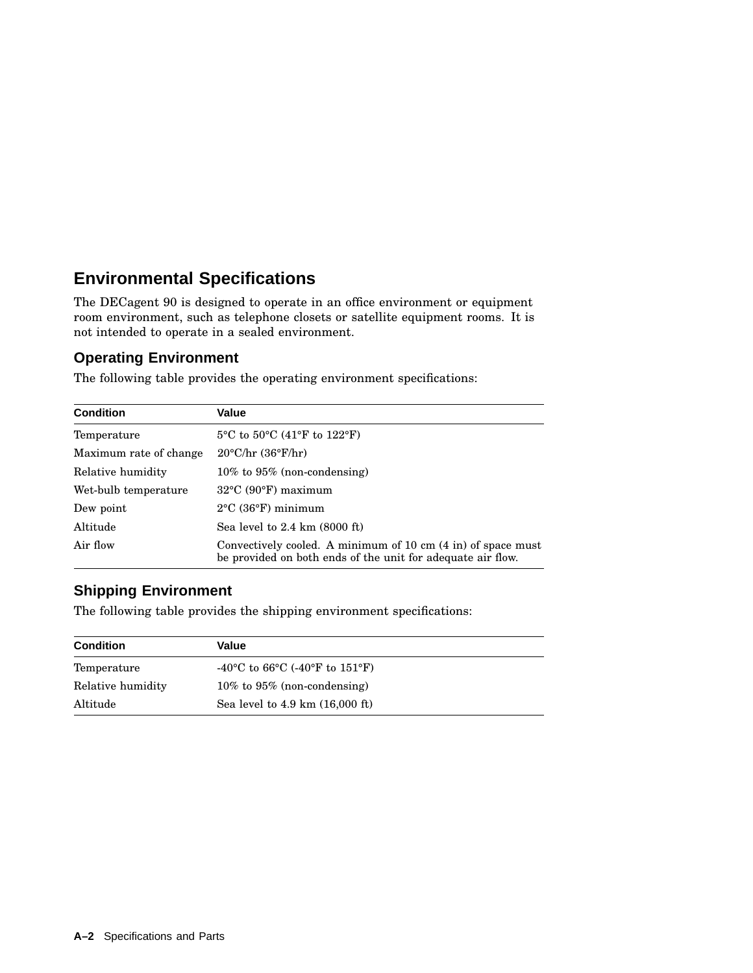# **Environmental Specifications**

The DECagent 90 is designed to operate in an office environment or equipment room environment, such as telephone closets or satellite equipment rooms. It is not intended to operate in a sealed environment.

#### **Operating Environment**

The following table provides the operating environment specifications:

| <b>Condition</b>       | Value                                                                                                                       |
|------------------------|-----------------------------------------------------------------------------------------------------------------------------|
| Temperature            | $5^{\circ}$ C to $50^{\circ}$ C (41 $^{\circ}$ F to 122 $^{\circ}$ F)                                                       |
| Maximum rate of change | $20^{\circ}$ C/hr (36 $^{\circ}$ F/hr)                                                                                      |
| Relative humidity      | $10\%$ to $95\%$ (non-condensing)                                                                                           |
| Wet-bulb temperature   | $32^{\circ}$ C (90 $^{\circ}$ F) maximum                                                                                    |
| Dew point              | $2^{\circ}$ C (36 $^{\circ}$ F) minimum                                                                                     |
| Altitude               | Sea level to $2.4 \text{ km}$ (8000 ft)                                                                                     |
| Air flow               | Convectively cooled. A minimum of 10 cm (4 in) of space must<br>be provided on both ends of the unit for adequate air flow. |

## **Shipping Environment**

The following table provides the shipping environment specifications:

| <b>Condition</b>  | Value                                                                              |  |
|-------------------|------------------------------------------------------------------------------------|--|
| Temperature       | -40 <sup>o</sup> C to 66 <sup>o</sup> C (-40 <sup>o</sup> F to 151 <sup>o</sup> F) |  |
| Relative humidity | $10\%$ to $95\%$ (non-condensing)                                                  |  |
| Altitude          | Sea level to $4.9 \text{ km}$ $(16,000 \text{ ft})$                                |  |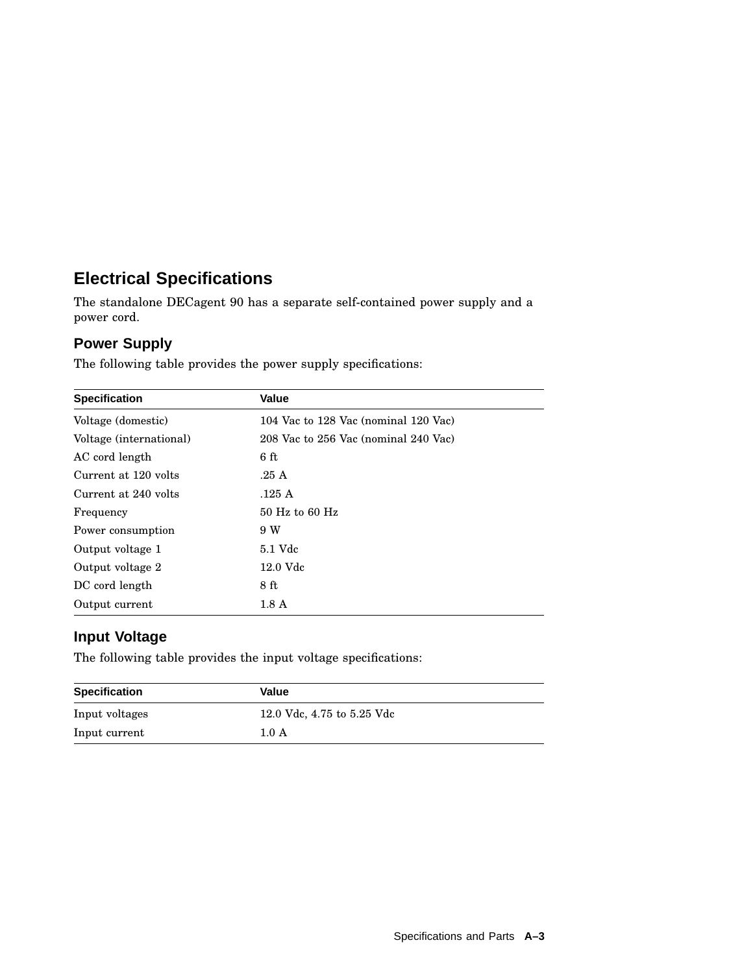# **Electrical Specifications**

The standalone DECagent 90 has a separate self-contained power supply and a power cord.

## **Power Supply**

The following table provides the power supply specifications:

| <b>Specification</b>    | Value                                |
|-------------------------|--------------------------------------|
| Voltage (domestic)      | 104 Vac to 128 Vac (nominal 120 Vac) |
| Voltage (international) | 208 Vac to 256 Vac (nominal 240 Vac) |
| AC cord length          | 6ft                                  |
| Current at 120 volts    | .25A                                 |
| Current at 240 volts    | .125 A                               |
| Frequency               | $50$ Hz to $60$ Hz                   |
| Power consumption       | 9 W                                  |
| Output voltage 1        | 5.1 Vdc                              |
| Output voltage 2        | 12.0 Vdc                             |
| DC cord length          | 8 ft                                 |
| Output current          | 1.8 <sub>A</sub>                     |

### **Input Voltage**

The following table provides the input voltage specifications:

| <b>Specification</b> | Value                      |  |
|----------------------|----------------------------|--|
| Input voltages       | 12.0 Vdc, 4.75 to 5.25 Vdc |  |
| Input current        | 1.0 A                      |  |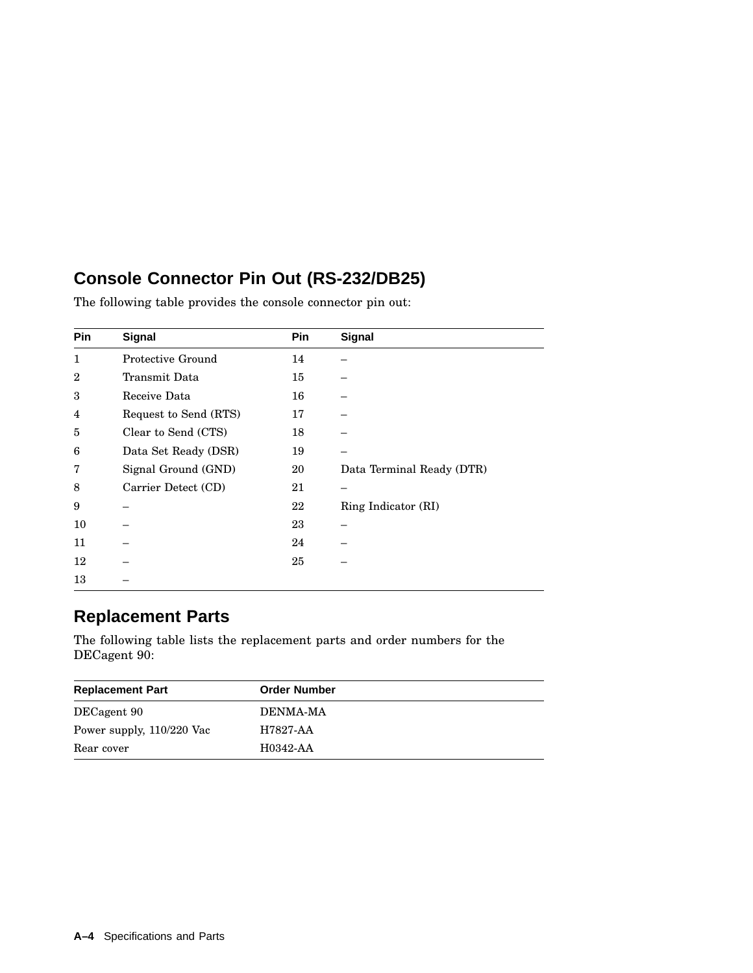# **Console Connector Pin Out (RS-232/DB25)**

| <b>Pin</b>     | <b>Signal</b>         | Pin | <b>Signal</b>             |
|----------------|-----------------------|-----|---------------------------|
| 1              | Protective Ground     | 14  |                           |
| $\overline{2}$ | Transmit Data         | 15  |                           |
| 3              | Receive Data          | 16  |                           |
| 4              | Request to Send (RTS) | 17  |                           |
| 5              | Clear to Send (CTS)   | 18  |                           |
| 6              | Data Set Ready (DSR)  | 19  |                           |
| 7              | Signal Ground (GND)   | 20  | Data Terminal Ready (DTR) |
| 8              | Carrier Detect (CD)   | 21  |                           |
| 9              |                       | 22  | Ring Indicator (RI)       |
| 10             |                       | 23  |                           |
| 11             |                       | 24  |                           |
| 12             |                       | 25  |                           |
| 13             |                       |     |                           |

The following table provides the console connector pin out:

# **Replacement Parts**

The following table lists the replacement parts and order numbers for the DECagent 90:

| <b>Replacement Part</b>   | <b>Order Number</b> |
|---------------------------|---------------------|
| DECagent 90               | DENMA-MA            |
| Power supply, 110/220 Vac | H7827-AA            |
| Rear cover                | H0342-AA            |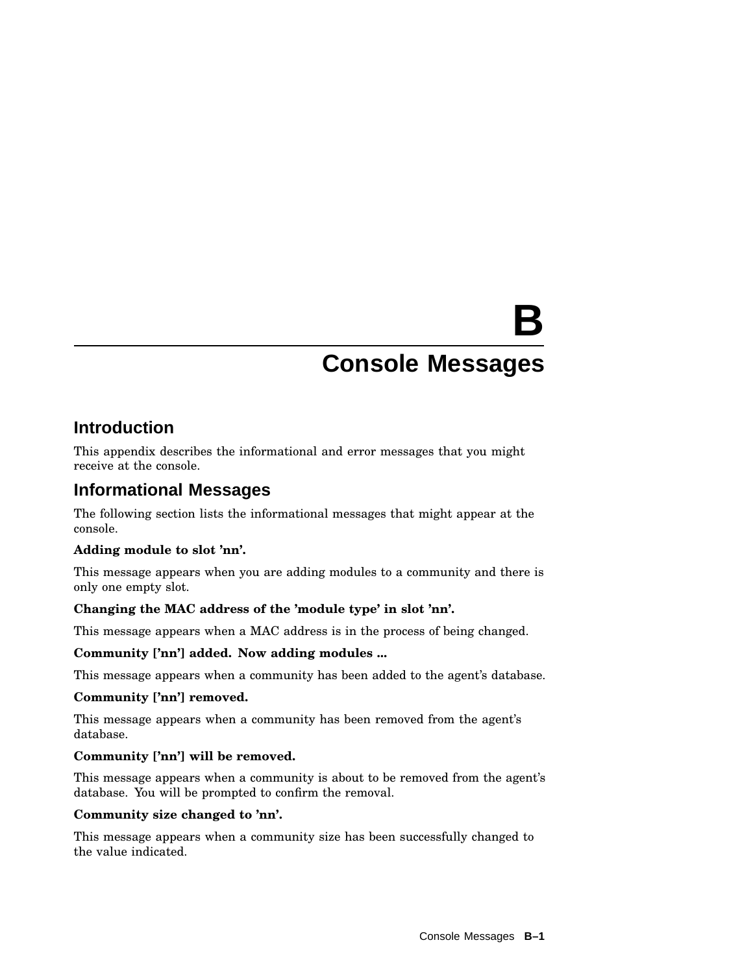# **B**

# **Console Messages**

# **Introduction**

This appendix describes the informational and error messages that you might receive at the console.

# **Informational Messages**

The following section lists the informational messages that might appear at the console.

#### **Adding module to slot 'nn'.**

This message appears when you are adding modules to a community and there is only one empty slot.

#### **Changing the MAC address of the 'module type' in slot 'nn'.**

This message appears when a MAC address is in the process of being changed.

#### **Community ['nn'] added. Now adding modules ...**

This message appears when a community has been added to the agent's database.

#### **Community ['nn'] removed.**

This message appears when a community has been removed from the agent's database.

#### **Community ['nn'] will be removed.**

This message appears when a community is about to be removed from the agent's database. You will be prompted to confirm the removal.

#### **Community size changed to 'nn'.**

This message appears when a community size has been successfully changed to the value indicated.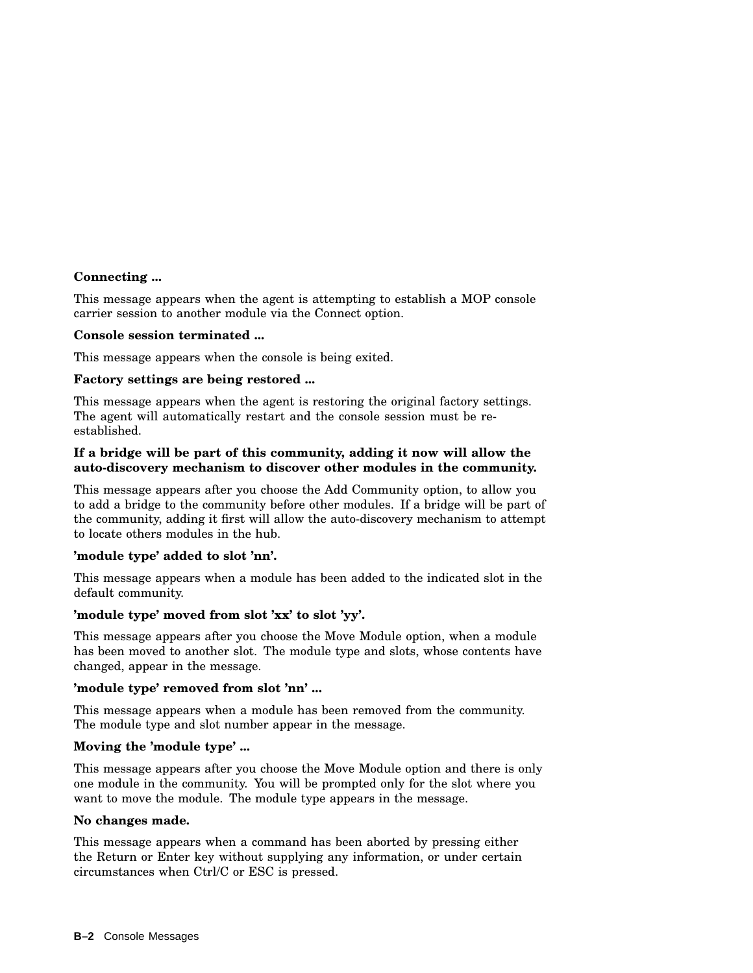#### **Connecting ...**

This message appears when the agent is attempting to establish a MOP console carrier session to another module via the Connect option.

#### **Console session terminated ...**

This message appears when the console is being exited.

#### **Factory settings are being restored ...**

This message appears when the agent is restoring the original factory settings. The agent will automatically restart and the console session must be reestablished.

#### **If a bridge will be part of this community, adding it now will allow the auto-discovery mechanism to discover other modules in the community.**

This message appears after you choose the Add Community option, to allow you to add a bridge to the community before other modules. If a bridge will be part of the community, adding it first will allow the auto-discovery mechanism to attempt to locate others modules in the hub.

#### **'module type' added to slot 'nn'.**

This message appears when a module has been added to the indicated slot in the default community.

#### **'module type' moved from slot 'xx' to slot 'yy'.**

This message appears after you choose the Move Module option, when a module has been moved to another slot. The module type and slots, whose contents have changed, appear in the message.

#### **'module type' removed from slot 'nn' ...**

This message appears when a module has been removed from the community. The module type and slot number appear in the message.

#### **Moving the 'module type' ...**

This message appears after you choose the Move Module option and there is only one module in the community. You will be prompted only for the slot where you want to move the module. The module type appears in the message.

#### **No changes made.**

This message appears when a command has been aborted by pressing either the Return or Enter key without supplying any information, or under certain circumstances when Ctrl/C or ESC is pressed.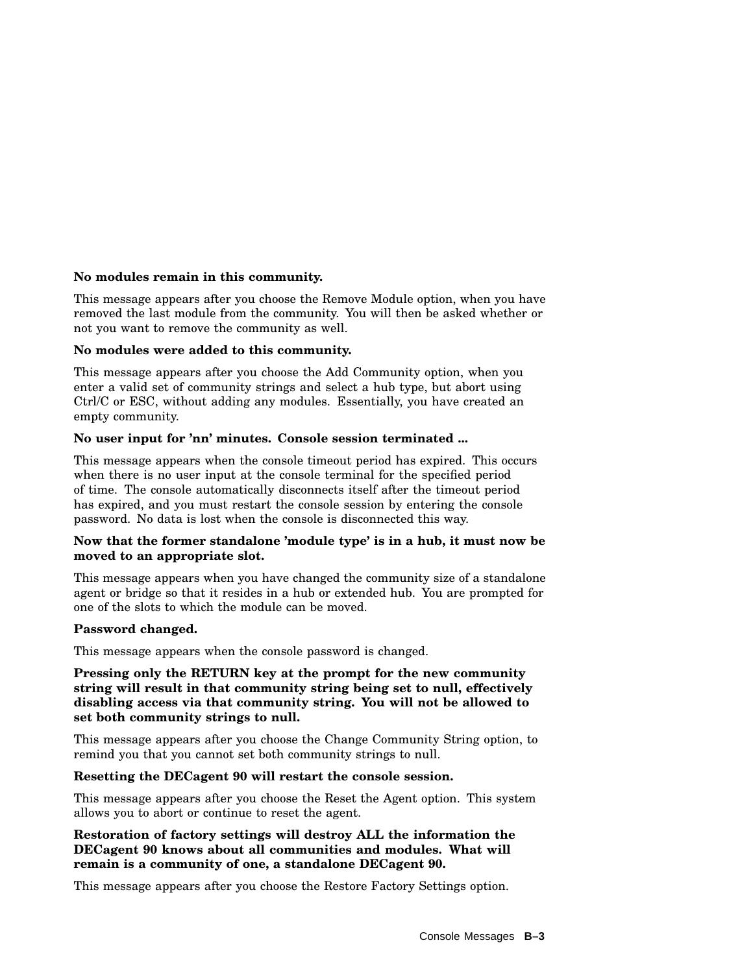#### **No modules remain in this community.**

This message appears after you choose the Remove Module option, when you have removed the last module from the community. You will then be asked whether or not you want to remove the community as well.

#### **No modules were added to this community.**

This message appears after you choose the Add Community option, when you enter a valid set of community strings and select a hub type, but abort using Ctrl/C or ESC, without adding any modules. Essentially, you have created an empty community.

#### **No user input for 'nn' minutes. Console session terminated ...**

This message appears when the console timeout period has expired. This occurs when there is no user input at the console terminal for the specified period of time. The console automatically disconnects itself after the timeout period has expired, and you must restart the console session by entering the console password. No data is lost when the console is disconnected this way.

#### **Now that the former standalone 'module type' is in a hub, it must now be moved to an appropriate slot.**

This message appears when you have changed the community size of a standalone agent or bridge so that it resides in a hub or extended hub. You are prompted for one of the slots to which the module can be moved.

#### **Password changed.**

This message appears when the console password is changed.

#### **Pressing only the RETURN key at the prompt for the new community string will result in that community string being set to null, effectively disabling access via that community string. You will not be allowed to set both community strings to null.**

This message appears after you choose the Change Community String option, to remind you that you cannot set both community strings to null.

#### **Resetting the DECagent 90 will restart the console session.**

This message appears after you choose the Reset the Agent option. This system allows you to abort or continue to reset the agent.

#### **Restoration of factory settings will destroy ALL the information the DECagent 90 knows about all communities and modules. What will remain is a community of one, a standalone DECagent 90.**

This message appears after you choose the Restore Factory Settings option.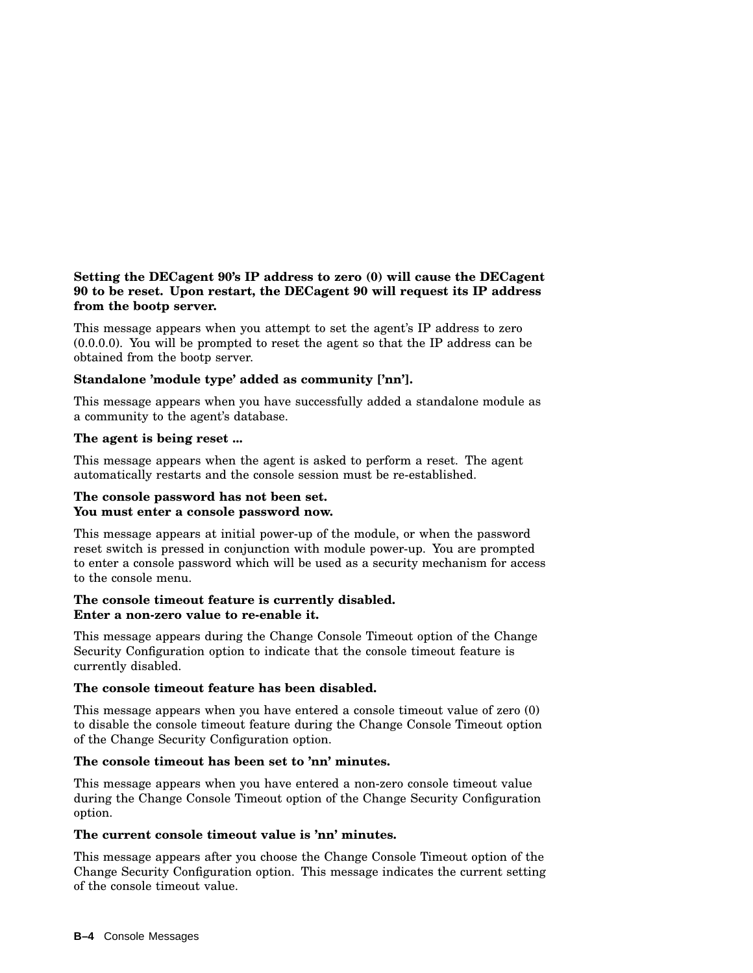#### **Setting the DECagent 90's IP address to zero (0) will cause the DECagent 90 to be reset. Upon restart, the DECagent 90 will request its IP address from the bootp server.**

This message appears when you attempt to set the agent's IP address to zero (0.0.0.0). You will be prompted to reset the agent so that the IP address can be obtained from the bootp server.

#### **Standalone 'module type' added as community ['nn'].**

This message appears when you have successfully added a standalone module as a community to the agent's database.

#### **The agent is being reset ...**

This message appears when the agent is asked to perform a reset. The agent automatically restarts and the console session must be re-established.

#### **The console password has not been set. You must enter a console password now.**

This message appears at initial power-up of the module, or when the password reset switch is pressed in conjunction with module power-up. You are prompted to enter a console password which will be used as a security mechanism for access to the console menu.

#### **The console timeout feature is currently disabled. Enter a non-zero value to re-enable it.**

This message appears during the Change Console Timeout option of the Change Security Configuration option to indicate that the console timeout feature is currently disabled.

#### **The console timeout feature has been disabled.**

This message appears when you have entered a console timeout value of zero (0) to disable the console timeout feature during the Change Console Timeout option of the Change Security Configuration option.

#### **The console timeout has been set to 'nn' minutes.**

This message appears when you have entered a non-zero console timeout value during the Change Console Timeout option of the Change Security Configuration option.

#### **The current console timeout value is 'nn' minutes.**

This message appears after you choose the Change Console Timeout option of the Change Security Configuration option. This message indicates the current setting of the console timeout value.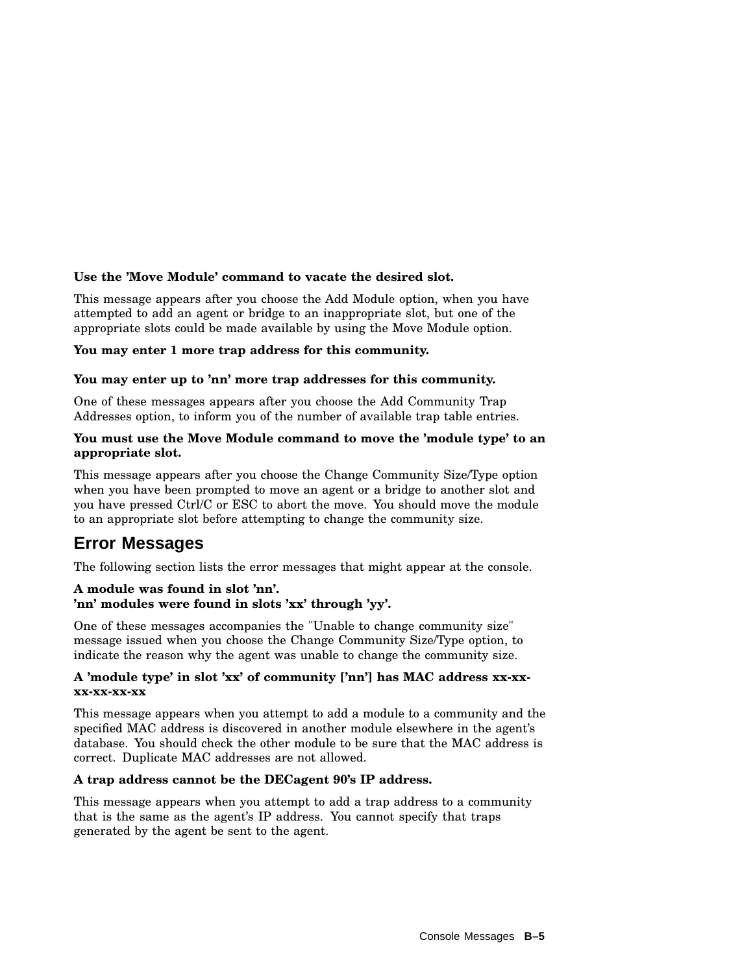#### **Use the 'Move Module' command to vacate the desired slot.**

This message appears after you choose the Add Module option, when you have attempted to add an agent or bridge to an inappropriate slot, but one of the appropriate slots could be made available by using the Move Module option.

#### **You may enter 1 more trap address for this community.**

#### **You may enter up to 'nn' more trap addresses for this community.**

One of these messages appears after you choose the Add Community Trap Addresses option, to inform you of the number of available trap table entries.

#### **You must use the Move Module command to move the 'module type' to an appropriate slot.**

This message appears after you choose the Change Community Size/Type option when you have been prompted to move an agent or a bridge to another slot and you have pressed Ctrl/C or ESC to abort the move. You should move the module to an appropriate slot before attempting to change the community size.

# **Error Messages**

The following section lists the error messages that might appear at the console.

#### **A module was found in slot 'nn'. 'nn' modules were found in slots 'xx' through 'yy'.**

One of these messages accompanies the "Unable to change community size" message issued when you choose the Change Community Size/Type option, to indicate the reason why the agent was unable to change the community size.

#### **A 'module type' in slot 'xx' of community ['nn'] has MAC address xx-xxxx-xx-xx-xx**

This message appears when you attempt to add a module to a community and the specified MAC address is discovered in another module elsewhere in the agent's database. You should check the other module to be sure that the MAC address is correct. Duplicate MAC addresses are not allowed.

#### **A trap address cannot be the DECagent 90's IP address.**

This message appears when you attempt to add a trap address to a community that is the same as the agent's IP address. You cannot specify that traps generated by the agent be sent to the agent.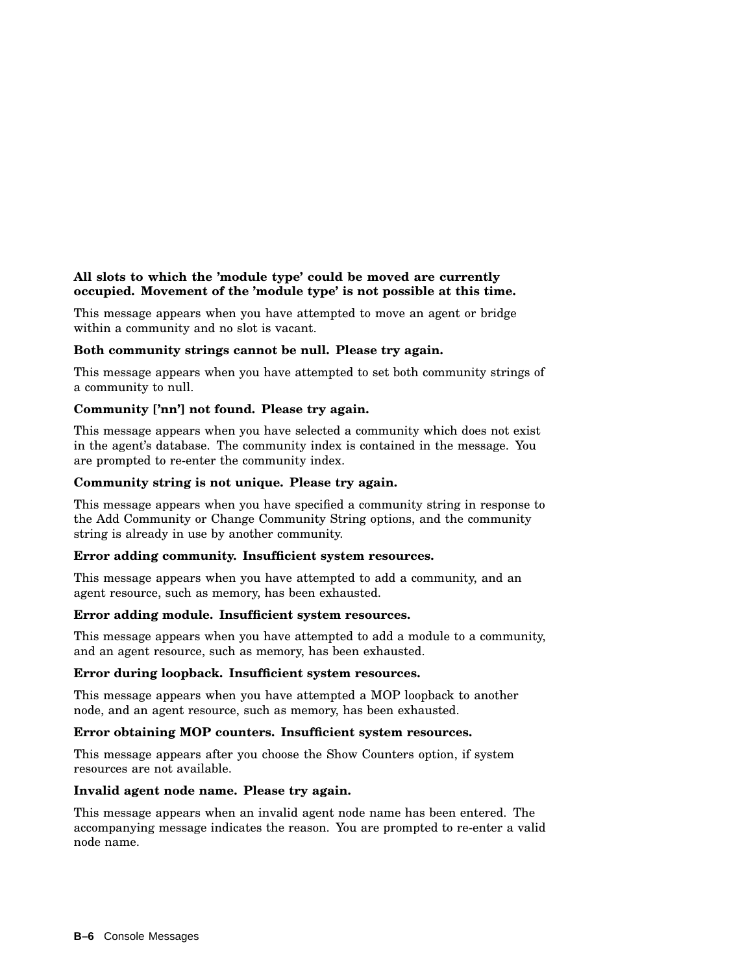#### **All slots to which the 'module type' could be moved are currently occupied. Movement of the 'module type' is not possible at this time.**

This message appears when you have attempted to move an agent or bridge within a community and no slot is vacant.

#### **Both community strings cannot be null. Please try again.**

This message appears when you have attempted to set both community strings of a community to null.

#### **Community ['nn'] not found. Please try again.**

This message appears when you have selected a community which does not exist in the agent's database. The community index is contained in the message. You are prompted to re-enter the community index.

#### **Community string is not unique. Please try again.**

This message appears when you have specified a community string in response to the Add Community or Change Community String options, and the community string is already in use by another community.

#### **Error adding community. Insufficient system resources.**

This message appears when you have attempted to add a community, and an agent resource, such as memory, has been exhausted.

#### **Error adding module. Insufficient system resources.**

This message appears when you have attempted to add a module to a community, and an agent resource, such as memory, has been exhausted.

#### **Error during loopback. Insufficient system resources.**

This message appears when you have attempted a MOP loopback to another node, and an agent resource, such as memory, has been exhausted.

#### **Error obtaining MOP counters. Insufficient system resources.**

This message appears after you choose the Show Counters option, if system resources are not available.

#### **Invalid agent node name. Please try again.**

This message appears when an invalid agent node name has been entered. The accompanying message indicates the reason. You are prompted to re-enter a valid node name.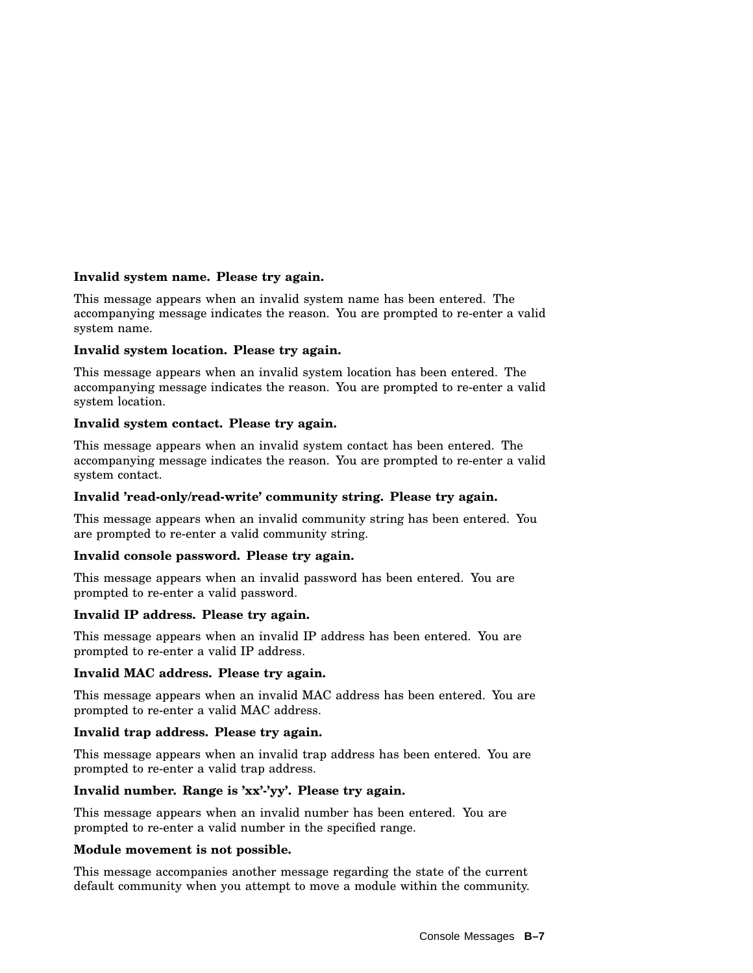#### **Invalid system name. Please try again.**

This message appears when an invalid system name has been entered. The accompanying message indicates the reason. You are prompted to re-enter a valid system name.

#### **Invalid system location. Please try again.**

This message appears when an invalid system location has been entered. The accompanying message indicates the reason. You are prompted to re-enter a valid system location.

#### **Invalid system contact. Please try again.**

This message appears when an invalid system contact has been entered. The accompanying message indicates the reason. You are prompted to re-enter a valid system contact.

#### **Invalid 'read-only/read-write' community string. Please try again.**

This message appears when an invalid community string has been entered. You are prompted to re-enter a valid community string.

#### **Invalid console password. Please try again.**

This message appears when an invalid password has been entered. You are prompted to re-enter a valid password.

#### **Invalid IP address. Please try again.**

This message appears when an invalid IP address has been entered. You are prompted to re-enter a valid IP address.

#### **Invalid MAC address. Please try again.**

This message appears when an invalid MAC address has been entered. You are prompted to re-enter a valid MAC address.

#### **Invalid trap address. Please try again.**

This message appears when an invalid trap address has been entered. You are prompted to re-enter a valid trap address.

#### **Invalid number. Range is 'xx'-'yy'. Please try again.**

This message appears when an invalid number has been entered. You are prompted to re-enter a valid number in the specified range.

#### **Module movement is not possible.**

This message accompanies another message regarding the state of the current default community when you attempt to move a module within the community.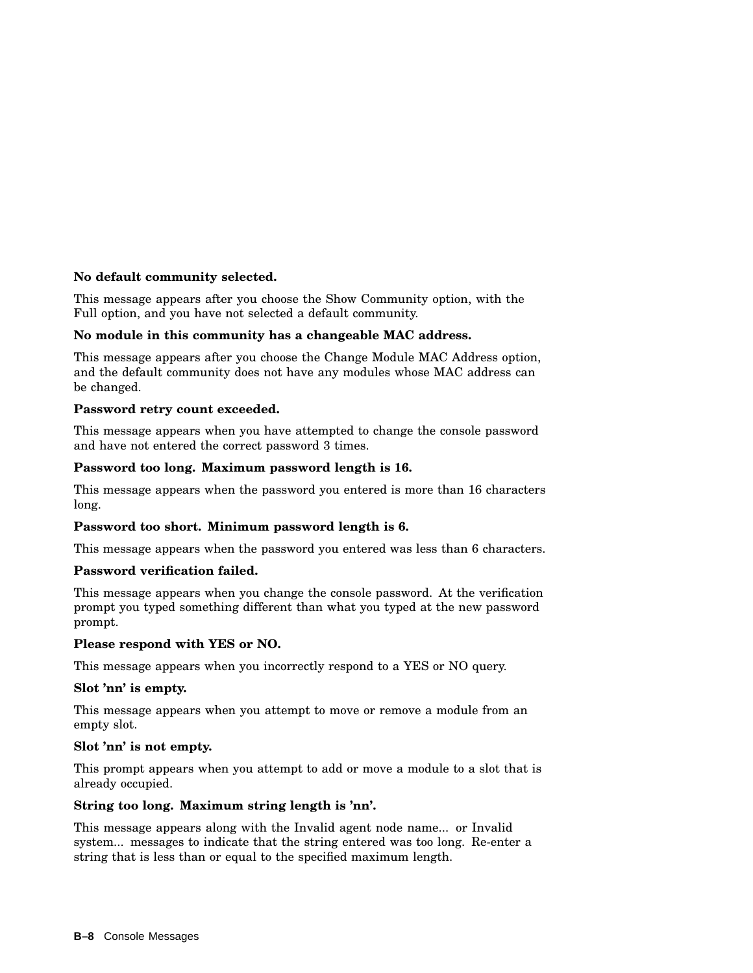#### **No default community selected.**

This message appears after you choose the Show Community option, with the Full option, and you have not selected a default community.

#### **No module in this community has a changeable MAC address.**

This message appears after you choose the Change Module MAC Address option, and the default community does not have any modules whose MAC address can be changed.

#### **Password retry count exceeded.**

This message appears when you have attempted to change the console password and have not entered the correct password 3 times.

#### **Password too long. Maximum password length is 16.**

This message appears when the password you entered is more than 16 characters long.

#### **Password too short. Minimum password length is 6.**

This message appears when the password you entered was less than 6 characters.

#### **Password verification failed.**

This message appears when you change the console password. At the verification prompt you typed something different than what you typed at the new password prompt.

#### **Please respond with YES or NO.**

This message appears when you incorrectly respond to a YES or NO query.

#### **Slot 'nn' is empty.**

This message appears when you attempt to move or remove a module from an empty slot.

#### **Slot 'nn' is not empty.**

This prompt appears when you attempt to add or move a module to a slot that is already occupied.

#### **String too long. Maximum string length is 'nn'.**

This message appears along with the Invalid agent node name... or Invalid system... messages to indicate that the string entered was too long. Re-enter a string that is less than or equal to the specified maximum length.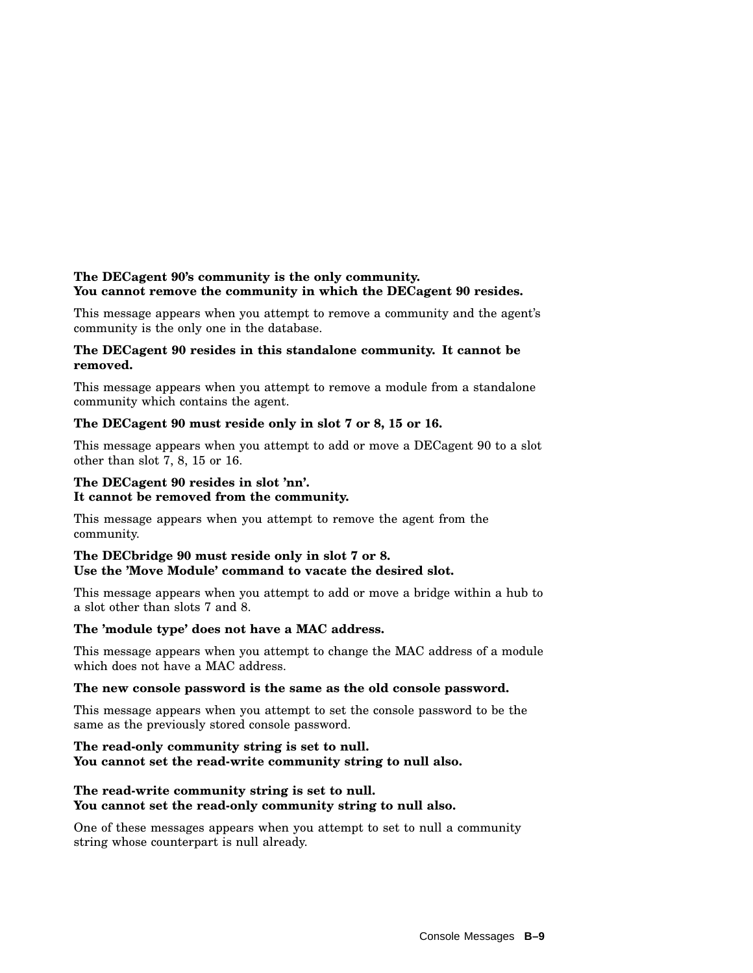#### **The DECagent 90's community is the only community. You cannot remove the community in which the DECagent 90 resides.**

This message appears when you attempt to remove a community and the agent's community is the only one in the database.

#### **The DECagent 90 resides in this standalone community. It cannot be removed.**

This message appears when you attempt to remove a module from a standalone community which contains the agent.

#### **The DECagent 90 must reside only in slot 7 or 8, 15 or 16.**

This message appears when you attempt to add or move a DECagent 90 to a slot other than slot 7, 8, 15 or 16.

#### **The DECagent 90 resides in slot 'nn'. It cannot be removed from the community.**

This message appears when you attempt to remove the agent from the community.

#### **The DECbridge 90 must reside only in slot 7 or 8. Use the 'Move Module' command to vacate the desired slot.**

This message appears when you attempt to add or move a bridge within a hub to a slot other than slots 7 and 8.

#### **The 'module type' does not have a MAC address.**

This message appears when you attempt to change the MAC address of a module which does not have a MAC address.

#### **The new console password is the same as the old console password.**

This message appears when you attempt to set the console password to be the same as the previously stored console password.

#### **The read-only community string is set to null. You cannot set the read-write community string to null also.**

#### **The read-write community string is set to null. You cannot set the read-only community string to null also.**

One of these messages appears when you attempt to set to null a community string whose counterpart is null already.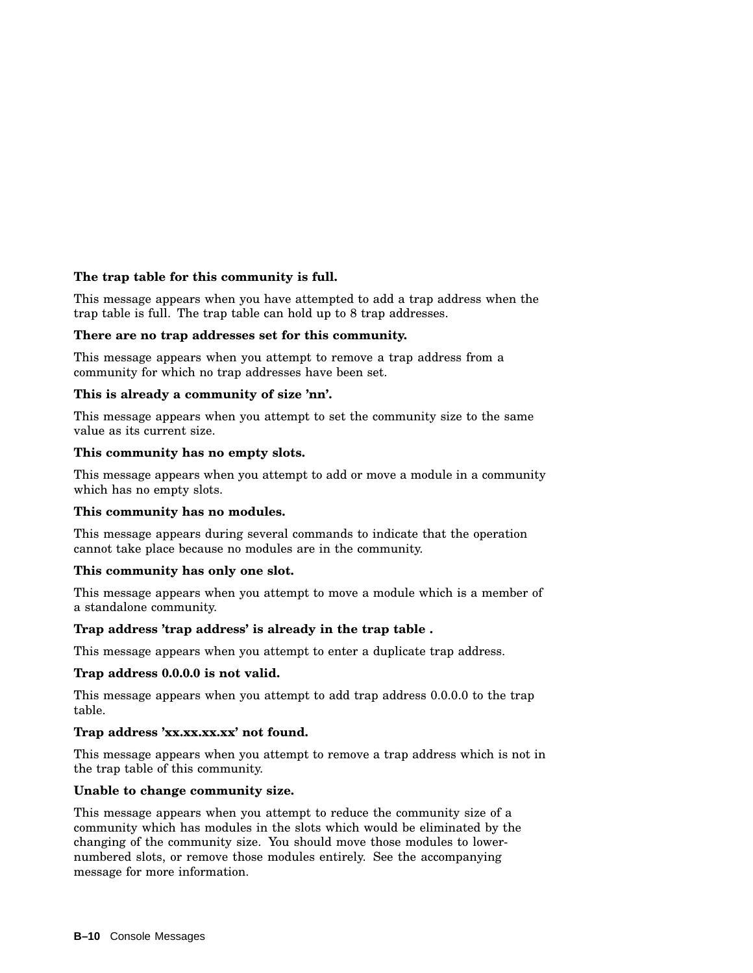#### **The trap table for this community is full.**

This message appears when you have attempted to add a trap address when the trap table is full. The trap table can hold up to 8 trap addresses.

#### **There are no trap addresses set for this community.**

This message appears when you attempt to remove a trap address from a community for which no trap addresses have been set.

#### **This is already a community of size 'nn'.**

This message appears when you attempt to set the community size to the same value as its current size.

#### **This community has no empty slots.**

This message appears when you attempt to add or move a module in a community which has no empty slots.

#### **This community has no modules.**

This message appears during several commands to indicate that the operation cannot take place because no modules are in the community.

#### **This community has only one slot.**

This message appears when you attempt to move a module which is a member of a standalone community.

#### **Trap address 'trap address' is already in the trap table .**

This message appears when you attempt to enter a duplicate trap address.

#### **Trap address 0.0.0.0 is not valid.**

This message appears when you attempt to add trap address 0.0.0.0 to the trap table.

#### **Trap address 'xx.xx.xx.xx' not found.**

This message appears when you attempt to remove a trap address which is not in the trap table of this community.

#### **Unable to change community size.**

This message appears when you attempt to reduce the community size of a community which has modules in the slots which would be eliminated by the changing of the community size. You should move those modules to lowernumbered slots, or remove those modules entirely. See the accompanying message for more information.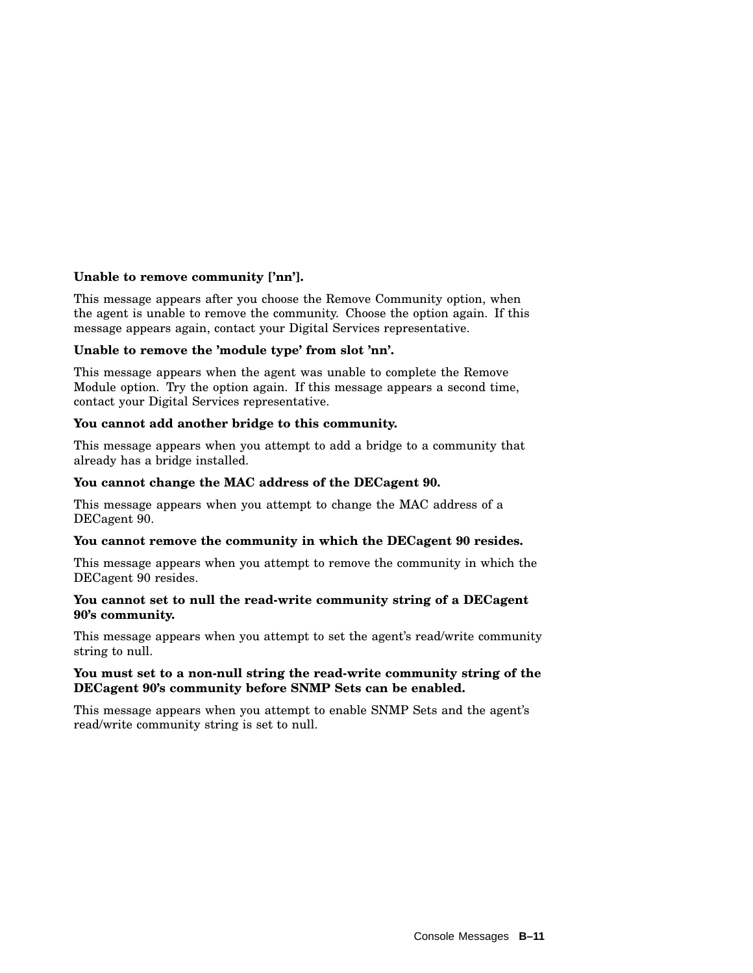#### **Unable to remove community ['nn'].**

This message appears after you choose the Remove Community option, when the agent is unable to remove the community. Choose the option again. If this message appears again, contact your Digital Services representative.

#### **Unable to remove the 'module type' from slot 'nn'.**

This message appears when the agent was unable to complete the Remove Module option. Try the option again. If this message appears a second time, contact your Digital Services representative.

#### **You cannot add another bridge to this community.**

This message appears when you attempt to add a bridge to a community that already has a bridge installed.

#### **You cannot change the MAC address of the DECagent 90.**

This message appears when you attempt to change the MAC address of a DECagent 90.

#### **You cannot remove the community in which the DECagent 90 resides.**

This message appears when you attempt to remove the community in which the DECagent 90 resides.

#### **You cannot set to null the read-write community string of a DECagent 90's community.**

This message appears when you attempt to set the agent's read/write community string to null.

#### **You must set to a non-null string the read-write community string of the DECagent 90's community before SNMP Sets can be enabled.**

This message appears when you attempt to enable SNMP Sets and the agent's read/write community string is set to null.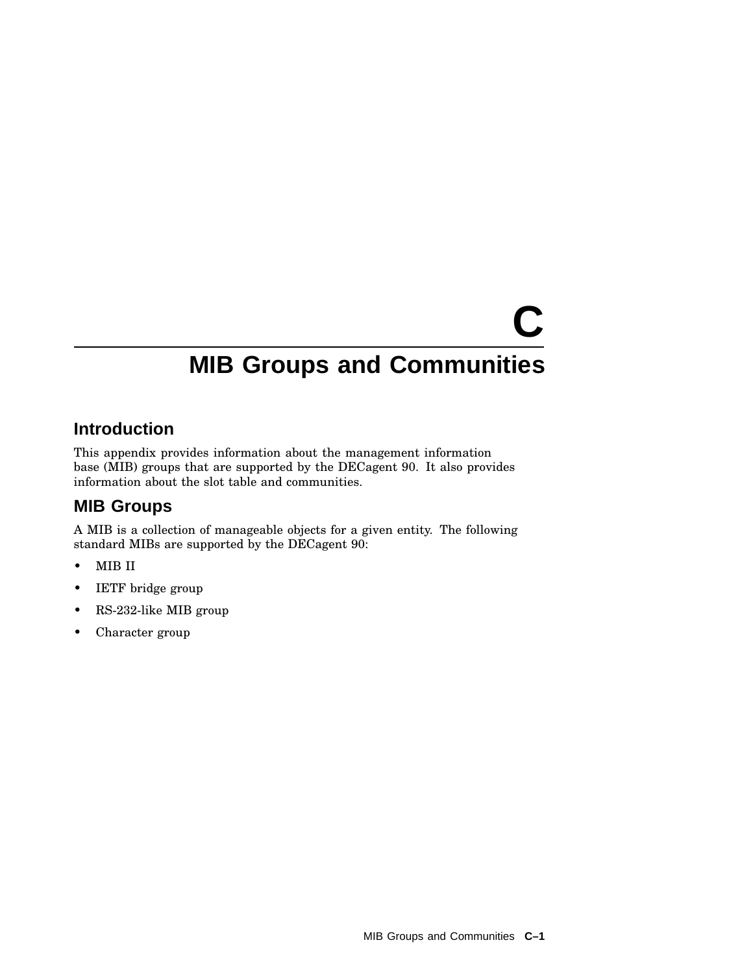# **C MIB Groups and Communities**

### **Introduction**

This appendix provides information about the management information base (MIB) groups that are supported by the DECagent 90. It also provides information about the slot table and communities.

### **MIB Groups**

A MIB is a collection of manageable objects for a given entity. The following standard MIBs are supported by the DECagent 90:

- MIB II
- IETF bridge group
- RS-232-like MIB group
- Character group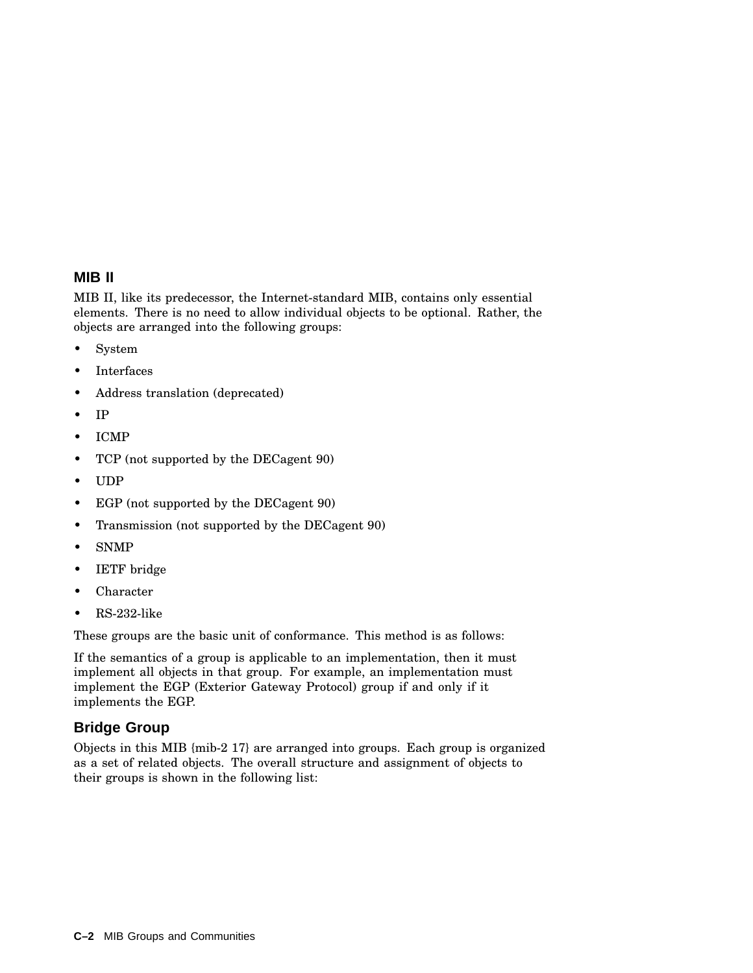#### **MIB II**

MIB II, like its predecessor, the Internet-standard MIB, contains only essential elements. There is no need to allow individual objects to be optional. Rather, the objects are arranged into the following groups:

- System
- Interfaces
- Address translation (deprecated)
- IP
- ICMP
- TCP (not supported by the DECagent 90)
- UDP
- EGP (not supported by the DECagent 90)
- Transmission (not supported by the DECagent 90)
- SNMP
- IETF bridge
- Character
- RS-232-like

These groups are the basic unit of conformance. This method is as follows:

If the semantics of a group is applicable to an implementation, then it must implement all objects in that group. For example, an implementation must implement the EGP (Exterior Gateway Protocol) group if and only if it implements the EGP.

#### **Bridge Group**

Objects in this MIB {mib-2 17} are arranged into groups. Each group is organized as a set of related objects. The overall structure and assignment of objects to their groups is shown in the following list: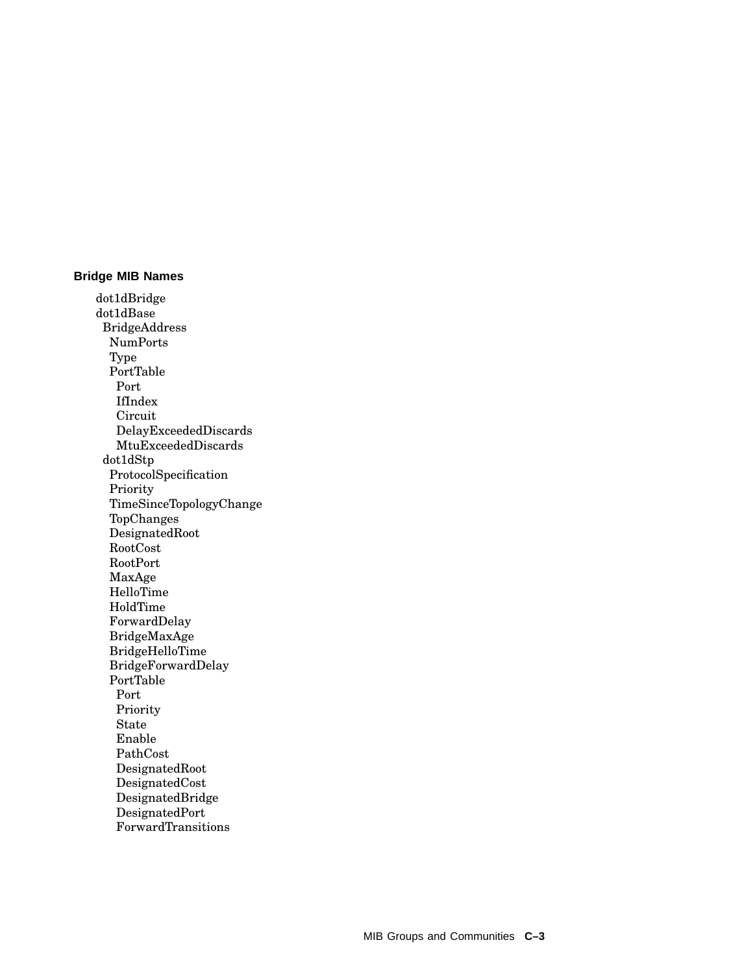#### **Bridge MIB Names**

dot1dBridge dot1dBase BridgeAddress NumPorts Type PortTable Port IfIndex Circuit DelayExceededDiscards MtuExceededDiscards dot1dStp ProtocolSpecification Priority TimeSinceTopologyChange TopChanges DesignatedRoot RootCost RootPort MaxAge HelloTime HoldTime ForwardDelay BridgeMaxAge BridgeHelloTime BridgeForwardDelay PortTable Port Priority State Enable PathCost DesignatedRoot DesignatedCost DesignatedBridge DesignatedPort ForwardTransitions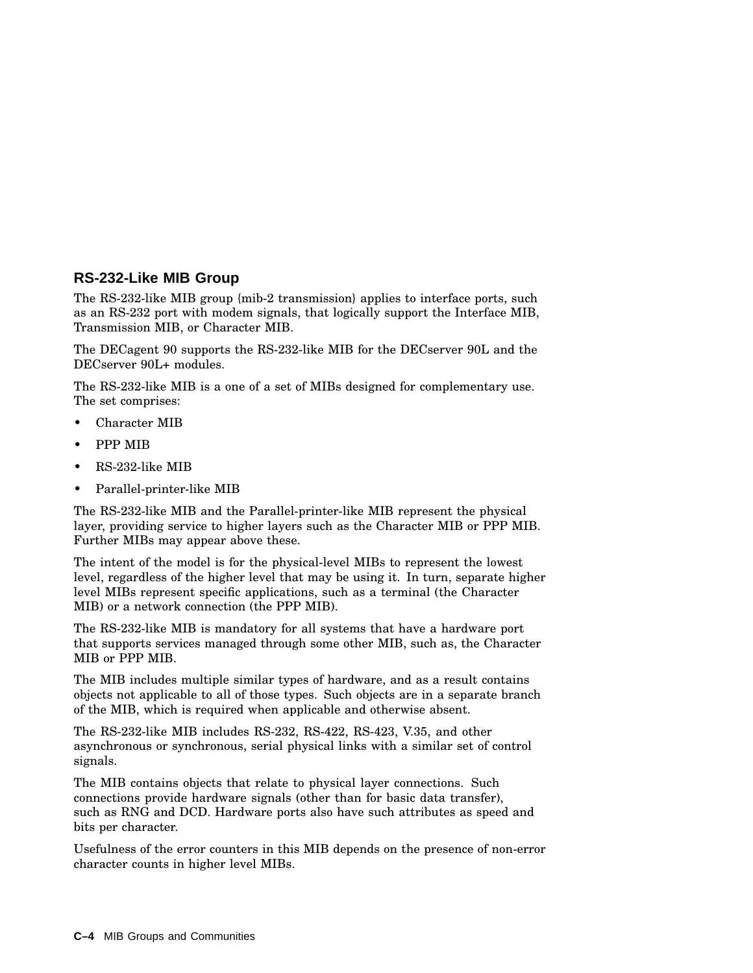#### **RS-232-Like MIB Group**

The RS-232-like MIB group {mib-2 transmission} applies to interface ports, such as an RS-232 port with modem signals, that logically support the Interface MIB, Transmission MIB, or Character MIB.

The DECagent 90 supports the RS-232-like MIB for the DECserver 90L and the DECserver 90L+ modules.

The RS-232-like MIB is a one of a set of MIBs designed for complementary use. The set comprises:

- Character MIB
- PPP MIB
- RS-232-like MIB
- Parallel-printer-like MIB

The RS-232-like MIB and the Parallel-printer-like MIB represent the physical layer, providing service to higher layers such as the Character MIB or PPP MIB. Further MIBs may appear above these.

The intent of the model is for the physical-level MIBs to represent the lowest level, regardless of the higher level that may be using it. In turn, separate higher level MIBs represent specific applications, such as a terminal (the Character MIB) or a network connection (the PPP MIB).

The RS-232-like MIB is mandatory for all systems that have a hardware port that supports services managed through some other MIB, such as, the Character MIB or PPP MIB.

The MIB includes multiple similar types of hardware, and as a result contains objects not applicable to all of those types. Such objects are in a separate branch of the MIB, which is required when applicable and otherwise absent.

The RS-232-like MIB includes RS-232, RS-422, RS-423, V.35, and other asynchronous or synchronous, serial physical links with a similar set of control signals.

The MIB contains objects that relate to physical layer connections. Such connections provide hardware signals (other than for basic data transfer), such as RNG and DCD. Hardware ports also have such attributes as speed and bits per character.

Usefulness of the error counters in this MIB depends on the presence of non-error character counts in higher level MIBs.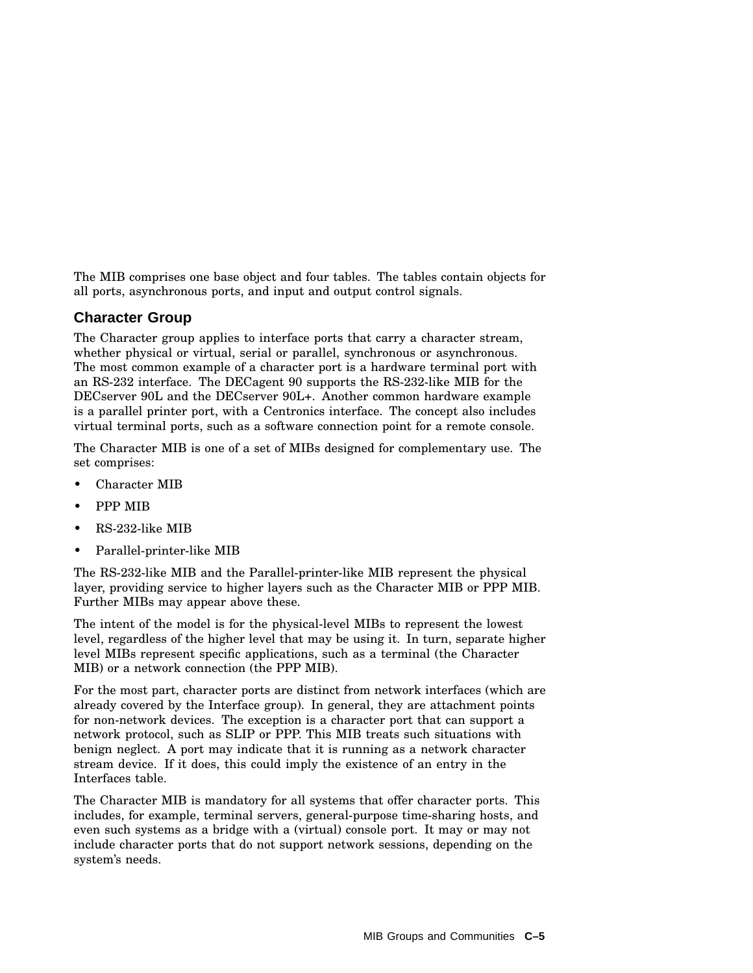The MIB comprises one base object and four tables. The tables contain objects for all ports, asynchronous ports, and input and output control signals.

#### **Character Group**

The Character group applies to interface ports that carry a character stream, whether physical or virtual, serial or parallel, synchronous or asynchronous. The most common example of a character port is a hardware terminal port with an RS-232 interface. The DECagent 90 supports the RS-232-like MIB for the DECserver 90L and the DECserver 90L+. Another common hardware example is a parallel printer port, with a Centronics interface. The concept also includes virtual terminal ports, such as a software connection point for a remote console.

The Character MIB is one of a set of MIBs designed for complementary use. The set comprises:

- Character MIB
- PPP MIB
- RS-232-like MIB
- Parallel-printer-like MIB

The RS-232-like MIB and the Parallel-printer-like MIB represent the physical layer, providing service to higher layers such as the Character MIB or PPP MIB. Further MIBs may appear above these.

The intent of the model is for the physical-level MIBs to represent the lowest level, regardless of the higher level that may be using it. In turn, separate higher level MIBs represent specific applications, such as a terminal (the Character MIB) or a network connection (the PPP MIB).

For the most part, character ports are distinct from network interfaces (which are already covered by the Interface group). In general, they are attachment points for non-network devices. The exception is a character port that can support a network protocol, such as SLIP or PPP. This MIB treats such situations with benign neglect. A port may indicate that it is running as a network character stream device. If it does, this could imply the existence of an entry in the Interfaces table.

The Character MIB is mandatory for all systems that offer character ports. This includes, for example, terminal servers, general-purpose time-sharing hosts, and even such systems as a bridge with a (virtual) console port. It may or may not include character ports that do not support network sessions, depending on the system's needs.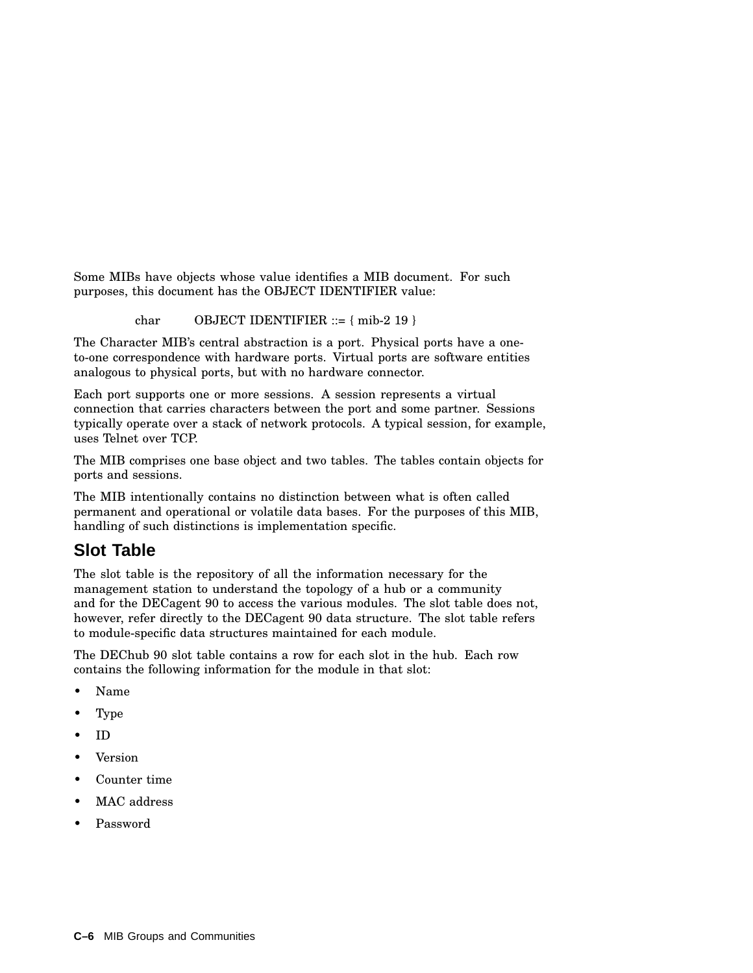Some MIBs have objects whose value identifies a MIB document. For such purposes, this document has the OBJECT IDENTIFIER value:

char OBJECT IDENTIFIER  $::= \{ \text{mib-2 19} \}$ 

The Character MIB's central abstraction is a port. Physical ports have a oneto-one correspondence with hardware ports. Virtual ports are software entities analogous to physical ports, but with no hardware connector.

Each port supports one or more sessions. A session represents a virtual connection that carries characters between the port and some partner. Sessions typically operate over a stack of network protocols. A typical session, for example, uses Telnet over TCP.

The MIB comprises one base object and two tables. The tables contain objects for ports and sessions.

The MIB intentionally contains no distinction between what is often called permanent and operational or volatile data bases. For the purposes of this MIB, handling of such distinctions is implementation specific.

# **Slot Table**

The slot table is the repository of all the information necessary for the management station to understand the topology of a hub or a community and for the DECagent 90 to access the various modules. The slot table does not, however, refer directly to the DECagent 90 data structure. The slot table refers to module-specific data structures maintained for each module.

The DEChub 90 slot table contains a row for each slot in the hub. Each row contains the following information for the module in that slot:

- Name
- Type
- ID
- Version
- Counter time
- MAC address
- Password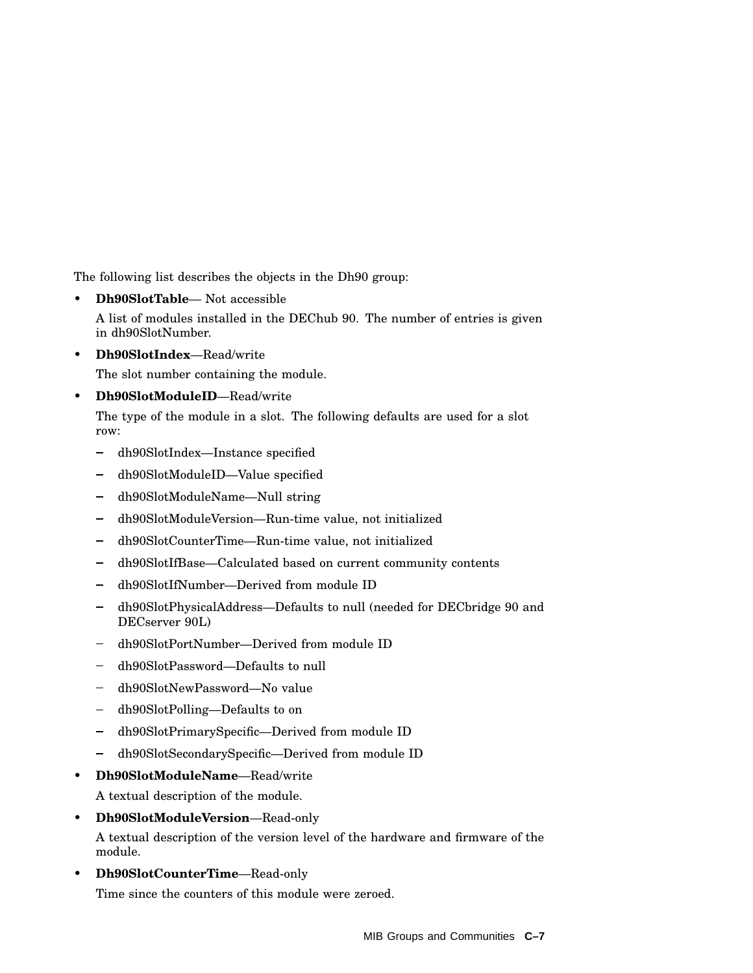The following list describes the objects in the Dh90 group:

• **Dh90SlotTable**— Not accessible

A list of modules installed in the DEChub 90. The number of entries is given in dh90SlotNumber.

• **Dh90SlotIndex**—Read/write

The slot number containing the module.

• **Dh90SlotModuleID**—Read/write

The type of the module in a slot. The following defaults are used for a slot row:

- dh90SlotIndex—Instance specified
- dh90SlotModuleID—Value specified
- dh90SlotModuleName—Null string
- dh90SlotModuleVersion—Run-time value, not initialized
- dh90SlotCounterTime—Run-time value, not initialized  $\equiv$  .
- dh90SlotIfBase—Calculated based on current community contents  $\frac{1}{2}$
- $\blacksquare$ dh90SlotIfNumber—Derived from module ID
- dh90SlotPhysicalAddress-Defaults to null (needed for DECbridge 90 and DECserver 90L)
- dh90SlotPortNumber—Derived from module ID
- dh90SlotPassword—Defaults to null  $\blacksquare$
- dh90SlotNewPassword-No value
- $\equiv$  . dh90SlotPolling—Defaults to on
- dh90SlotPrimarySpecific—Derived from module ID  $\frac{1}{2}$
- dh90SlotSecondarySpecific—Derived from module ID
- **Dh90SlotModuleName**—Read/write

A textual description of the module.

• **Dh90SlotModuleVersion**—Read-only

A textual description of the version level of the hardware and firmware of the module.

• **Dh90SlotCounterTime**—Read-only Time since the counters of this module were zeroed.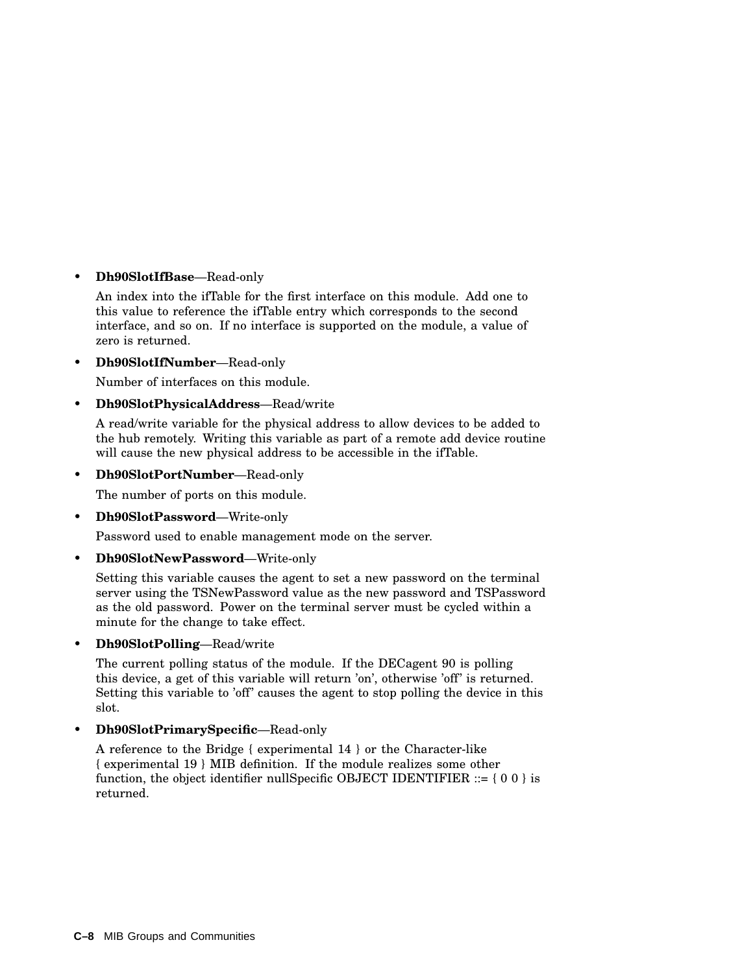#### • **Dh90SlotIfBase**—Read-only

An index into the ifTable for the first interface on this module. Add one to this value to reference the ifTable entry which corresponds to the second interface, and so on. If no interface is supported on the module, a value of zero is returned.

• **Dh90SlotIfNumber**—Read-only

Number of interfaces on this module.

• **Dh90SlotPhysicalAddress**—Read/write

A read/write variable for the physical address to allow devices to be added to the hub remotely. Writing this variable as part of a remote add device routine will cause the new physical address to be accessible in the ifTable.

• **Dh90SlotPortNumber**—Read-only

The number of ports on this module.

• **Dh90SlotPassword**—Write-only

Password used to enable management mode on the server.

• **Dh90SlotNewPassword**—Write-only

Setting this variable causes the agent to set a new password on the terminal server using the TSNewPassword value as the new password and TSPassword as the old password. Power on the terminal server must be cycled within a minute for the change to take effect.

• **Dh90SlotPolling**—Read/write

The current polling status of the module. If the DECagent 90 is polling this device, a get of this variable will return 'on', otherwise 'off' is returned. Setting this variable to 'off' causes the agent to stop polling the device in this slot.

• **Dh90SlotPrimarySpecific**—Read-only

A reference to the Bridge { experimental 14 } or the Character-like { experimental 19 } MIB definition. If the module realizes some other function, the object identifier nullSpecific OBJECT IDENTIFIER  $::= \{ 0 0 \}$  is returned.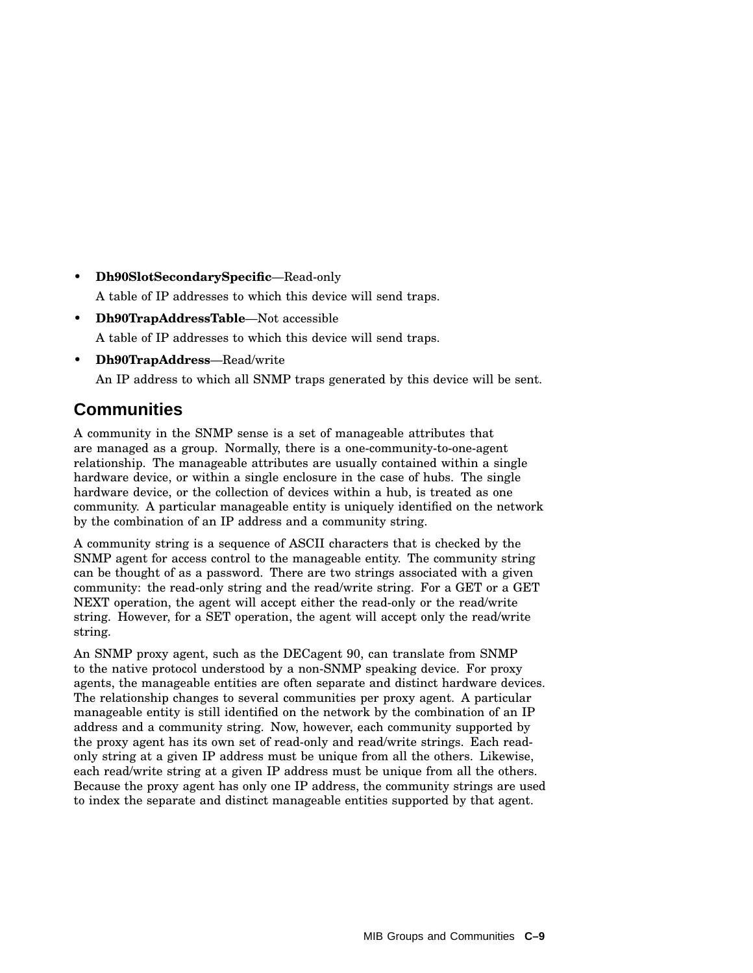- **Dh90SlotSecondarySpecific**—Read-only A table of IP addresses to which this device will send traps.
- **Dh90TrapAddressTable**—Not accessible A table of IP addresses to which this device will send traps.
- **Dh90TrapAddress**—Read/write

An IP address to which all SNMP traps generated by this device will be sent.

### **Communities**

A community in the SNMP sense is a set of manageable attributes that are managed as a group. Normally, there is a one-community-to-one-agent relationship. The manageable attributes are usually contained within a single hardware device, or within a single enclosure in the case of hubs. The single hardware device, or the collection of devices within a hub, is treated as one community. A particular manageable entity is uniquely identified on the network by the combination of an IP address and a community string.

A community string is a sequence of ASCII characters that is checked by the SNMP agent for access control to the manageable entity. The community string can be thought of as a password. There are two strings associated with a given community: the read-only string and the read/write string. For a GET or a GET NEXT operation, the agent will accept either the read-only or the read/write string. However, for a SET operation, the agent will accept only the read/write string.

An SNMP proxy agent, such as the DECagent 90, can translate from SNMP to the native protocol understood by a non-SNMP speaking device. For proxy agents, the manageable entities are often separate and distinct hardware devices. The relationship changes to several communities per proxy agent. A particular manageable entity is still identified on the network by the combination of an IP address and a community string. Now, however, each community supported by the proxy agent has its own set of read-only and read/write strings. Each readonly string at a given IP address must be unique from all the others. Likewise, each read/write string at a given IP address must be unique from all the others. Because the proxy agent has only one IP address, the community strings are used to index the separate and distinct manageable entities supported by that agent.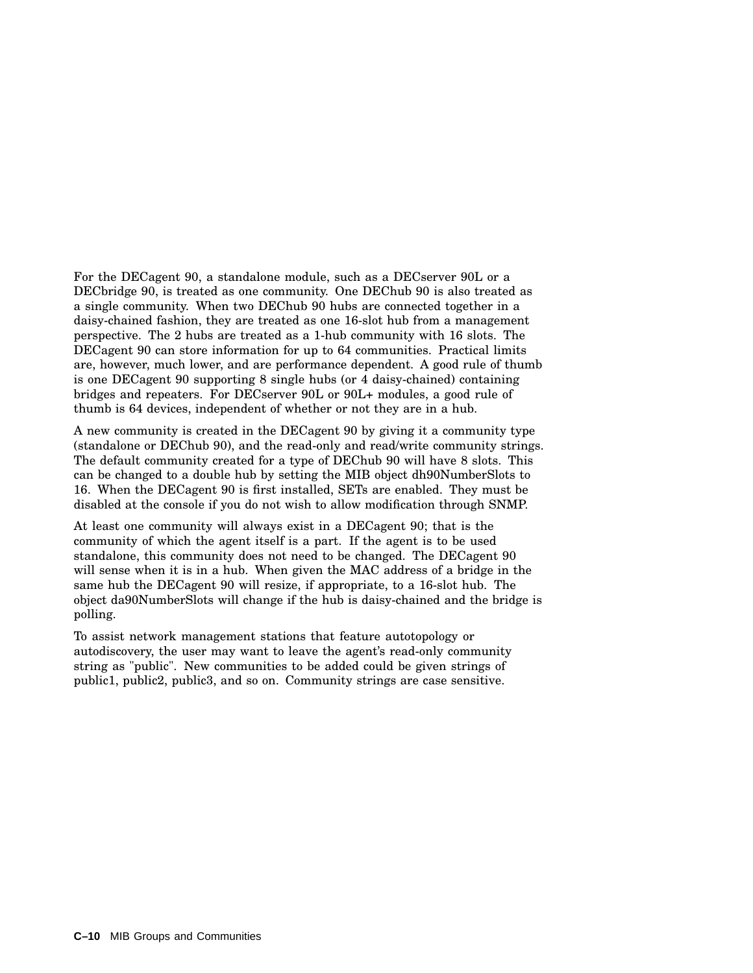For the DECagent 90, a standalone module, such as a DECserver 90L or a DECbridge 90, is treated as one community. One DEChub 90 is also treated as a single community. When two DEChub 90 hubs are connected together in a daisy-chained fashion, they are treated as one 16-slot hub from a management perspective. The 2 hubs are treated as a 1-hub community with 16 slots. The DECagent 90 can store information for up to 64 communities. Practical limits are, however, much lower, and are performance dependent. A good rule of thumb is one DECagent 90 supporting 8 single hubs (or 4 daisy-chained) containing bridges and repeaters. For DECserver 90L or 90L+ modules, a good rule of thumb is 64 devices, independent of whether or not they are in a hub.

A new community is created in the DECagent 90 by giving it a community type (standalone or DEChub 90), and the read-only and read/write community strings. The default community created for a type of DEChub 90 will have 8 slots. This can be changed to a double hub by setting the MIB object dh90NumberSlots to 16. When the DECagent 90 is first installed, SETs are enabled. They must be disabled at the console if you do not wish to allow modification through SNMP.

At least one community will always exist in a DECagent 90; that is the community of which the agent itself is a part. If the agent is to be used standalone, this community does not need to be changed. The DECagent 90 will sense when it is in a hub. When given the MAC address of a bridge in the same hub the DECagent 90 will resize, if appropriate, to a 16-slot hub. The object da90NumberSlots will change if the hub is daisy-chained and the bridge is polling.

To assist network management stations that feature autotopology or autodiscovery, the user may want to leave the agent's read-only community string as "public". New communities to be added could be given strings of public1, public2, public3, and so on. Community strings are case sensitive.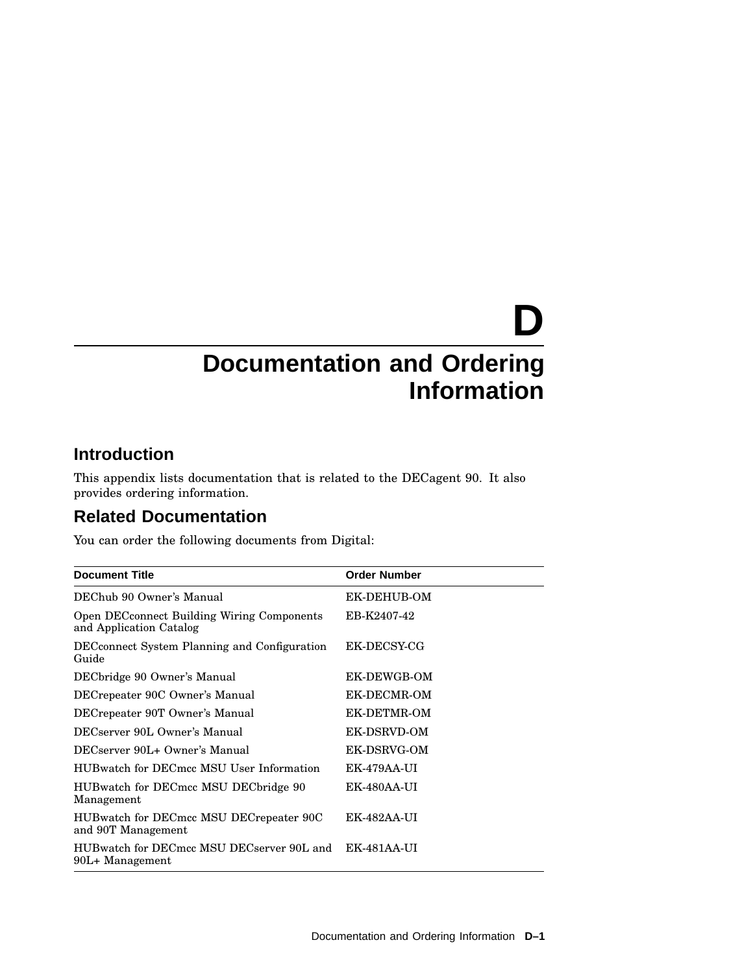# **D Documentation and Ordering Information**

### **Introduction**

This appendix lists documentation that is related to the DECagent 90. It also provides ordering information.

### **Related Documentation**

You can order the following documents from Digital:

| <b>Document Title</b>                                                        | <b>Order Number</b> |
|------------------------------------------------------------------------------|---------------------|
| DEChub 90 Owner's Manual                                                     | EK-DEHUB-OM         |
| <b>Open DECconnect Building Wiring Components</b><br>and Application Catalog | EB-K2407-42         |
| <b>DEC</b> connect System Planning and Configuration<br>Guide                | EK-DECSY-CG         |
| DECbridge 90 Owner's Manual                                                  | EK-DEWGB-OM         |
| DECrepeater 90C Owner's Manual                                               | EK-DECMR-OM         |
| DECrepeater 90T Owner's Manual                                               | EK-DETMR-OM         |
| DECserver 90L Owner's Manual                                                 | EK-DSRVD-OM         |
| DECserver 90L+ Owner's Manual                                                | EK-DSRVG-OM         |
| HUBwatch for DECmcc MSU User Information                                     | EK-479AA-UI         |
| HUBwatch for DECmcc MSU DECbridge 90<br>Management                           | EK-480AA-UI         |
| HUBwatch for DECmcc MSU DECrepeater 90C<br>and 90T Management                | EK-482AA-UI         |
| HUBwatch for DECmcc MSU DECserver 90L and<br>90L+ Management                 | EK-481AA-UI         |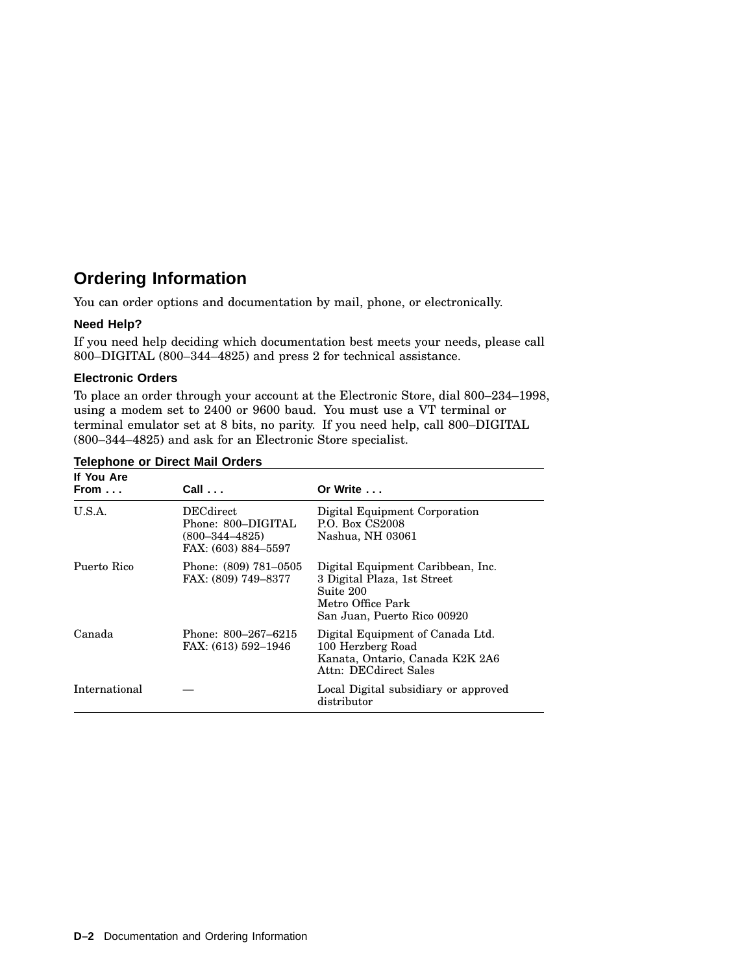## **Ordering Information**

You can order options and documentation by mail, phone, or electronically.

#### **Need Help?**

If you need help deciding which documentation best meets your needs, please call 800–DIGITAL (800–344–4825) and press 2 for technical assistance.

#### **Electronic Orders**

To place an order through your account at the Electronic Store, dial 800–234–1998, using a modem set to 2400 or 9600 baud. You must use a VT terminal or terminal emulator set at 8 bits, no parity. If you need help, call 800–DIGITAL (800–344–4825) and ask for an Electronic Store specialist.

| If You Are<br>From $\dots$ | $Call \ldots$                                                                         | Or Write $\ldots$                                                                                                                 |
|----------------------------|---------------------------------------------------------------------------------------|-----------------------------------------------------------------------------------------------------------------------------------|
| U.S.A.                     | <b>DECdirect</b><br>Phone: 800–DIGITAL<br>$(800 - 344 - 4825)$<br>FAX: (603) 884–5597 | Digital Equipment Corporation<br>P.O. Box CS2008<br>Nashua, NH 03061                                                              |
| Puerto Rico                | Phone: (809) 781–0505<br>FAX: (809) 749–8377                                          | Digital Equipment Caribbean, Inc.<br>3 Digital Plaza, 1st Street<br>Suite 200<br>Metro Office Park<br>San Juan, Puerto Rico 00920 |
| Canada                     | Phone: 800–267–6215<br>FAX: (613) 592-1946                                            | Digital Equipment of Canada Ltd.<br>100 Herzberg Road<br>Kanata, Ontario, Canada K2K 2A6<br>Attn: DECdirect Sales                 |
| International              |                                                                                       | Local Digital subsidiary or approved<br>distributor                                                                               |

#### **Telephone or Direct Mail Orders**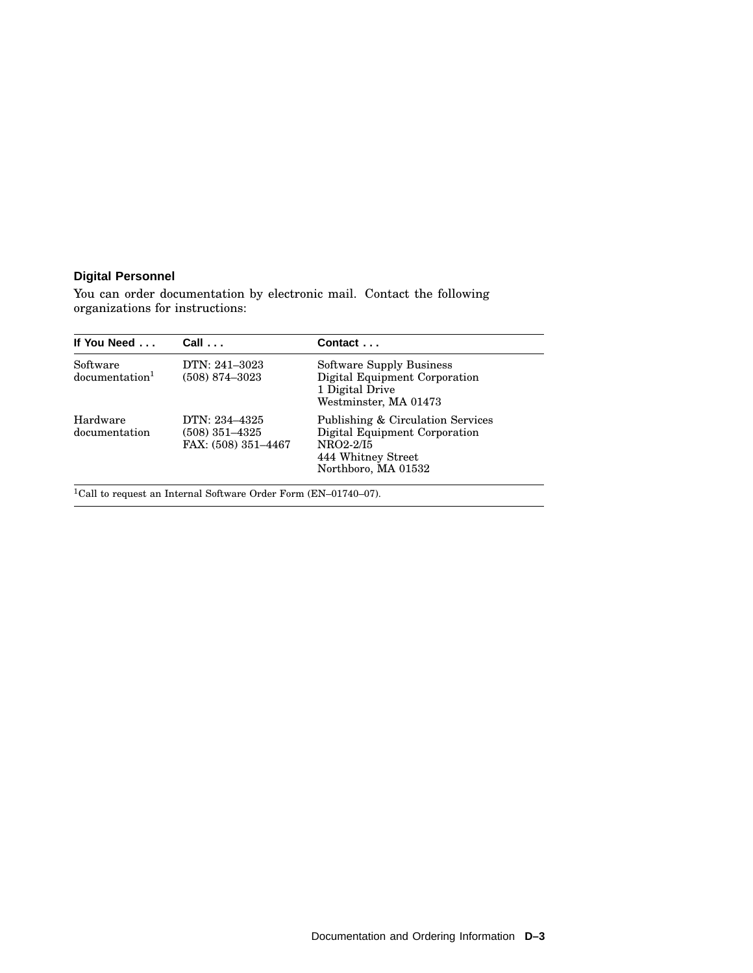#### **Digital Personnel**

You can order documentation by electronic mail. Contact the following organizations for instructions:

| If You Need                            | $Call \ldots$                                            | Contact                                                                                                                      |
|----------------------------------------|----------------------------------------------------------|------------------------------------------------------------------------------------------------------------------------------|
| Software<br>documentation <sup>1</sup> | DTN: 241-3023<br>$(508)$ 874-3023                        | Software Supply Business<br>Digital Equipment Corporation<br>1 Digital Drive<br>Westminster, MA 01473                        |
| Hardware<br>documentation              | DTN: 234–4325<br>$(508)$ 351–4325<br>FAX: (508) 351-4467 | Publishing & Circulation Services<br>Digital Equipment Corporation<br>NRO2-2/I5<br>444 Whitney Street<br>Northboro, MA 01532 |

 $^{1}\mathrm{Call}$  to request an Internal Software Order Form (EN–01740–07).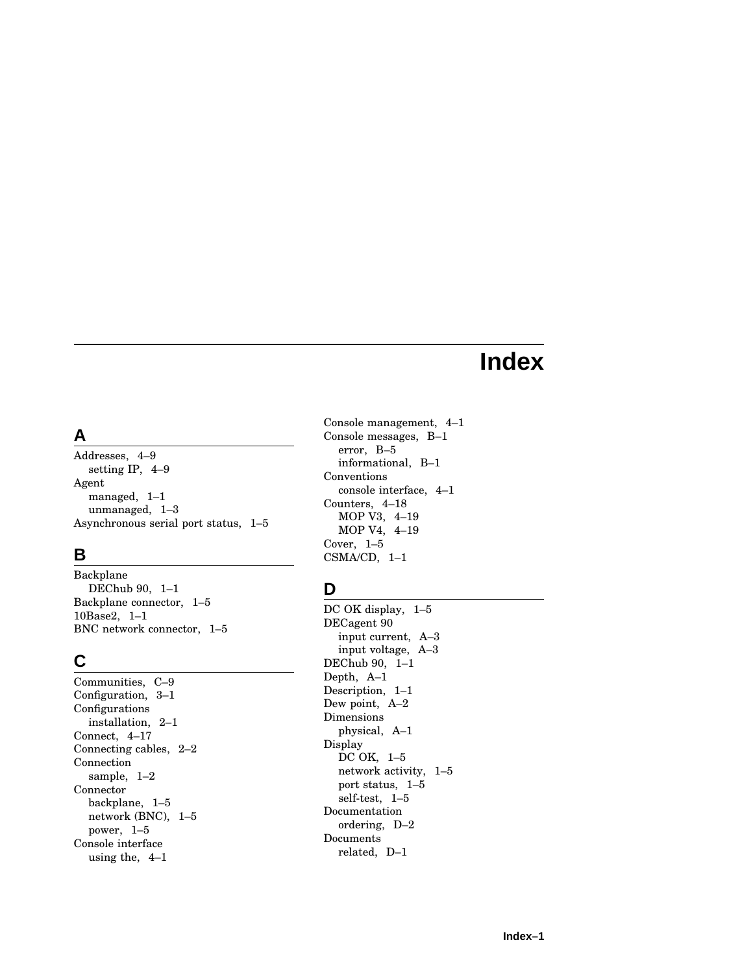# **Index**

### **A**

Addresses, 4–9 setting IP, 4–9 Agent managed, 1–1 unmanaged, 1–3 Asynchronous serial port status, 1–5

# **B**

Backplane DEChub 90, 1–1 Backplane connector, 1–5 10Base2, 1–1 BNC network connector, 1–5

# **C**

Communities, C–9 Configuration, 3–1 Configurations installation, 2–1 Connect, 4–17 Connecting cables, 2–2 Connection sample, 1–2 Connector backplane, 1–5 network (BNC), 1–5 power, 1–5 Console interface using the, 4–1

Console management, 4–1 Console messages, B–1 error, B–5 informational, B–1 Conventions console interface, 4–1 Counters, 4–18 MOP V3, 4–19 MOP V4, 4–19 Cover, 1–5 CSMA/CD, 1–1

# **D**

DC OK display,  $1-5$ DECagent 90 input current, A–3 input voltage, A–3 DEChub 90, 1–1 Depth, A–1 Description, 1–1 Dew point, A–2 Dimensions physical, A–1 Display DC OK, 1–5 network activity, 1–5 port status, 1–5 self-test, 1–5 Documentation ordering, D–2 Documents related, D–1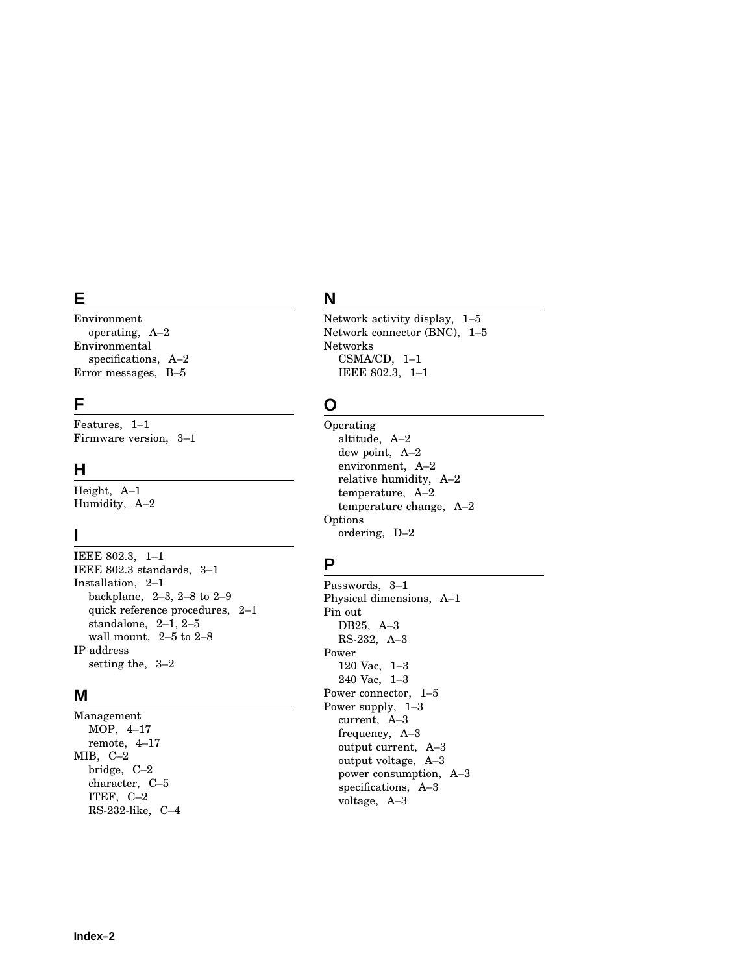### **E**

Environment operating, A–2 Environmental specifications, A–2 Error messages, B–5

#### **F**

Features, 1–1 Firmware version, 3–1

### **H**

Height, A–1 Humidity, A–2

### **I**

IEEE 802.3, 1–1 IEEE 802.3 standards, 3–1 Installation, 2–1 backplane, 2–3, 2–8 to 2–9 quick reference procedures, 2–1 standalone, 2–1, 2–5 wall mount, 2–5 to 2–8 IP address setting the, 3–2

### **M**

Management MOP, 4–17 remote, 4–17 MIB, C–2 bridge, C–2 character, C–5 ITEF, C–2 RS-232-like, C–4

# **N**

Network activity display, 1–5 Network connector (BNC), 1–5 Networks CSMA/CD, 1–1 IEEE 802.3, 1–1

### **O**

Operating altitude, A–2 dew point, A–2 environment, A–2 relative humidity, A–2 temperature, A–2 temperature change, A–2 Options ordering, D–2

### **P**

Passwords, 3–1 Physical dimensions, A–1 Pin out DB25, A–3 RS-232, A–3 Power 120 Vac, 1–3 240 Vac, 1–3 Power connector, 1–5 Power supply, 1–3 current, A–3 frequency, A–3 output current, A–3 output voltage, A–3 power consumption, A–3 specifications, A–3 voltage, A–3